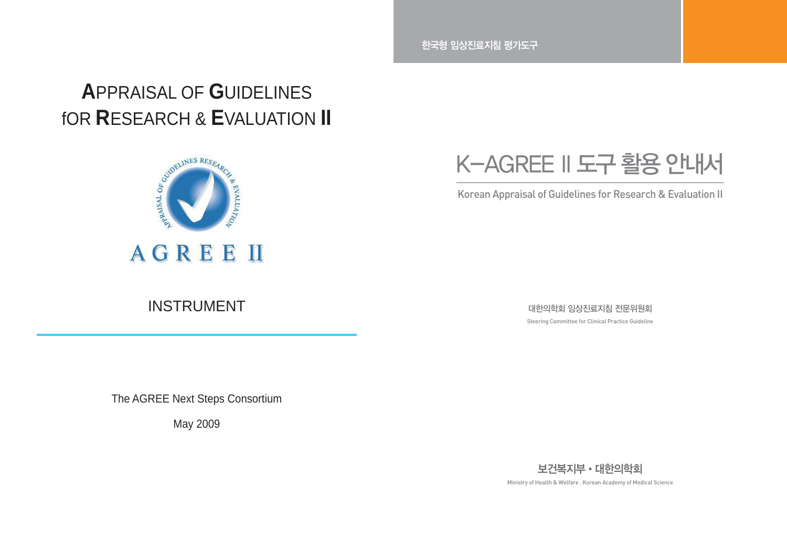# **A**PPRAISAL OF **G**UIDELINES fOR **R**ESEARCH & **E**VALUATION **II**



INSTRUMENT

K-AGREE II 도구 활용 안내서

Korean Appraisal of Guidelines for Research & Evaluation II

대한의학회 임상진료지침 전문위원회 Steering Committee for Clinical Practice Guideline

The AGREE Next Steps Consortium

May 2009



한국형 임상진료지침 평가도구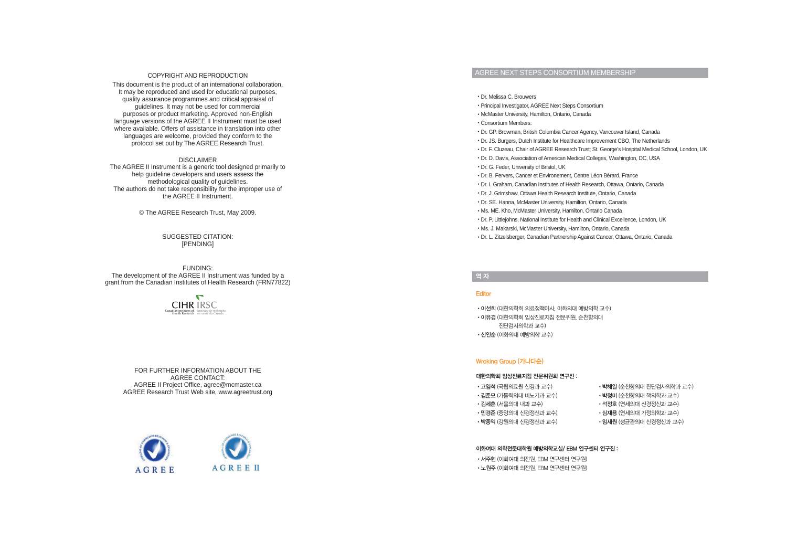## COPYRIGHT AND REPRODUCTION

This document is the product of an international collaboration. It may be reproduced and used for educational purposes, quality assurance programmes and critical appraisal of guidelines. It may not be used for commercial purposes or product marketing. Approved non-English language versions of the AGREE II Instrument must be used where available. Offers of assistance in translation into other languages are welcome, provided they conform to the protocol set out by The AGREE Research Trust.

DISCLAIMER The AGREE II Instrument is a generic tool designed primarily to help guideline developers and users assess the methodological quality of guidelines. The authors do not take responsibility for the improper use of the AGREE II Instrument.

© The AGREE Research Trust, May 2009.

SUGGESTED CITATION: [PENDING]

FUNDING: The development of the AGREE II Instrument was funded by a grant from the Canadian Institutes of Health Research (FRN77822)

**CIHR IRSC** 

FOR FURTHER INFORMATION ABOUT THE AGREE CONTACT: AGREE II Project Office, agree@mcmaster.ca AGREE Research Trust Web site, www.agreetrust.org



### AGREE NEXT STEPS CONSORTIUM MEMBERSHIP

•Dr. Melissa C. Brouwers •Principal Investigator, AGREE Next Steps Consortium •McMaster University, Hamilton, Ontario, Canada •Consortium Members: •Dr. GP. Browman, British Columbia Cancer Agency, Vancouver Island, Canada •Dr. JS. Burgers, Dutch Institute for Healthcare Improvement CBO, The Netherlands •Dr. F. Cluzeau, Chair of AGREE Research Trust; St. George's Hospital Medical School, London, UK •Dr. D. Davis, Association of American Medical Colleges, Washington, DC, USA •Dr. G. Feder, University of Bristol, UK •Dr. B. Fervers, Cancer et Environement, Centre Léon Bérard, France •Dr. I. Graham, Canadian Institutes of Health Research, Ottawa, Ontario, Canada •Dr. J. Grimshaw, Ottawa Health Research Institute, Ontario, Canada •Dr. SE. Hanna, McMaster University, Hamilton, Ontario, Canada •Ms. ME. Kho, McMaster University, Hamilton, Ontario Canada •Dr. P. Littlejohns, National Institute for Health and Clinical Excellence, London, UK •Ms. J. Makarski, McMaster University, Hamilton, Ontario, Canada

•Dr. L. Zitzelsberger, Canadian Partnership Against Cancer, Ottawa, Ontario, Canada

## 역 자

### **Editor**

•이선희 (대한의학회 의료정책이사, 이화의대 예방의학 교수) •이유경 (대한의학회 임상진료지침 전문위원, 순천향의대 진단검사의학과 교수) •신인순 (이화의대 예방의학 교수)

#### Wroking Group (가나다순)

#### 대한의학회 임상진료지침 전문위원회 연구진 :

- •고임석 (국립의료원 신경과 교수)
- •김준모 (가톨릭의대 비뇨기과 교수)
- •김세훈 (서울의대 내과 교수)
- •민경준 (중앙의대 신경정신과 교수)
- •박종익 (강원의대 신경정신과 교수)
- •박해일 (순천향의대 진단검사의학과 교수)
- •박정미 (순천향의대 핵의학과 교수)
- •석정호 (연세의대 신경정신과 교수)
- •심재용 (연세의대 가정의학과 교수)
- •임세원 (성균관의대 신경정신과 교수)

#### 이화여대 의학전문대학원 예방의학교실/ EBM 연구센터 연구진 :

• 서주현 (이화여대 의전원, EBM 연구센터 연구원) •노원주 (이화여대 의전원, EBM 연구센터 연구원)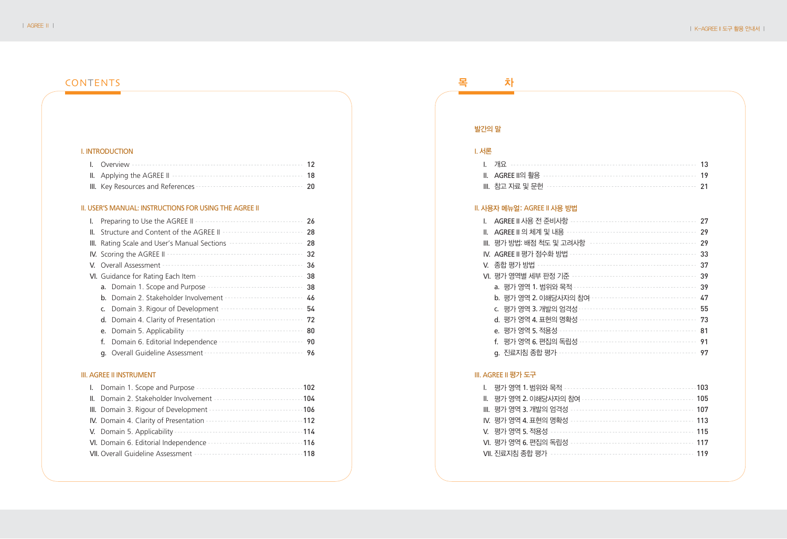# CONTENTS

# I. INTRODUCTION

| III. Key Resources and References <b>constructs</b> and the 20 |  |
|----------------------------------------------------------------|--|

# II. USER'S MANUAL: INSTRUCTIONS FOR USING THE AGREE II

|  | Preparing to Use the AGREE II                                         | 26 |
|--|-----------------------------------------------------------------------|----|
|  | II. Structure and Content of the AGREE II ---------------------       | 28 |
|  | III. Rating Scale and User's Manual Sections ------------------------ | 28 |
|  | IV. Scoring the AGREE II<br>-----------------------------             | 32 |
|  | V. Overall Assessment<br>----------------------------------           | 36 |
|  | VI. Guidance for Rating Each Item --------------------------------    | 38 |
|  | a. Domain 1. Scope and Purpose<br>--------------------------------    | 38 |
|  | <b>b.</b> Domain 2. Stakeholder Involvement                           | 46 |
|  | c. Domain 3. Rigour of Development<br>---------------------           | 54 |
|  | d. Domain 4. Clarity of Presentation                                  | 72 |
|  | e. Domain 5. Applicability<br>-----------------------------           | 80 |
|  | f. Domain 6. Editorial Independence                                   | 90 |
|  | <b>g.</b> Overall Guideline Assessment -                              | 96 |
|  |                                                                       |    |

# III. AGREE II INSTRUMENT

| I. Domain 1. Scope and Purpose -                                              | 102 |
|-------------------------------------------------------------------------------|-----|
| II. Domain 2. Stakeholder Involvement -                                       | 104 |
| III. Domain 3. Rigour of Development ---<br>------------------------------106 |     |
| IV. Domain 4. Clarity of Presentation<br>---------------------------------112 |     |
|                                                                               |     |
| VI. Domain 6. Editorial Independence                                          |     |
|                                                                               |     |

|--|

# 발간의 말

# I. 서론

# II. 사용자 메뉴얼: AGREE II 사용 방법

|  | AGREE II 사용 전 준비사항                                    | 27 |
|--|-------------------------------------------------------|----|
|  | II. AGREE II 의 체계 및 내용<br>--------------------------- | 29 |
|  | Ⅲ. 평가 방법: 배점 척도 및 고려사항                                | 29 |
|  | Ⅳ. AGREEⅡ평가 점수화 방법                                    | 33 |
|  | V. 종합 평가 방법                                           | 37 |
|  | VI. 평가 영역별 세부 판정 기준                                   | 39 |
|  | a. 평가 영역 1. 범위와 목적                                    | 39 |
|  | b. 평가 영역 2. 이해당사자의 참여                                 | 47 |
|  | c. 평가 영역 3. 개발의 엄격성                                   | 55 |
|  | d. 평가 영역 4. 표현의 명확성                                   | 73 |
|  | e. 평가 영역 5. 적용성                                       | 81 |
|  | f. 평가 영역 6. 편집의 독립성                                   | 91 |
|  | q. 진료지침 종합 평가                                         | 97 |
|  |                                                       |    |

# III. AGREE II 평가 도구

|  | I. 평가 영역 1. 범위와 목적         | 103 |
|--|----------------------------|-----|
|  | Ⅱ. 평가 영역 2. 이해당사자의 참여<br>. | 105 |
|  | Ⅲ. 평가 영역 3. 개발의 엄격성        | 107 |
|  | Ⅳ. 평가 영역 4. 표현의 명확성        | 113 |
|  | V. 평가 영역 5. 적용성            | 115 |
|  | VI. 평가 영역 6. 편집의 독립성       | 117 |
|  | VII. 진료지침 종합 평가            | 119 |
|  |                            |     |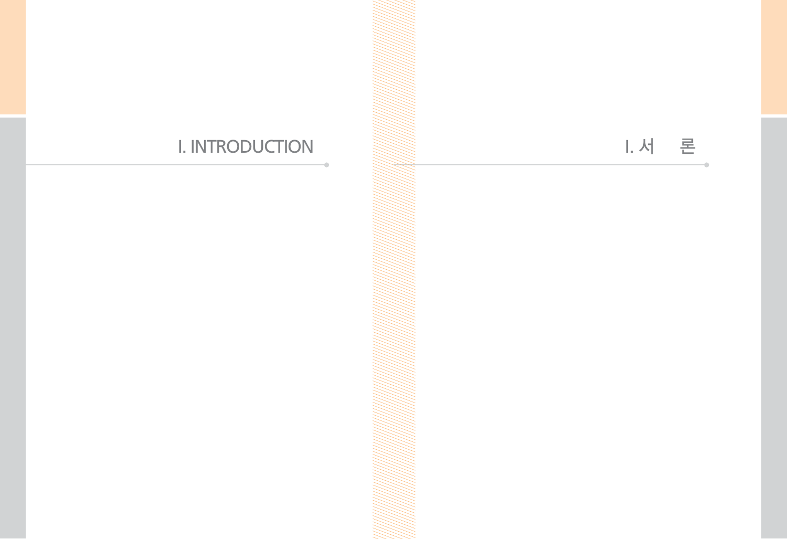# I. INTRODUCTION I. 서 론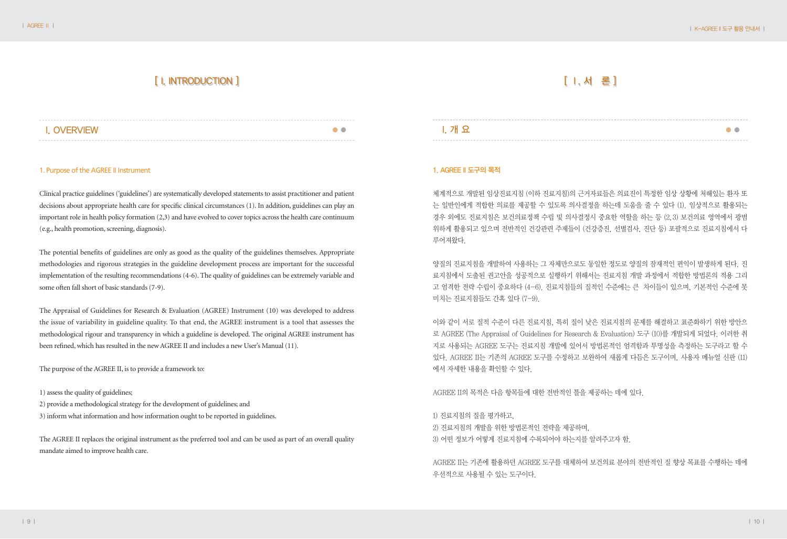# [ I. INTRODUCTION ]

| $\bullet$ $\bullet$ |  |
|---------------------|--|
|                     |  |

### 1. Purpose of the AGREE II Instrument

Clinical practice guidelines ('guidelines') are systematically developed statements to assist practitioner and patient decisions about appropriate health care for specific clinical circumstances (1). In addition, guidelines can play an important role in health policy formation (2,3) and have evolved to cover topics across the health care continuum (e.g., health promotion, screening, diagnosis).

The potential benefits of guidelines are only as good as the quality of the guidelines themselves. Appropriate methodologies and rigorous strategies in the guideline development process are important for the successful implementation of the resulting recommendations (4-6). The quality of guidelines can be extremely variable and some often fall short of basic standards (7-9).

The Appraisal of Guidelines for Research & Evaluation (AGREE) Instrument (10) was developed to address the issue of variability in guideline quality. To that end, the AGREE instrument is a tool that assesses the methodological rigour and transparency in which a guideline is developed. The original AGREE instrument has been refined, which has resulted in the new AGREE II and includes a new User's Manual (11).

The purpose of the AGREE II, is to provide a framework to:

1) assess the quality of guidelines; 2) provide a methodological strategy for the development of guidelines; and 3) inform what information and how information ought to be reported in guidelines.

The AGREE II replaces the original instrument as the preferred tool and can be used as part of an overall quality mandate aimed to improve health care.

# [ Ⅰ. 서 론 ]

| <b>I.</b> 개요 | $\bullet$ |
|--------------|-----------|
|--------------|-----------|

## 1. AGREE II 도구의 목적

체계적으로 개발된 임상진료지침 (이하 진료지침)의 근거자료들은 의료진이 특정한 임상 상황에 처해있는 환자 또 는 일반인에게 적합한 의료를 제공할 수 있도록 의사결정을 하는데 도움을 줄 수 있다 (1). 임상적으로 활용되는 경우 외에도 진료지침은 보건의료정책 수립 및 의사결정시 중요한 역할을 하는 등 (2,3) 보건의료 영역에서 광범 위하게 활용되고 있으며 전반적인 건강관련 주제들이 (건강증진, 선별검사, 진단 등) 포괄적으로 진료지침에서 다 루어져왔다.

양질의 진료지침을 개발하여 사용하는 그 자체만으로도 동일한 정도로 양질의 잠재적인 편익이 발생하게 된다. 진 료지침에서 도출된 권고안을 성공적으로 실행하기 위해서는 진료지침 개발 과정에서 적합한 방법론의 적용 그리 고 엄격한 전략 수립이 중요하다 (4-6). 진료지침들의 질적인 수준에는 큰 차이들이 있으며, 기본적인 수준에 못 미치는 진료지침들도 간혹 있다 (7-9).

이와 같이 서로 질적 수준이 다른 진료지침, 특히 질이 낮은 진료지침의 문제를 해결하고 표준화하기 위한 방안으 로 AGREE (The Appraisal of Guidelines for Research & Evaluation) 도구 (10)를 개발되게 되었다. 이러한 취 지로 사용되는 AGREE 도구는 진료지침 개발에 있어서 방법론적인 엄격함과 투명성을 측정하는 도구라고 할 수 있다. AGREE II는 기존의 AGREE 도구를 수정하고 보완하여 새롭게 다듬은 도구이며, 사용자 메뉴얼 신판 (11) 에서 자세한 내용을 확인할 수 있다.

AGREE II의 목적은 다음 항목들에 대한 전반적인 틀을 제공하는 데에 있다.

1) 진료지침의 질을 평가하고, 2) 진료지침의 개발을 위한 방법론적인 전략을 제공하며, 3) 어떤 정보가 어떻게 진료지침에 수록되어야 하는지를 알려주고자 함.

AGREE II는 기존에 활용하던 AGREE 도구를 대체하여 보건의료 분야의 전반적인 질 향상 목표를 수행하는 데에 우선적으로 사용될 수 있는 도구이다.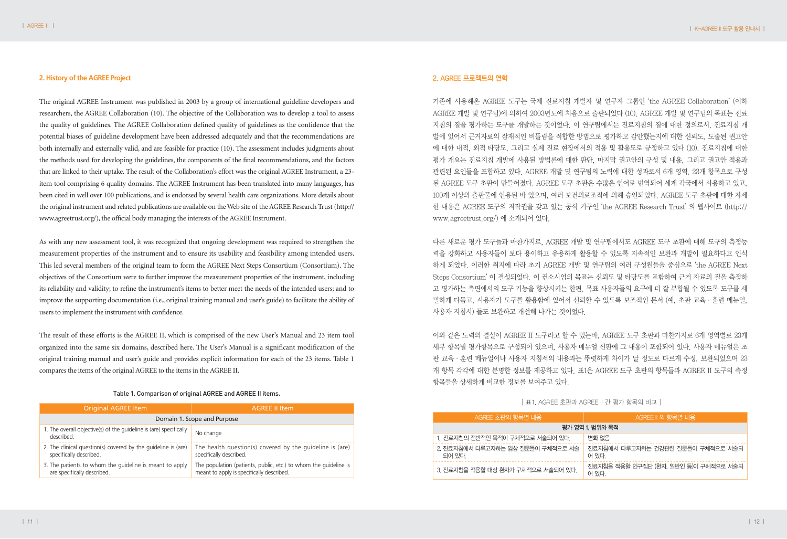# **2. History of the AGREE Project**

The original AGREE Instrument was published in 2003 by a group of international guideline developers and researchers, the AGREE Collaboration (10). The objective of the Collaboration was to develop a tool to assess the quality of guidelines. The AGREE Collaboration defined quality of guidelines as the confidence that the potential biases of guideline development have been addressed adequately and that the recommendations are both internally and externally valid, and are feasible for practice (10). The assessment includes judgments about the methods used for developing the guidelines, the components of the final recommendations, and the factors that are linked to their uptake. The result of the Collaboration's effort was the original AGREE Instrument, a 23 item tool comprising 6 quality domains. The AGREE Instrument has been translated into many languages, has been cited in well over 100 publications, and is endorsed by several health care organizations. More details about the original instrument and related publications are available on the Web site of the AGREE Research Trust (http:// www.agreetrust.org/), the official body managing the interests of the AGREE Instrument.

As with any new assessment tool, it was recognized that ongoing development was required to strengthen the measurement properties of the instrument and to ensure its usability and feasibility among intended users. This led several members of the original team to form the AGREE Next Steps Consortium (Consortium). The objectives of the Consortium were to further improve the measurement properties of the instrument, including its reliability and validity; to refine the instrument's items to better meet the needs of the intended users; and to improve the supporting documentation (i.e., original training manual and user's guide) to facilitate the ability of users to implement the instrument with confidence.

The result of these efforts is the AGREE II, which is comprised of the new User's Manual and 23 item tool organized into the same six domains, described here. The User's Manual is a significant modification of the original training manual and user's guide and provides explicit information for each of the 23 items. Table 1 compares the items of the original AGREE to the items in the AGREE II.

## Table 1. Comparison of original AGREE and AGREE II items.

| <b>Original AGREE Item</b>                                                               | <b>AGREE II Item</b>                                                                                          |
|------------------------------------------------------------------------------------------|---------------------------------------------------------------------------------------------------------------|
| Domain 1. Scope and Purpose                                                              |                                                                                                               |
| 1. The overall objective(s) of the quideline is (are) specifically<br>described.         | No change                                                                                                     |
| 2. The clinical question(s) covered by the quideline is (are)<br>specifically described. | The health question(s) covered by the quideline is (are)<br>specifically described.                           |
| 3. The patients to whom the guideline is meant to apply<br>are specifically described.   | The population (patients, public, etc.) to whom the quideline is<br>meant to apply is specifically described. |

## 2. AGREE 프로젝트의 연혁

기존에 사용해온 AGREE 도구는 국제 진료지침 개발자 및 연구자 그룹인 'the AGREE Collaboration' (이하 AGREE 개발 및 연구팀)에 의하여 2003년도에 처음으로 출판되었다 (10). AGREE 개발 및 연구팀의 목표는 진료 지침의 질을 평가하는 도구를 개발하는 것이었다. 이 연구팀에서는 진료지침의 질에 대한 정의로서, 진료지침 개 발에 있어서 근거자료의 잠재적인 비뚤림을 적합한 방법으로 평가하고 감안했는지에 대한 신뢰도, 도출된 권고안 에 대한 내적, 외적 타당도, 그리고 실제 진료 현장에서의 적용 및 활용도로 규정하고 있다 (10). 진료지침에 대한 평가 개요는 진료지침 개발에 사용된 방법론에 대한 판단, 마지막 권고안의 구성 및 내용, 그리고 권고안 적용과 관련된 요인들을 포함하고 있다. AGREE 개발 및 연구팀의 노력에 대한 성과로서 6개 영역, 23개 항목으로 구성 된 AGREE 도구 초판이 만들어졌다. AGREE 도구 초판은 수많은 언어로 번역되어 세계 각국에서 사용하고 있고, 100개 이상의 출판물에 인용된 바 있으며, 여러 보건의료조직에 의해 승인되었다. AGREE 도구 초판에 대한 자세 한 내용은 AGREE 도구의 저작권을 갖고 있는 공식 기구인 'the AGREE Research Trust' 의 웹사이트 (http:// www.agreetrust.org/) 에 소개되어 있다.

다른 새로운 평가 도구들과 마찬가지로, AGREE 개발 및 연구팀에서도 AGREE 도구 초판에 대해 도구의 측정능 력을 강화하고 사용자들이 보다 용이하고 유용하게 활용할 수 있도록 지속적인 보완과 개발이 필요하다고 인식 하게 되었다. 이러한 취지에 따라 초기 AGREE 개발 및 연구팀의 여러 구성원들을 중심으로 'the AGREE Next Steps Consortium' 이 결성되었다. 이 컨소시엄의 목표는 신뢰도 및 타당도를 포함하여 근거 자료의 질을 측정하 고 평가하는 측면에서의 도구 기능을 향상시키는 한편, 목표 사용자들의 요구에 더 잘 부합될 수 있도록 도구를 세 밀하게 다듬고, 사용자가 도구를 활용함에 있어서 신뢰할 수 있도록 보조적인 문서 (예, 초판 교육·훈련 메뉴얼, 사용자 지침서) 들도 보완하고 개선해 나가는 것이었다.

이와 같은 노력의 결실이 AGREE II 도구라고 할 수 있는바, AGREE 도구 초판과 마찬가지로 6개 영역별로 23개 세부 항목별 평가항목으로 구성되어 있으며, 사용자 메뉴얼 신판에 그 내용이 포함되어 있다. 사용자 메뉴얼은 초 판 교육 · 훈련 메뉴얼이나 사용자 지침서의 내용과는 뚜렷하게 차이가 날 정도로 다르게 수정, 보완되었으며 23 개 항목 각각에 대한 분명한 정보를 제공하고 있다. 표1은 AGREE 도구 초판의 항목들과 AGREE II 도구의 측정 항목들을 상세하게 비교한 정보를 보여주고 있다.

#### [ 표1. AGREE 초판과 AGREE II 간 평가 항목의 비교 ]

| AGREE 초판의 항목별 내용                            | AGREE II 의 항목별 내용                             |
|---------------------------------------------|-----------------------------------------------|
|                                             | 평가 영역 1. 범위와 목적                               |
| 1. 진료지침의 전반적인 목적이 구체적으로 서술되어 있다.            | 변화 없음                                         |
| 2. 진료지침에서 다루고자하는 임상 질문들이 구체적으로 서술<br>되어 있다. | 진료지침에서 다루고자하는 건강관련 질문들이 구체적으로 서술되<br>어 있다.    |
| 3. 진료지침을 적용할 대상 환자가 구체적으로 서술되어 있다.          | 진료지침을 적용할 인구집단 (환자, 일반인 등)이 구체적으로 서술되<br>어 있다 |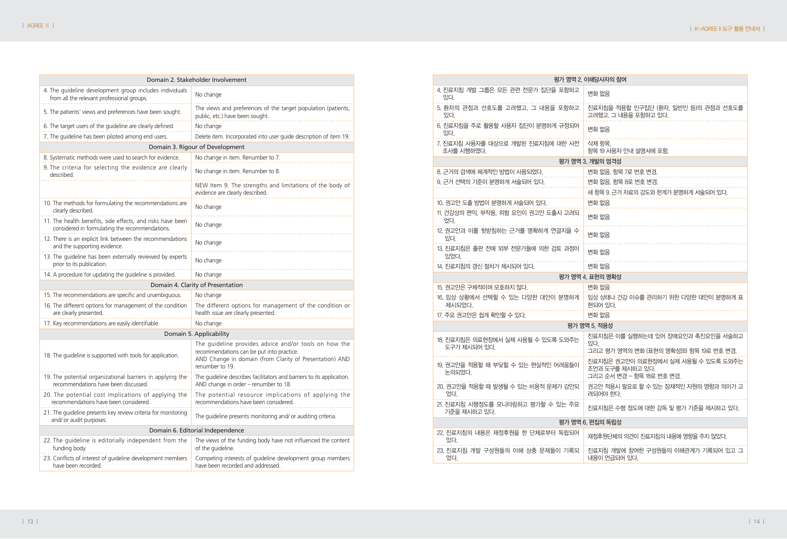| Domain 2. Stakeholder Involvement                                                                            |                                                                                                                                                                                  |
|--------------------------------------------------------------------------------------------------------------|----------------------------------------------------------------------------------------------------------------------------------------------------------------------------------|
| 4. The guideline development group includes individuals<br>from all the relevant professional groups.        | No change                                                                                                                                                                        |
| 5. The patients' views and preferences have been sought.                                                     | The views and preferences of the target population (patients,<br>public, etc.) have been sought.                                                                                 |
| 6. The target users of the guideline are clearly defined.                                                    | No change                                                                                                                                                                        |
| 7. The guideline has been piloted among end users.                                                           | Delete item. Incorporated into user guide description of item 19.                                                                                                                |
|                                                                                                              | Domain 3. Rigour of Development                                                                                                                                                  |
| 8. Systematic methods were used to search for evidence.                                                      | No change in item. Renumber to 7.                                                                                                                                                |
| 9. The criteria for selecting the evidence are clearly<br>described.                                         | No change in item. Renumber to 8.                                                                                                                                                |
|                                                                                                              | NEW Item 9. The strengths and limitations of the body of<br>evidence are clearly described.                                                                                      |
| 10. The methods for formulating the recommendations are<br>clearly described.                                | No change                                                                                                                                                                        |
| 11. The health benefits, side effects, and risks have been<br>considered in formulating the recommendations. | No change                                                                                                                                                                        |
| 12. There is an explicit link between the recommendations<br>and the supporting evidence.                    | No change                                                                                                                                                                        |
| 13. The guideline has been externally reviewed by experts<br>prior to its publication.                       | No change                                                                                                                                                                        |
| 14. A procedure for updating the guideline is provided.                                                      | No change                                                                                                                                                                        |
|                                                                                                              | Domain 4. Clarity of Presentation                                                                                                                                                |
| 15. The recommendations are specific and unambiguous.                                                        | No change                                                                                                                                                                        |
| 16. The different options for management of the condition<br>are clearly presented.                          | The different options for management of the condition or<br>health issue are clearly presented.                                                                                  |
| 17. Key recommendations are easily identifiable.                                                             | No change                                                                                                                                                                        |
|                                                                                                              | Domain 5. Applicability                                                                                                                                                          |
| 18. The guideline is supported with tools for application.                                                   | The guideline provides advice and/or tools on how the<br>recommendations can be put into practice.<br>AND Change in domain (from Clarity of Presentation) AND<br>renumber to 19. |
| 19. The potential organizational barriers in applying the<br>recommendations have been discussed.            | The guideline describes facilitators and barriers to its application.<br>AND change in order - renumber to 18.                                                                   |
| 20. The potential cost implications of applying the<br>recommendations have been considered.                 | The potential resource implications of applying the<br>recommendations have been considered.                                                                                     |
| 21. The quideline presents key review criteria for monitoring<br>and/ or audit purposes.                     | The guideline presents monitoring and/ or auditing criteria.                                                                                                                     |
|                                                                                                              | Domain 6. Editorial Independence                                                                                                                                                 |
| 22. The guideline is editorially independent from the<br>funding body.                                       | The views of the funding body have not influenced the content<br>of the guideline.                                                                                               |
| 23. Conflicts of interest of guideline development members<br>have been recorded.                            | Competing interests of guideline development group members<br>have been recorded and addressed.                                                                                  |

|                                                    | 평가 영역 2. 이해당사자의 참여                                                                   |  |  |  |  |  |  |  |
|----------------------------------------------------|--------------------------------------------------------------------------------------|--|--|--|--|--|--|--|
| 4. 진료지침 개발 그룹은 모든 관련 전문가 집단을 포함하고<br>있다.           | 변화 없음                                                                                |  |  |  |  |  |  |  |
| 5. 환자의 관점과 선호도를 고려했고, 그 내용을 포함하고<br>있다.            | 진료지침을 적용할 인구집단 (환자, 일반인 등)의 관점과 선호도를<br>고려했고, 그 내용을 포함하고 있다.                         |  |  |  |  |  |  |  |
| 6. 진료지침을 주로 활용할 사용자 집단이 분명하게 규정되어.<br>있다.          | 변화 없음                                                                                |  |  |  |  |  |  |  |
| 7. 진료지침 사용자를 대상으로 개발된 진료지침에 대한 사전<br>조사를 시행하였다.    | 삭제 항목.<br>항목 19 사용자 안내 설명서에 포함.                                                      |  |  |  |  |  |  |  |
|                                                    | 평가 영역 3. 개발의 엄격성                                                                     |  |  |  |  |  |  |  |
| 8. 근거의 검색에 체계적인 방법이 사용되었다.                         | 변화 없음, 항목 7로 번호 변경.                                                                  |  |  |  |  |  |  |  |
| 9. 근거 선택의 기준이 분명하게 서술되어 있다.                        | 변화 없음, 항목 8로 번호 변경.                                                                  |  |  |  |  |  |  |  |
|                                                    | 새 항목 9. 근거 자료의 강도와 한계가 분명하게 서술되어 있다.                                                 |  |  |  |  |  |  |  |
| 10. 권고안 도출 방법이 분명하게 서술되어 있다.                       | 변화 없음                                                                                |  |  |  |  |  |  |  |
| 11. 건강상의 편익, 부작용, 위험 요인이 권고안 도출시 고려되<br>었다.        | 변화 없음                                                                                |  |  |  |  |  |  |  |
| 12 권고안과 이를 뒷받침하는 근거를 명확하게 연결지을 수<br>있다.            | 변화 없음                                                                                |  |  |  |  |  |  |  |
| 13. 진료지침은 출판 전에 외부 전문가들에 의한 검토 과정이<br>있었다.         | 변화 없음                                                                                |  |  |  |  |  |  |  |
| 14. 진료지침의 갱신 절차가 제시되어 있다.                          | 변화 없음                                                                                |  |  |  |  |  |  |  |
|                                                    | 평가 영역 4. 표현의 명확성                                                                     |  |  |  |  |  |  |  |
| 15. 권고안은 구체적이며 모호하지 않다.                            | 변화 없음                                                                                |  |  |  |  |  |  |  |
| 16. 임상 상황에서 선택할 수 있는 다양한 대안이 분명하게<br>제시되었다.        | 임상 상태나 건강 이슈를 관리하기 위한 다양한 대안이 분명하게 표<br>현되어 있다.                                      |  |  |  |  |  |  |  |
| 17. 주요 권고안은 쉽게 확인할 수 있다.                           | 변화 없음                                                                                |  |  |  |  |  |  |  |
|                                                    | 평가 영역 5. 적용성                                                                         |  |  |  |  |  |  |  |
| 18. 진료지침은 의료현장에서 실제 사용될 수 있도록 도와주는<br>도구가 제시되어 있다. | 진료지침은 이를 실행하는데 있어 장애요인과 촉진요인을 서술하고<br>있다.<br>그리고 평가 영역의 변화 (표현의 명확성)와 항목 19로 번호 변경.  |  |  |  |  |  |  |  |
| 19. 권고안을 적용할 때 부딪힐 수 있는 현실적인 어려움들이<br>논의되었다.       | 진료지침은 권고안이 의료현장에서 실제 사용될 수 있도록 도와주는<br>조언과 도구를 제시하고 있다.<br>그리고 수서 변경 – 항목 18로 번호 변경. |  |  |  |  |  |  |  |
| 20. 권고안을 적용할 때 발생될 수 있는 비용적 문제가 감안되<br>었다.         | 권고안 적용시 필요로 할 수 있는 잠재적인 자원의 영향과 의미가 고<br>려되어야 한다.                                    |  |  |  |  |  |  |  |
| 21. 진료지침 시행정도를 모니터링하고 평가할 수 있는 주요<br>기준을 제시하고 있다.  | 진료지침은 수행 정도에 대한 감독 및 평가 기준을 제시하고 있다.                                                 |  |  |  |  |  |  |  |
| 평가 영역 6. 편집의 독립성                                   |                                                                                      |  |  |  |  |  |  |  |
| 22. 진료지침의 내용은 재정후원을 한 단체로부터 독립되어<br>있다.            | 재정후원단체의 의견이 진료지침의 내용에 영향을 주지 않았다.                                                    |  |  |  |  |  |  |  |
| 23.진료지침 개발 구성원들의 이해 상충 문제들이 기록되<br>었다.             | 진료지침 개발에 참여한 구성원들의 이해관계가 기록되어 있고 그<br>내용이 언급되어 있다.                                   |  |  |  |  |  |  |  |
|                                                    |                                                                                      |  |  |  |  |  |  |  |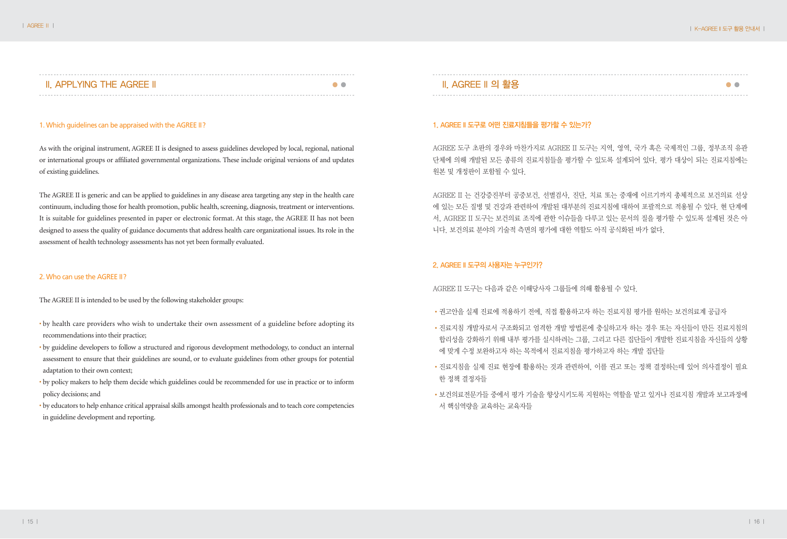| II. APPLYING THE AGREE II |  |  |
|---------------------------|--|--|
|---------------------------|--|--|

# 1. Which guidelines can be appraised with the AGREE II?

As with the original instrument, AGREE II is designed to assess guidelines developed by local, regional, national or international groups or affiliated governmental organizations. These include original versions of and updates of existing guidelines.

The AGREE II is generic and can be applied to guidelines in any disease area targeting any step in the health care continuum, including those for health promotion, public health, screening, diagnosis, treatment or interventions. It is suitable for guidelines presented in paper or electronic format. At this stage, the AGREE II has not been designed to assess the quality of guidance documents that address health care organizational issues. Its role in the assessment of health technology assessments has not yet been formally evaluated.

# 2. Who can use the AGREE II?

The AGREE II is intended to be used by the following stakeholder groups:

- by health care providers who wish to undertake their own assessment of a guideline before adopting its recommendations into their practice;
- by guideline developers to follow a structured and rigorous development methodology, to conduct an internal assessment to ensure that their guidelines are sound, or to evaluate guidelines from other groups for potential adaptation to their own context;
- by policy makers to help them decide which guidelines could be recommended for use in practice or to inform policy decisions; and
- by educators to help enhance critical appraisal skills amongst health professionals and to teach core competencies in guideline development and reporting.

# II. AGREE II 의 활용 ●●

# 1. AGREE II 도구로 어떤 진료지침들을 평가할 수 있는가?

AGREE 도구 초판의 경우와 마찬가지로 AGREE II 도구는 지역, 영역, 국가 혹은 국제적인 그룹, 정부조직 유관 단체에 의해 개발된 모든 종류의 진료지침들을 평가할 수 있도록 설계되어 있다. 평가 대상이 되는 진료지침에는 원본 및 개정판이 포함될 수 있다.

AGREE II 는 건강증진부터 공중보건, 선별검사, 진단, 치료 또는 중재에 이르기까지 총체적으로 보건의료 선상 에 있는 모든 질병 및 건강과 관련하여 개발된 대부분의 진료지침에 대하여 포괄적으로 적용될 수 있다. 현 단계에 서, AGREE II 도구는 보건의료 조직에 관한 이슈들을 다루고 있는 문서의 질을 평가할 수 있도록 설계된 것은 아 니다. 보건의료 분야의 기술적 측면의 평가에 대한 역할도 아직 공식화된 바가 없다.

# 2. AGREE II 도구의 사용자는 누구인가?

AGREE II 도구는 다음과 같은 이해당사자 그룹들에 의해 활용될 수 있다.

- 권고안을 실제 진료에 적용하기 전에, 직접 활용하고자 하는 진료지침 평가를 원하는 보건의료계 공급자
- 진료지침 개발자로서 구조화되고 엄격한 개발 방법론에 충실하고자 하는 경우 또는 자신들이 만든 진료지침의 합리성을 강화하기 위해 내부 평가를 실시하려는 그룹, 그리고 다른 집단들이 개발한 진료지침을 자신들의 상황 에 맞게 수정 보완하고자 하는 목적에서 진료지침을 평가하고자 하는 개발 집단들
- 진료지침을 실제 진료 현장에 활용하는 것과 관련하여, 이를 권고 또는 정책 결정하는데 있어 의사결정이 필요 한 정책 결정자들
- 보건의료전문가들 중에서 평가 기술을 향상시키도록 지원하는 역할을 맡고 있거나 진료지침 개발과 보고과정에 서 핵심역량을 교육하는 교육자들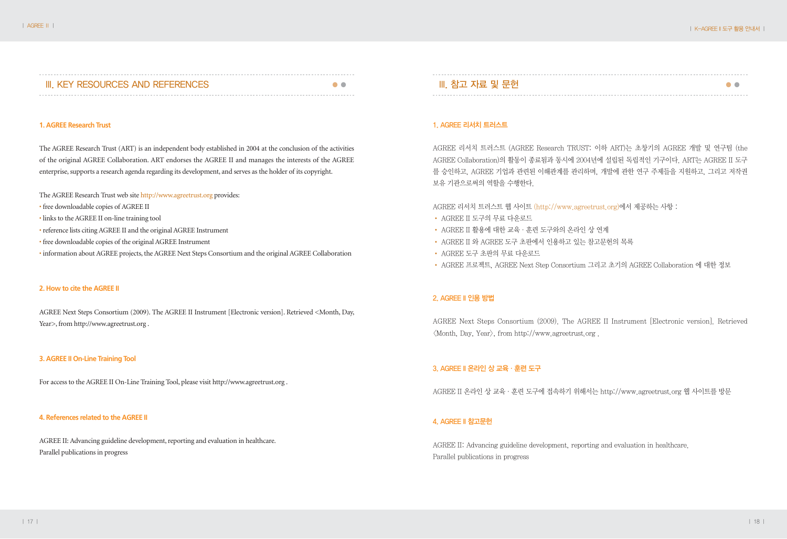# III. KEY RESOURCES AND REFERENCES ●●

## **1. AGREE Research Trust**

The AGREE Research Trust (ART) is an independent body established in 2004 at the conclusion of the activities of the original AGREE Collaboration. ART endorses the AGREE II and manages the interests of the AGREE enterprise, supports a research agenda regarding its development, and serves as the holder of its copyright.

The AGREE Research Trust web site http://www.agreetrust.org provides:

- free downloadable copies of AGREE II
- links to the AGREE II on-line training tool
- reference lists citing AGREE II and the original AGREE Instrument
- free downloadable copies of the original AGREE Instrument
- information about AGREE projects, the AGREE Next Steps Consortium and the original AGREE Collaboration

## **2. How to cite the AGREE II**

AGREE Next Steps Consortium (2009). The AGREE II Instrument [Electronic version]. Retrieved <Month, Day, Year>, from http://www.agreetrust.org.

### **3. AGREE II On-Line Training Tool**

For access to the AGREE II On-Line Training Tool, please visit http://www.agreetrust.org .

### **4. References related to the AGREE II**

AGREE II: Advancing guideline development, reporting and evaluation in healthcare. Parallel publications in progress

# III. 참고 자료 및 문헌 ●●

## 1. AGREE 리서치 트러스트

AGREE 리서치 트러스트 (AGREE Research TRUST: 이하 ART)는 초창기의 AGREE 개발 및 연구팀 (the AGREE Collaboration)의 활동이 종료됨과 동시에 2004년에 설립된 독립적인 기구이다. ART는 AGREE II 도구 를 승인하고, AGREE 기업과 관련된 이해관계를 관리하며, 개발에 관한 연구 주제들을 지원하고, 그리고 저작권 보유 기관으로써의 역할을 수행한다.

AGREE 리서치 트러스트 웹 사이트 (http://www.agreetrust.org)에서 제공하는 사항 :

- AGREE II 도구의 무료 다운로드
- AGREE II 활용에 대한 교육·훈련 도구와의 온라인 상 연계
- AGREE II 와 AGREE 도구 초판에서 인용하고 있는 참고문헌의 목록
- AGREE 도구 초판의 무료 다운로드
- AGREE 프로젝트, AGREE Next Step Consortium 그리고 초기의 AGREE Collaboration 에 대한 정보

# 2. AGREE II 인용 방법

AGREE Next Steps Consortium (2009). The AGREE II Instrument [Electronic version]. Retrieved <Month, Day, Year>, from http://www.agreetrust.org .

# 3. AGREE II 온라인 상 교육·훈련 도구

AGREE II 온라인 상 교육·훈련 도구에 접속하기 위해서는 http://www.agreetrust.org 웹 사이트를 방문

## 4. AGREE II 참고문헌

AGREE II: Advancing guideline development, reporting and evaluation in healthcare. Parallel publications in progress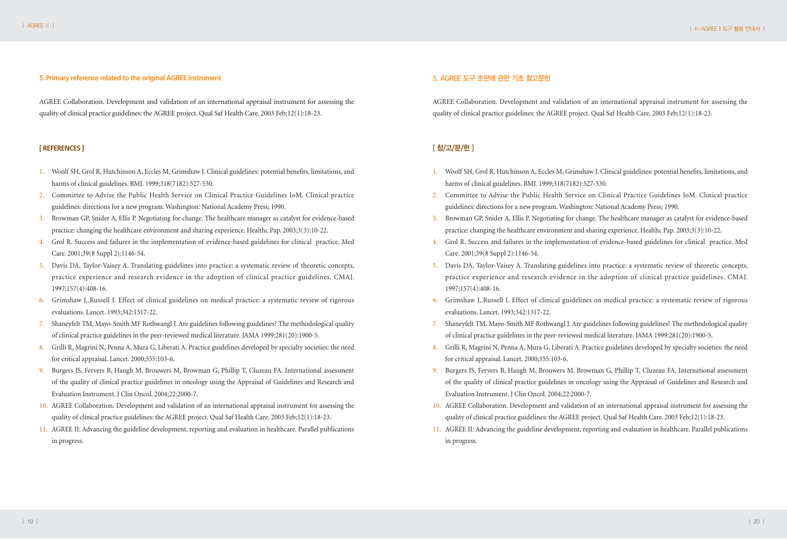# **5. Primary reference related to the original AGREE Instrument**

AGREE Collaboration. Development and validation of an international appraisal instrument for assessing the quality of clinical practice guidelines: the AGREE project. Qual Saf Health Care. 2003 Feb;12(1):18-23.

# **[ REFERENCES ]**

- 1. Woolf SH, Grol R, Hutchinson A, Eccles M, Grimshaw J. Clinical guidelines: potential benefits, limitations, and harms of clinical guidelines. BMJ. 1999;318(7182):527-530.
- 2. Committee to Advise the Public Health Service on Clinical Practice Guidelines IoM. Clinical practice guidelines: directions for a new program. Washington: National Academy Press; 1990.
- 3. Browman GP, Snider A, Ellis P. Negotiating for change. The healthcare manager as catalyst for evidence-based practice: changing the healthcare environment and sharing experience. Healthc Pap. 2003;3(3):10-22.
- 4. Grol R. Success and failures in the implementation of evidence-based guidelines for clinical practice. Med Care. 2001;39(8 Suppl 2):1146-54.
- 5. Davis DA, Taylor-Vaisey A. Translating guidelines into practice: a systematic review of theoretic concepts, practice experience and research evidence in the adoption of clinical practice guidelines. CMAJ. 1997;157(4):408-16.
- 6. Grimshaw J,.Russell I. Effect of clinical guidelines on medical practice: a systematic review of rigorous evaluations. Lancet. 1993;342:1317-22.
- 7. Shaneyfelt TM, Mayo-Smith MF Rothwangl J. Are guidelines following guidelines? The methodological quality of clinical practice guidelines in the peer-reviewed medical literature. JAMA 1999:281(20):1900-5.
- 8. Grilli R, Magrini N, Penna A, Mura G, Liberati A. Practice guidelines developed by specialty societies: the need for critical appraisal. Lancet. 2000;355:103-6.
- 9. Burgers JS, Fervers B, Haugh M, Brouwers M, Browman G, Phillip T, Cluzeau FA. International assessment of the quality of clinical practice guidelines in oncology using the Appraisal of Guidelines and Research and Evaluation Instrument. J Clin Oncol. 2004;22:2000-7.
- 10. AGREE Collaboration. Development and validation of an international appraisal instrument for assessing the quality of clinical practice guidelines: the AGREE project. Qual Saf Health Care. 2003 Feb;12(1):18-23.
- 11. AGREE II: Advancing the guideline development, reporting and evaluation in healthcare. Parallel publications in progress.

# 5. AGREE 도구 초판에 관한 기초 참고문헌

AGREE Collaboration. Development and validation of an international appraisal instrument for assessing the quality of clinical practice guidelines: the AGREE project. Qual Saf Health Care. 2003 Feb;12(1):18-23.

# [ 참/고/문/헌 ]

- 1. Woolf SH, Grol R, Hutchinson A, Eccles M, Grimshaw J. Clinical guidelines: potential benefits, limitations, and harms of clinical guidelines. BMJ. 1999;318(7182):527-530.
- 2. Committee to Advise the Public Health Service on Clinical Practice Guidelines IoM. Clinical practice guidelines: directions for a new program. Washington: National Academy Press; 1990.
- 3. Browman GP, Snider A, Ellis P. Negotiating for change. The healthcare manager as catalyst for evidence-based practice: changing the healthcare environment and sharing experience. Healthc Pap. 2003;3(3):10-22.
- 4. Grol R. Success and failures in the implementation of evidence-based guidelines for clinical practice. Med Care. 2001;39(8 Suppl 2):1146-54.
- 5. Davis DA, Taylor-Vaisey A. Translating guidelines into practice: a systematic review of theoretic concepts, practice experience and research evidence in the adoption of clinical practice guidelines. CMAJ. 1997;157(4):408-16.
- 6. Grimshaw J,.Russell I. Effect of clinical guidelines on medical practice: a systematic review of rigorous evaluations. Lancet. 1993;342:1317-22.
- 7. Shaneyfelt TM, Mayo-Smith MF Rothwangl J. Are guidelines following guidelines? The methodological quality of clinical practice guidelines in the peer-reviewed medical literature. JAMA 1999:281(20):1900-5.
- 8. Grilli R, Magrini N, Penna A, Mura G, Liberati A. Practice guidelines developed by specialty societies: the need for critical appraisal. Lancet. 2000;355:103-6.
- 9. Burgers JS, Fervers B, Haugh M, Brouwers M, Browman G, Phillip T, Cluzeau FA. International assessment of the quality of clinical practice guidelines in oncology using the Appraisal of Guidelines and Research and Evaluation Instrument. J Clin Oncol. 2004;22:2000-7.
- 10. AGREE Collaboration. Development and validation of an international appraisal instrument for assessing the quality of clinical practice guidelines: the AGREE project. Qual Saf Health Care. 2003 Feb;12(1):18-23.
- 11. AGREE II: Advancing the guideline development, reporting and evaluation in healthcare. Parallel publications in progress.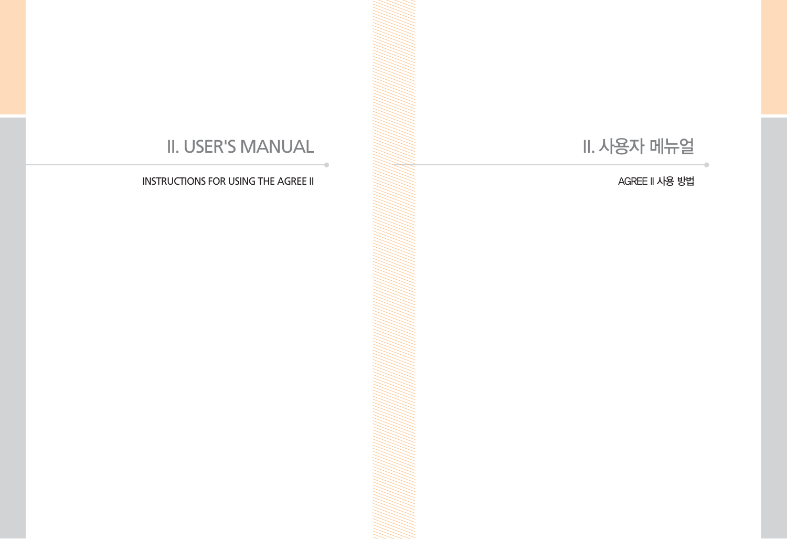# II. 사용자 메뉴얼

# II. USER'S MANUAL

INSTRUCTIONS FOR USING THE AGREE II  $\geqslant\geqslant\geqslant\cdots$  and  $\geqslant\preceq\preceq\cdots$  and  $\geqslant\preceq\cdots$  and  $\geqslant\preceq\cdots$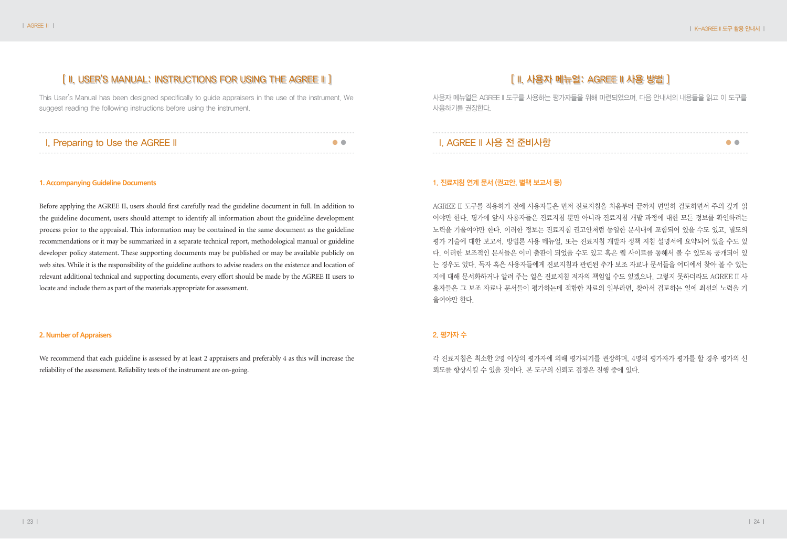# [ II. USER'S MANUAL: INSTRUCTIONS FOR USING THE AGREE II ]

This User's Manual has been designed specifically to guide appraisers in the use of the instrument. We suggest reading the following instructions before using the instrument.

|  | I. Preparing to Use the AGREE II |  |
|--|----------------------------------|--|
|--|----------------------------------|--|

# **1. Accompanying Guideline Documents**

Before applying the AGREE II, users should first carefully read the guideline document in full. In addition to the guideline document, users should attempt to identify all information about the guideline development process prior to the appraisal. This information may be contained in the same document as the guideline recommendations or it may be summarized in a separate technical report, methodological manual or guideline developer policy statement. These supporting documents may be published or may be available publicly on web sites. While it is the responsibility of the guideline authors to advise readers on the existence and location of relevant additional technical and supporting documents, every effort should be made by the AGREE II users to locate and include them as part of the materials appropriate for assessment.

## **2. Number of Appraisers**

We recommend that each guideline is assessed by at least 2 appraisers and preferably 4 as this will increase the reliability of the assessment. Reliability tests of the instrument are on-going.

# [ II. 사용자 메뉴얼: AGREE II 사용 방법 ]

사용자 메뉴얼은 AGREE II 도구를 사용하는 평가자들을 위해 마련되었으며, 다음 안내서의 내용들을 읽고 이 도구를 사용하기를 권장한다.

# I. AGREE II 사용 전 준비사항 ●●

# 1. 진료지침 연계 문서 (권고안, 별책 보고서 등)

AGREE II 도구를 적용하기 전에 사용자들은 먼저 진료지침을 처음부터 끝까지 면밀히 검토하면서 주의 깊게 읽 어야만 한다. 평가에 앞서 사용자들은 진료지침 뿐만 아니라 진료지침 개발 과정에 대한 모든 정보를 확인하려는 노력을 기울여야만 한다. 이러한 정보는 진료지침 권고안처럼 동일한 문서내에 포함되어 있을 수도 있고, 별도의 평가 기술에 대한 보고서, 방법론 사용 메뉴얼, 또는 진료지침 개발자 정책 지침 설명서에 요약되어 있을 수도 있 다. 이러한 보조적인 문서들은 이미 출판이 되었을 수도 있고 혹은 웹 사이트를 통해서 볼 수 있도록 공개되어 있 는 경우도 있다. 독자 혹은 사용자들에게 진료지침과 관련된 추가 보조 자료나 문서들을 어디에서 찾아 볼 수 있는 지에 대해 문서화하거나 알려 주는 일은 진료지침 저자의 책임일 수도 있겠으나, 그렇지 못하더라도 AGREE II 사 용자들은 그 보조 자료나 문서들이 평가하는데 적합한 자료의 일부라면, 찾아서 검토하는 일에 최선의 노력을 기 울여야만 한다.

# 2. 평가자 수

각 진료지침은 최소한 2명 이상의 평가자에 의해 평가되기를 권장하며, 4명의 평가자가 평가를 할 경우 평가의 신 뢰도를 향상시킬 수 있을 것이다. 본 도구의 신뢰도 검정은 진행 중에 있다.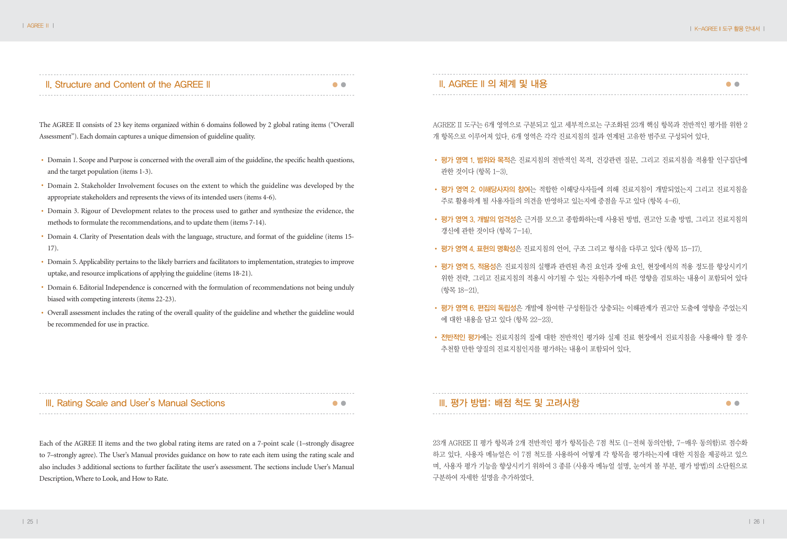# II. Structure and Content of the AGREE II ●●

The AGREE II consists of 23 key items organized within 6 domains followed by 2 global rating items ("Overall Assessment"). Each domain captures a unique dimension of guideline quality.

- Domain 1. Scope and Purpose is concerned with the overall aim of the guideline, the specific health questions, and the target population (items 1-3).
- Domain 2. Stakeholder Involvement focuses on the extent to which the guideline was developed by the appropriate stakeholders and represents the views of its intended users (items 4-6).
- Domain 3. Rigour of Development relates to the process used to gather and synthesize the evidence, the methods to formulate the recommendations, and to update them (items 7-14).
- Domain 4. Clarity of Presentation deals with the language, structure, and format of the guideline (items 15- 17).
- Domain 5. Applicability pertains to the likely barriers and facilitators to implementation, strategies to improve uptake, and resource implications of applying the guideline (items 18-21).
- Domain 6. Editorial Independence is concerned with the formulation of recommendations not being unduly biased with competing interests (items 22-23).
- Overall assessment includes the rating of the overall quality of the guideline and whether the guideline would be recommended for use in practice.

# II. AGREE II 의 체계 및 내용 ●●

AGREE II 도구는 6개 영역으로 구분되고 있고 세부적으로는 구조화된 23개 핵심 항목과 전반적인 평가를 위한 2 개 항목으로 이루어져 있다. 6개 영역은 각각 진료지침의 질과 연계된 고유한 범주로 구성되어 있다.

- 평가 영역 1. 범위와 목적은 진료지침의 전반적인 목적, 건강관련 질문, 그리고 진료지침을 적용할 인구집단에 관한 것이다 (항목 1-3).
- 평가 영역 2. 이해당사자의 참여는 적합한 이해당사자들에 의해 진료지침이 개발되었는지 그리고 진료지침을 주로 활용하게 될 사용자들의 의견을 반영하고 있는지에 중점을 두고 있다 (항목 4-6).
- 평가 영역 3. 개발의 엄격성은 근거를 모으고 종합화하는데 사용된 방법, 권고안 도출 방법, 그리고 진료지침의 갱신에 관한 것이다 (항목 7-14).
- 평가 영역 4. 표현의 명확성은 진료지침의 언어, 구조 그리고 형식을 다루고 있다 (항목 15-17).
- 평가 영역 5. 적용성은 진료지침의 실행과 관련된 촉진 요인과 장애 요인, 현장에서의 적용 정도를 향상시키기 위한 전략, 그리고 진료지침의 적용시 야기될 수 있는 자원추가에 따른 영향을 검토하는 내용이 포함되어 있다 (항목 18-21).
- 평가 영역 6. 편집의 독립성은 개발에 참여한 구성원들간 상충되는 이해관계가 권고안 도출에 영향을 주었는지 에 대한 내용을 담고 있다 (항목 22-23).
- 전반적인 평가에는 진료지침의 질에 대한 전반적인 평가와 실제 진료 현장에서 진료지침을 사용해야 할 경우 추천할 만한 양질의 진료지침인지를 평가하는 내용이 포함되어 있다.

III. 평가 방법: 배점 척도 및 고려사항 ●●

23개 AGREE II 평가 항목과 2개 전반적인 평가 항목들은 7점 척도 (1-전혀 동의안함, 7-매우 동의함)로 점수화 하고 있다. 사용자 메뉴얼은 이 7점 척도를 사용하여 어떻게 각 항목을 평가하는지에 대한 지침을 제공하고 있으 며, 사용자 평가 기능을 향상시키기 위하여 3 종류 (사용자 메뉴얼 설명, 눈여겨 볼 부분, 평가 방법)의 소단원으로 구분하여 자세한 설명을 추가하였다.

# III. Rating Scale and User's Manual Sections ●●

Each of the AGREE II items and the two global rating items are rated on a 7-point scale (1–strongly disagree to 7–strongly agree). The User's Manual provides guidance on how to rate each item using the rating scale and also includes 3 additional sections to further facilitate the user's assessment. The sections include User's Manual Description, Where to Look, and How to Rate.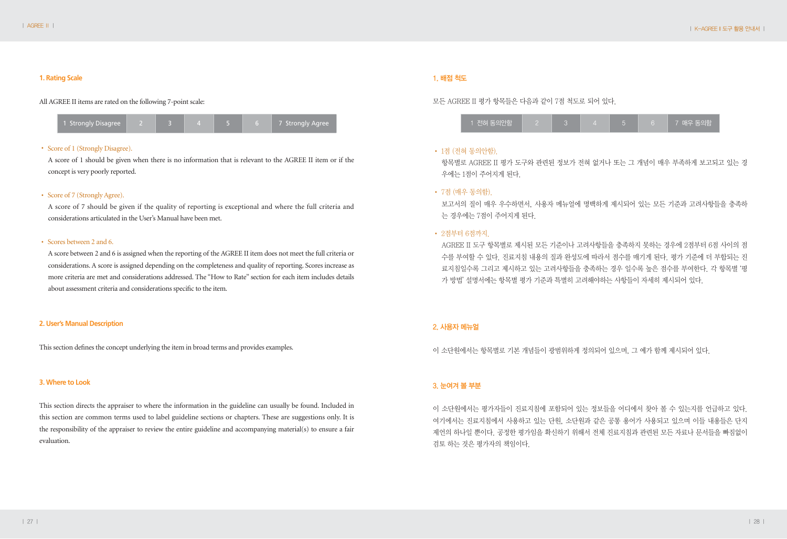# **1. Rating Scale**

All AGREE II items are rated on the following 7-point scale:



# • Score of 1 (Strongly Disagree).

 A score of 1 should be given when there is no information that is relevant to the AGREE II item or if the concept is very poorly reported.

# • Score of 7 (Strongly Agree).

 A score of 7 should be given if the quality of reporting is exceptional and where the full criteria and considerations articulated in the User's Manual have been met.

## • Scores between 2 and 6.

 A score between 2 and 6 is assigned when the reporting of the AGREE II item does not meet the full criteria or considerations. A score is assigned depending on the completeness and quality of reporting. Scores increase as more criteria are met and considerations addressed. The "How to Rate" section for each item includes details about assessment criteria and considerations specific to the item.

# **2. User's Manual Description**

This section defines the concept underlying the item in broad terms and provides examples.

## **3. Where to Look**

This section directs the appraiser to where the information in the guideline can usually be found. Included in this section are common terms used to label guideline sections or chapters. These are suggestions only. It is the responsibility of the appraiser to review the entire guideline and accompanying material(s) to ensure a fair evaluation.

# 1. 배점 척도

모든 AGREE II 평가 항목들은 다음과 같이 7점 척도로 되어 있다.



# • 1점 (전혀 동의안함).

 항목별로 AGREE II 평가 도구와 관련된 정보가 전혀 없거나 또는 그 개념이 매우 부족하게 보고되고 있는 경 우에는 1점이 주어지게 된다.

# • 7점 (매우 동의함).

 보고서의 질이 매우 우수하면서, 사용자 메뉴얼에 명백하게 제시되어 있는 모든 기준과 고려사항들을 충족하 는 경우에는 7점이 주어지게 된다.

# • 2점부터 6점까지.

 AGREE II 도구 항목별로 제시된 모든 기준이나 고려사항들을 충족하지 못하는 경우에 2점부터 6점 사이의 점 수를 부여할 수 있다. 진료지침 내용의 질과 완성도에 따라서 점수를 매기게 된다. 평가 기준에 더 부합되는 진 료지침일수록 그리고 제시하고 있는 고려사항들을 충족하는 경우 일수록 높은 점수를 부여한다. 각 항목별 '평 가 방법' 설명서에는 항목별 평가 기준과 특별히 고려해야하는 사항들이 자세히 제시되어 있다.

# 2. 사용자 메뉴얼

이 소단원에서는 항목별로 기본 개념들이 광범위하게 정의되어 있으며, 그 예가 함께 제시되어 있다.

# 3. 눈여겨 볼 부분

이 소단원에서는 평가자들이 진료지침에 포함되어 있는 정보들을 어디에서 찾아 볼 수 있는지를 언급하고 있다. 여기에서는 진료지침에서 사용하고 있는 단원, 소단원과 같은 공통 용어가 사용되고 있으며 이들 내용들은 단지 제언의 하나일 뿐이다. 공정한 평가임을 확신하기 위해서 전체 진료지침과 관련된 모든 자료나 문서들을 빠짐없이 검토 하는 것은 평가자의 책임이다.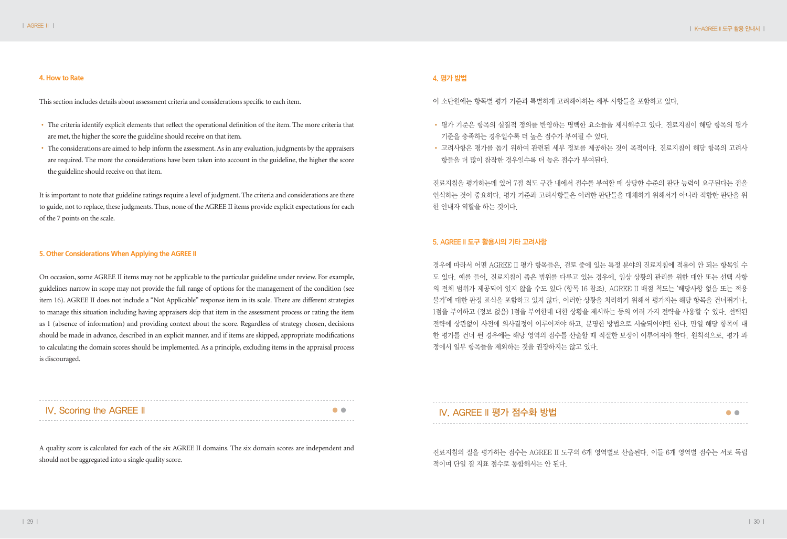## **4. How to Rate**

This section includes details about assessment criteria and considerations specific to each item.

- The criteria identify explicit elements that reflect the operational definition of the item. The more criteria that are met, the higher the score the guideline should receive on that item.
- The considerations are aimed to help inform the assessment. As in any evaluation, judgments by the appraisers are required. The more the considerations have been taken into account in the guideline, the higher the score the guideline should receive on that item.

It is important to note that guideline ratings require a level of judgment. The criteria and considerations are there to guide, not to replace, these judgments. Thus, none of the AGREE II items provide explicit expectations for each of the 7 points on the scale.

## **5. Other Considerations When Applying the AGREE II**

On occasion, some AGREE II items may not be applicable to the particular guideline under review. For example, guidelines narrow in scope may not provide the full range of options for the management of the condition (see item 16). AGREE II does not include a "Not Applicable" response item in its scale. There are different strategies to manage this situation including having appraisers skip that item in the assessment process or rating the item as 1 (absence of information) and providing context about the score. Regardless of strategy chosen, decisions should be made in advance, described in an explicit manner, and if items are skipped, appropriate modifications to calculating the domain scores should be implemented. As a principle, excluding items in the appraisal process is discouraged.

# 4. 평가 방법

이 소단원에는 항목별 평가 기준과 특별하게 고려해야하는 세부 사항들을 포함하고 있다.

- 평가 기준은 항목의 실질적 정의를 반영하는 명백한 요소들을 제시해주고 있다. 진료지침이 해당 항목의 평가 기준을 충족하는 경우일수록 더 높은 점수가 부여될 수 있다.
- 고려사항은 평가를 돕기 위하여 관련된 세부 정보를 제공하는 것이 목적이다. 진료지침이 해당 항목의 고려사 항들을 더 많이 참작한 경우일수록 더 높은 점수가 부여된다.

진료지침을 평가하는데 있어 7점 척도 구간 내에서 점수를 부여할 때 상당한 수준의 판단 능력이 요구된다는 점을 인식하는 것이 중요하다. 평가 기준과 고려사항들은 이러한 판단들을 대체하기 위해서가 아니라 적합한 판단을 위 한 안내자 역할을 하는 것이다.

# 5. AGREE II 도구 활용시의 기타 고려사항

경우에 따라서 어떤 AGREE II 평가 항목들은, 검토 중에 있는 특정 분야의 진료지침에 적용이 안 되는 항목일 수 도 있다. 예를 들어, 진료지침이 좁은 범위를 다루고 있는 경우에, 임상 상황의 관리를 위한 대안 또는 선택 사항 의 전체 범위가 제공되어 있지 않을 수도 있다 (항목 16 참조). AGREE II 배점 척도는 '해당사항 없음 또는 적용 불가'에 대한 판정 표식을 포함하고 있지 않다. 이러한 상황을 처리하기 위해서 평가자는 해당 항목을 건너뛰거나, 1점을 부여하고 (정보 없음) 1점을 부여한데 대한 상황을 제시하는 등의 여러 가지 전략을 사용할 수 있다. 선택된 전략에 상관없이 사전에 의사결정이 이루어져야 하고, 분명한 방법으로 서술되어야만 한다. 만일 해당 항목에 대 한 평가를 건너 뛴 경우에는 해당 영역의 점수를 산출할 때 적절한 보정이 이루어져야 한다. 원칙적으로, 평가 과 정에서 일부 항목들을 제외하는 것을 권장하지는 않고 있다.

IV. Scoring the AGREE II  $\bullet \bullet$ 

A quality score is calculated for each of the six AGREE II domains. The six domain scores are independent and should not be aggregated into a single quality score.

IV. AGREE II 평가 점수화 방법 ●●

진료지침의 질을 평가하는 점수는 AGREE II 도구의 6개 영역별로 산출된다. 이들 6개 영역별 점수는 서로 독립 적이며 단일 질 지표 점수로 통합해서는 안 된다.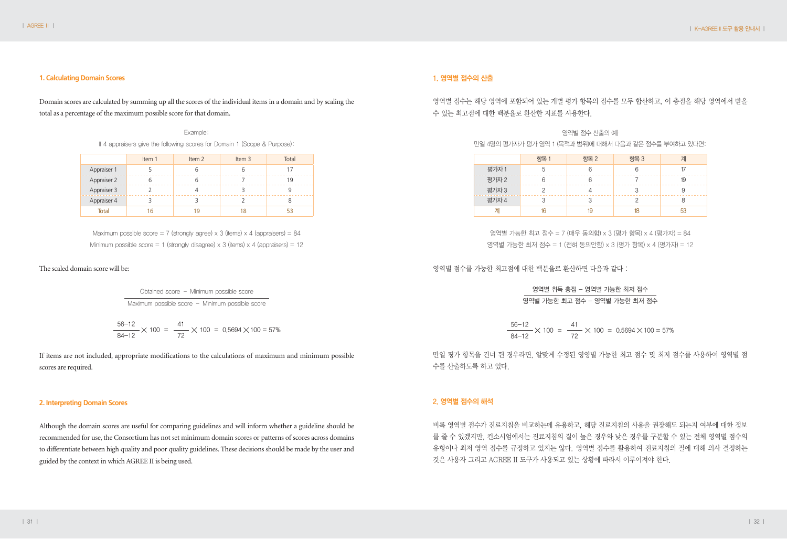# **1. Calculating Domain Scores**

Domain scores are calculated by summing up all the scores of the individual items in a domain and by scaling the total as a percentage of the maximum possible score for that domain.

#### Example:

If 4 appraisers give the following scores for Domain 1 (Scope & Purpose):

|             | Item 1 | Item 2 | Item 3 | Total |
|-------------|--------|--------|--------|-------|
| Appraiser 1 |        |        |        |       |
| Appraiser 2 |        |        |        |       |
| Appraiser 3 |        |        |        |       |
| Appraiser 4 |        |        |        |       |
| Total       |        |        |        |       |

Maximum possible score = 7 (strongly agree)  $\times$  3 (items)  $\times$  4 (appraisers) = 84 Minimum possible score = 1 (strongly disagree)  $\times$  3 (items)  $\times$  4 (appraisers) = 12

The scaled domain score will be:

Obtained score – Minimum possible score Maximum possible score – Minimum possible score

$$
\frac{56-12}{84-12} \times 100 = \frac{41}{72} \times 100 = 0.5694 \times 100 = 57\%
$$

If items are not included, appropriate modifications to the calculations of maximum and minimum possible scores are required.

#### **2. Interpreting Domain Scores**

Although the domain scores are useful for comparing guidelines and will inform whether a guideline should be recommended for use, the Consortium has not set minimum domain scores or patterns of scores across domains to differentiate between high quality and poor quality guidelines. These decisions should be made by the user and guided by the context in which AGREE II is being used.

# 1. 영역별 점수의 산출

영역별 점수는 해당 영역에 포함되어 있는 개별 평가 항목의 점수를 모두 합산하고, 이 총점을 해당 영역에서 받을 수 있는 최고점에 대한 백분율로 환산한 지표를 사용한다.

# 영역별 점수 산출의 예) 만일 4명의 평가자가 평가 영역 1 (목적과 범위)에 대해서 다음과 같은 점수를 부여하고 있다면:

|       | 항목1 | 항목 2 | 항목 3 |  |
|-------|-----|------|------|--|
| 평가자 1 |     |      |      |  |
| 평가자 2 |     |      |      |  |
| 평가자 3 |     |      |      |  |
| 평가자 4 |     |      |      |  |
|       |     |      |      |  |

영역별 가능한 최고 점수 = 7 (매우 동의함) x 3 (평가 항목) x 4 (평가자) = 84 영역별 가능한 최저 점수 = 1 (전혀 동의안함) x 3 (평가 항목) x 4 (평가자) = 12

영역별 점수를 가능한 최고점에 대한 백분율로 환산하면 다음과 같다 :

영역별 취득 총점 - 영역별 가능한 최저 점수

영역별 가능한 최고 점수 - 영역별 가능한 최저 점수

$$
\frac{56-12}{84-12} \times 100 = \frac{41}{72} \times 100 = 0.5694 \times 100 = 57\%
$$

만일 평가 항목을 건너 뛴 경우라면, 알맞게 수정된 영영별 가능한 최고 점수 및 최저 점수를 사용하여 영역별 점 수를 산출하도록 하고 있다.

# 2. 영역별 점수의 해석

비록 영역별 점수가 진료지침을 비교하는데 유용하고, 해당 진료지침의 사용을 권장해도 되는지 여부에 대한 정보 를 줄 수 있겠지만, 컨소시엄에서는 진료지침의 질이 높은 경우와 낮은 경우를 구분할 수 있는 전체 영역별 점수의 유형이나 최저 영역 점수를 규정하고 있지는 않다. 영역별 점수를 활용하여 진료지침의 질에 대해 의사 결정하는 것은 사용자 그리고 AGREE II 도구가 사용되고 있는 상황에 따라서 이루어져야 한다.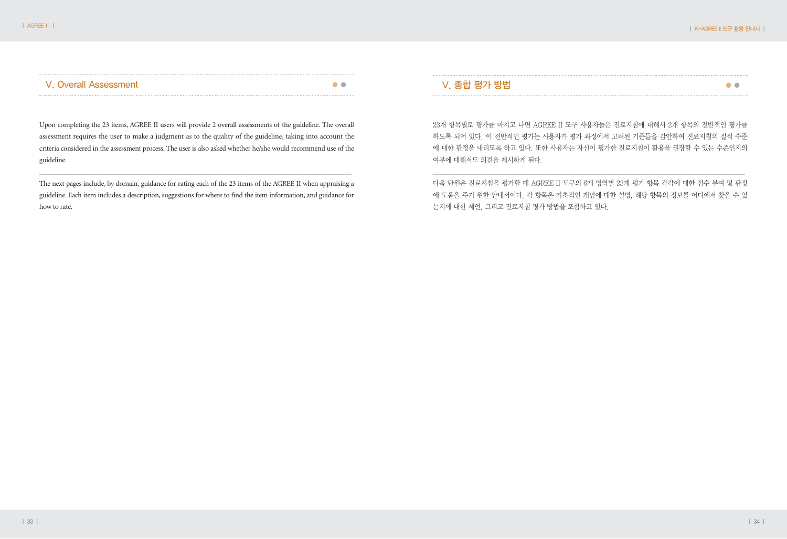| V. Overall Assessment |  | $\bullet$ |  |
|-----------------------|--|-----------|--|
|-----------------------|--|-----------|--|

Upon completing the 23 items, AGREE II users will provide 2 overall assessments of the guideline. The overall assessment requires the user to make a judgment as to the quality of the guideline, taking into account the criteria considered in the assessment process. The user is also asked whether he/she would recommend use of the guideline.

The next pages include, by domain, guidance for rating each of the 23 items of the AGREE II when appraising a guideline. Each item includes a description, suggestions for where to find the item information, and guidance for how to rate.

\_\_\_\_\_\_\_\_\_\_\_\_\_\_\_\_\_\_\_\_\_\_\_\_\_\_\_\_\_\_\_\_\_\_\_\_\_\_\_\_\_\_\_\_\_\_\_\_\_\_\_\_\_\_\_\_\_\_\_\_\_\_\_\_\_\_\_\_\_\_\_\_\_\_\_\_\_\_\_\_\_\_\_\_\_\_\_\_\_

 $V$ . 종합 평가 방법  $\bullet \bullet$ 

23개 항목별로 평가를 마치고 나면 AGREE II 도구 사용자들은 진료지침에 대해서 2개 항목의 전반적인 평가를 하도록 되어 있다. 이 전반적인 평가는 사용자가 평가 과정에서 고려된 기준들을 감안하여 진료지침의 질적 수준 에 대한 판정을 내리도록 하고 있다. 또한 사용자는 자신이 평가한 진료지침이 활용을 권장할 수 있는 수준인지의 여부에 대해서도 의견을 제시하게 된다.

다음 단원은 진료지침을 평가할 때 AGREE II 도구의 6개 영역별 23개 평가 항목 각각에 대한 점수 부여 및 판정 에 도움을 주기 위한 안내서이다. 각 항목은 기초적인 개념에 대한 설명, 해당 항목의 정보를 어디에서 찾을 수 있 는지에 대한 제언, 그리고 진료지침 평가 방법을 포함하고 있다.

\_\_\_\_\_\_\_\_\_\_\_\_\_\_\_\_\_\_\_\_\_\_\_\_\_\_\_\_\_\_\_\_\_\_\_\_\_\_\_\_\_\_\_\_\_\_\_\_\_\_\_\_\_\_\_\_\_\_\_\_\_\_\_\_\_\_\_\_\_\_\_\_\_\_\_\_\_\_\_\_\_\_\_\_\_\_\_\_\_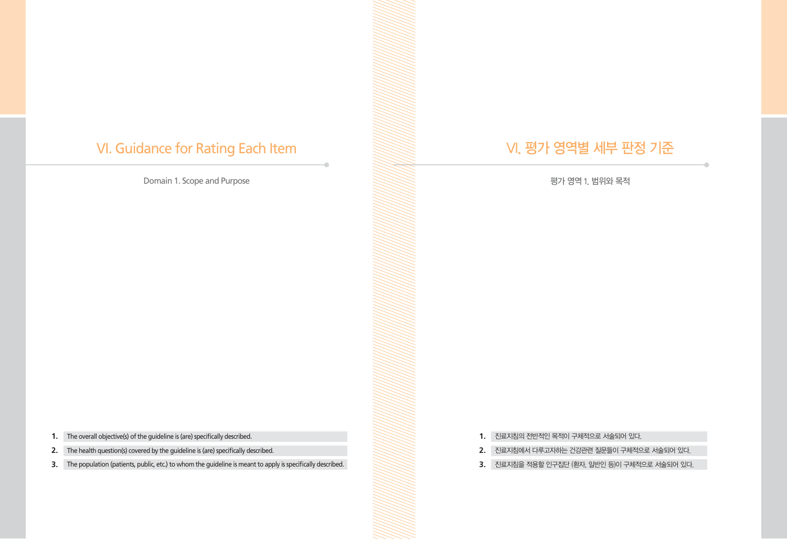# VI. Guidance for Rating Each Item

Domain 1. Scope and Purpose

# VI. 평가 영역별 세부 판정 기준

평가 영역 1. 범위와 목적

**1.** The overall objective(s) of the guideline is (are) specifically described.

**2.** The health question(s) covered by the guideline is (are) specifically described.

**3.** The population (patients, public, etc.) to whom the guideline is meant to apply is specifically described.

- **1.** 진료지침의 전반적인 목적이 구체적으로 서술되어 있다.
- **2.** 진료지침에서 다루고자하는 건강관련 질문들이 구체적으로 서술되어 있다.
- **3.** 진료지침을 적용할 인구집단 (환자, 일반인 등)이 구체적으로 서술되어 있다.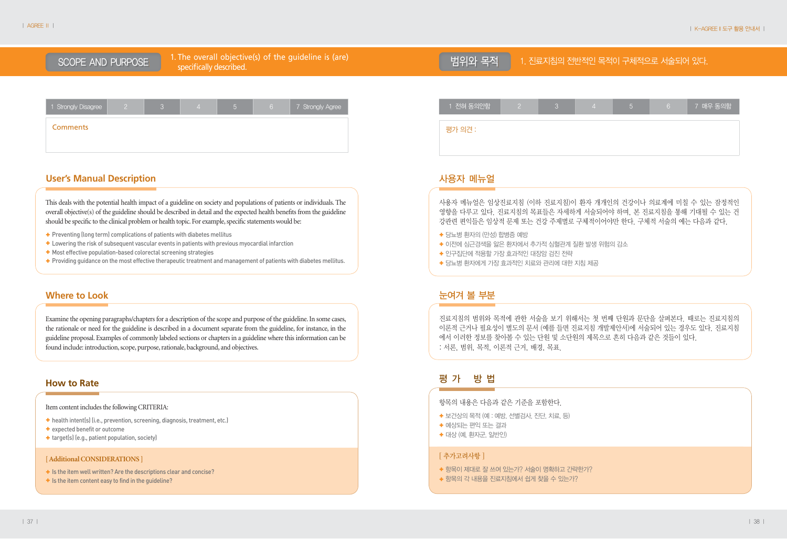# SCOPE AND PURPOSE Specifically described.

1. The overall objective(s) of the guideline is (are)



범위와 목적 | 1. 진료지침의 전반적인 목적이 구체적으로 서술되어 있다.

| 1 Strongly Disagree |  | C. | 6 | 7 Strongly Agree |
|---------------------|--|----|---|------------------|
| <b>Comments</b>     |  |    |   |                  |
|                     |  |    |   |                  |

# **User's Manual Description**

This deals with the potential health impact of a guideline on society and populations of patients or individuals. The overall objective(s) of the guideline should be described in detail and the expected health benefits from the guideline should be specific to the clinical problem or health topic. For example, specific statements would be:

- **← Preventing (long term) complications of patients with diabetes mellitus**
- $+$  Lowering the risk of subsequent vascular events in patients with previous myocardial infarction
- ✚ Most effective population-based colorectal screening strategies
- + Providing guidance on the most effective therapeutic treatment and management of patients with diabetes mellitus.

# **Where to Look**

Examine the opening paragraphs/chapters for a description of the scope and purpose of the guideline. In some cases, the rationale or need for the guideline is described in a document separate from the guideline, for instance, in the guideline proposal. Examples of commonly labeled sections or chapters in a guideline where this information can be found include: introduction, scope, purpose, rationale, background, and objectives.

# **How to Rate**

# Item content includes the following CRITERIA:

- ✚ health intent(s) (i.e., prevention, screening, diagnosis, treatment, etc.)
- ✚ expected benefit or outcome
- ✚ target(s) (e.g., patient population, society)

### **[ Additional CONSIDERATIONS ]**

- ✚ Is the item well written? Are the descriptions clear and concise?
- ✚ Is the item content easy to find in the guideline?

| 1 전혀 동의안함 | 3 |  | 6 | $\overline{\phantom{a}}$ 7  매우 동의함 $\overline{\phantom{a}}$ |
|-----------|---|--|---|-------------------------------------------------------------|
| 평가 의견 :   |   |  |   |                                                             |
|           |   |  |   |                                                             |
|           |   |  |   |                                                             |

# 사용자 메뉴얼

사용자 메뉴얼은 임상진료지침 (이하 진료지침)이 환자 개개인의 건강이나 의료계에 미칠 수 있는 잠정적인 영향을 다루고 있다. 진료지침의 목표들은 자세하게 서술되어야 하며, 본 진료지침을 통해 기대될 수 있는 건 강관련 편익들은 임상적 문제 또는 건강 주제별로 구체적이어야만 한다. 구체적 서술의 예는 다음과 같다.

- ✚ 당뇨병 환자의 (만성) 합병증 예방
- ✚ 이전에 심근경색을 앓은 환자에서 추가적 심혈관계 질환 발생 위험의 감소
- ✚ 인구집단에 적용할 가장 효과적인 대장암 검진 전략
- ✚ 당뇨병 환자에게 가장 효과적인 치료와 관리에 대한 지침 제공

# 눈여겨 볼 부분

진료지침의 범위와 목적에 관한 서술을 보기 위해서는 첫 번째 단원과 문단을 살펴본다. 때로는 진료지침의 이론적 근거나 필요성이 별도의 문서 (예를 들면 진료지침 개발제안서)에 서술되어 있는 경우도 있다. 진료지침 에서 이러한 정보를 찾아볼 수 있는 단원 및 소단원의 제목으로 흔히 다음과 같은 것들이 있다. : 서론, 범위, 목적, 이론적 근거, 배경, 목표.

# 평가 방법

항목의 내용은 다음과 같은 기준을 포함한다.

- ✚ 보건상의 목적 (예 : 예방, 선별검사, 진단, 치료, 등)
- ✚ 예상되는 편익 또는 결과
- ✚ 대상 (예, 환자군, 일반인)

- ✚ 항목이 제대로 잘 쓰여 있는가? 서술이 명확하고 간략한가?
- ← 항목의 각 내용을 진료지침에서 쉽게 찾을 수 있는가?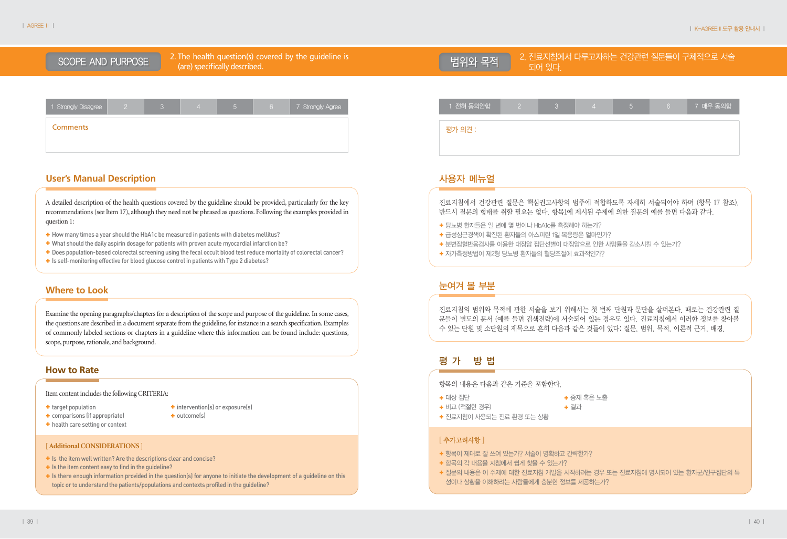# SCOPE AND PURPOSE **SCOPE** (are) specifically described.

2. The health question(s) covered by the guideline is



 $\frac{1}{2}$ 범위와 목적 2. 진료지침에서 다루고자하는 건강관련 질문들이 구체적으로 서술

| 1 Strongly Disagree |  |  | 6 | 7 Strongly Agree |
|---------------------|--|--|---|------------------|
| Comments            |  |  |   |                  |
|                     |  |  |   |                  |

# **User's Manual Description**

A detailed description of the health questions covered by the guideline should be provided, particularly for the key recommendations (see Item 17), although they need not be phrased as questions. Following the examples provided in question 1:

- ✚ How many times a year should the HbA1c be measured in patients with diabetes mellitus?
- ✚ What should the daily aspirin dosage for patients with proven acute myocardial infarction be?
- ✚ Does population-based colorectal screening using the fecal occult blood test reduce mortality of colorectal cancer?
- ✚ Is self-monitoring effective for blood glucose control in patients with Type 2 diabetes?

# **Where to Look**

Examine the opening paragraphs/chapters for a description of the scope and purpose of the guideline. In some cases, the questions are described in a document separate from the guideline, for instance in a search specification. Examples of commonly labeled sections or chapters in a guideline where this information can be found include: questions, scope, purpose, rationale, and background.

# **How to Rate**

## Item content includes the following CRITERIA:

- 
- **+** comparisons (if appropriate) ← outcome(s)
- ✚ health care setting or context
- ✚ target population ✚ intervention(s) or exposure(s)
	-

- **[ Additional CONSIDERATIONS ]**
- ✚ Is the item well written? Are the descriptions clear and concise?
- ✚ Is the item content easy to find in the guideline?
- ✚ Is there enough information provided in the question(s) for anyone to initiate the development of a guideline on this topic or to understand the patients/populations and contexts profiled in the guideline?

| 1 전혀 동의안함 | ⌒ | $\mathcal{L}$ | /6/ | 7 매우 동의함 |
|-----------|---|---------------|-----|----------|
| 평가 의견 :   |   |               |     |          |
|           |   |               |     |          |
|           |   |               |     |          |

# 사용자 메뉴얼

진료지침에서 건강관련 질문은 핵심권고사항의 범주에 적합하도록 자세히 서술되어야 하며 (항목 17 참조), 반드시 질문의 형태를 취할 필요는 없다. 항목1에 제시된 주제에 의한 질문의 예를 들면 다음과 같다.

- ✚ 당뇨병 환자들은 일 년에 몇 번이나 HbA1c를 측정해야 하는가?
- ✚ 급성심근경색이 확진된 환자들의 아스피린 1일 복용량은 얼마인가?
- ◆ 분변잠혈반응검사를 이용한 대장암 집단선별이 대장암으로 인한 사망률을 감소시킬 수 있는가?
- ✚ 자가측정방법이 제2형 당뇨병 환자들의 혈당조절에 효과적인가?

# 눈여겨 볼 부분

진료지침의 범위와 목적에 관한 서술을 보기 위해서는 첫 번째 단원과 문단을 살펴본다. 때로는 건강관련 질 문들이 별도의 문서 (예를 들면 검색전략)에 서술되어 있는 경우도 있다. 진료지침에서 이러한 정보를 찾아볼 수 있는 단원 및 소단원의 제목으로 흔히 다음과 같은 것들이 있다: 질문, 범위, 목적, 이론적 근거, 배경.

# 평가 방법

항목의 내용은 다음과 같은 기준을 포함한다.

- ✚ 대상 집단 ✚ 중재 혹은 노출
	-
- **+ 비교** (적절한 경우) ← 수출한 수출한 수출한 수출한
- ✚ 진료지침이 사용되는 진료 환경 또는 상황

- ✚ 항목이 제대로 잘 쓰여 있는가? 서술이 명확하고 간략한가?
- ✚ 항목의 각 내용을 지침에서 쉽게 찾을 수 있는가?
- ✚ 질문의 내용은 이 주제에 대한 진료지침 개발을 시작하려는 경우 또는 진료지침에 명시되어 있는 환자군/인구집단의 특 성이나 상황을 이해하려는 사람들에게 충분한 정보를 제공하는가?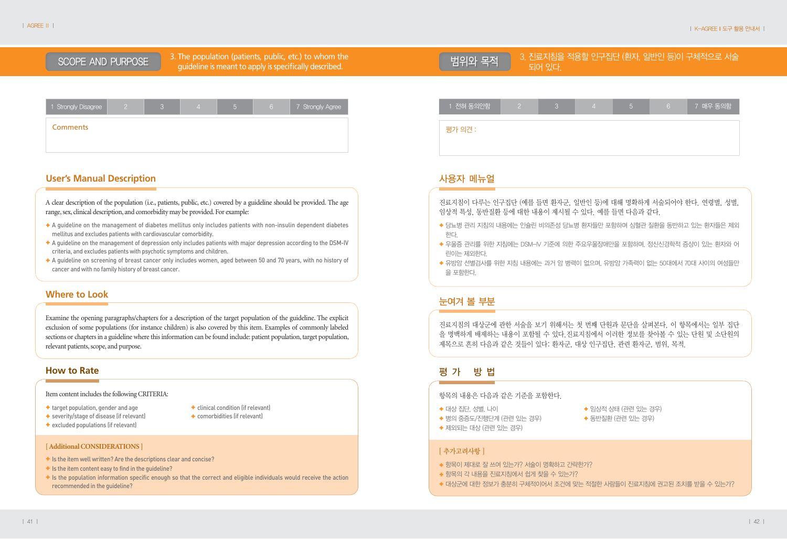3. The population (patients, public, etc.) to whom the SCOPE AND PURPOSE<br>guideline is meant to apply is specifically described.



3. 진료지침을 적용할 인구집단 (환자, 일반인 등)이 구체적으로 서술

| 1 Strongly Disagree |  |  | 6 | 7 Strongly Agree |
|---------------------|--|--|---|------------------|
| <b>Comments</b>     |  |  |   |                  |
|                     |  |  |   |                  |

# **User's Manual Description**

A clear description of the population (i.e., patients, public, etc.) covered by a guideline should be provided. The age range, sex, clinical description, and comorbidity may be provided. For example:

- ✚ A guideline on the management of diabetes mellitus only includes patients with non-insulin dependent diabetes mellitus and excludes patients with cardiovascular comorbidity.
- ✚ A guideline on the management of depression only includes patients with major depression according to the DSM-IV criteria, and excludes patients with psychotic symptoms and children.
- ✚ A guideline on screening of breast cancer only includes women, aged between 50 and 70 years, with no history of cancer and with no family history of breast cancer.

# **Where to Look**

Examine the opening paragraphs/chapters for a description of the target population of the guideline. The explicit exclusion of some populations (for instance children) is also covered by this item. Examples of commonly labeled sections or chapters in a guideline where this information can be found include: patient population, target population, relevant patients, scope, and purpose.

# **How to Rate**

# Item content includes the following CRITERIA:

- **+** target population, gender and age **← clinical condition (if relevant)**
- ✚ severity/stage of disease (if relevant) ✚ comorbidities (if relevant)
- ✚ excluded populations (if relevant)
- 
- 

# **[ Additional CONSIDERATIONS ]**

- ✚ Is the item well written? Are the descriptions clear and concise?
- $+$  Is the item content easy to find in the quideline?
- ✚ Is the population information specific enough so that the correct and eligible individuals would receive the action recommended in the guideline?

| $\overline{1}$ 1 전혀 동의안함 | 3 | 片 | $6 \overline{6}$ | 7 매우 동의함 |
|--------------------------|---|---|------------------|----------|
| 평가 의견 :                  |   |   |                  |          |
|                          |   |   |                  |          |

# 사용자 메뉴얼

진료지침이 다루는 인구집단 (예를 들면 환자군, 일반인 등)에 대해 명확하게 서술되어야 한다. 연령별, 성별, 임상적 특성, 동반질환 등에 대한 내용이 제시될 수 있다. 예를 들면 다음과 같다.

- ✚ 당뇨병 관리 지침의 내용에는 인슐린 비의존성 당뇨병 환자들만 포함하며 심혈관 질환을 동반하고 있는 환자들은 제외 한다.
- ✚ 우울증 관리를 위한 지침에는 DSM-IV 기준에 의한 주요우울장애만을 포함하며, 정신신경학적 증상이 있는 환자와 어 린이는 제외한다.
- ✚ 유방암 선별검사를 위한 지침 내용에는 과거 암 병력이 없으며, 유방암 가족력이 없는 50대에서 70대 사이의 여성들만 을 포함한다.

# 눈여겨 볼 부분

진료지침의 대상군에 관한 서술을 보기 위해서는 첫 번째 단원과 문단을 살펴본다. 이 항목에서는 일부 집단 을 명백하게 배제하는 내용이 포함될 수 있다.진료지침에서 이러한 정보를 찾아볼 수 있는 단원 및 소단원의 제목으로 흔히 다음과 같은 것들이 있다: 환자군, 대상 인구집단, 관련 환자군, 범위, 목적.

# 평가 방법

# 항목의 내용은 다음과 같은 기준을 포함한다.

- 
- **+** 병의 중증도/진행단계 (관련 있는 경우) ★ 동반질환 (관련 있는 경우)
- ✚ 제외되는 대상 (관련 있는 경우)
- **+ 대상 집단, 성별, 나이 ← ← 임상적 상태 (관련 있는 경우)** 
	-

- ✚ 항목이 제대로 잘 쓰여 있는가? 서술이 명확하고 간략한가?
- ✚ 항목의 각 내용을 진료지침에서 쉽게 찾을 수 있는가?
- ✚ 대상군에 대한 정보가 충분히 구체적이어서 조건에 맞는 적절한 사람들이 진료지침에 권고된 조치를 받을 수 있는가?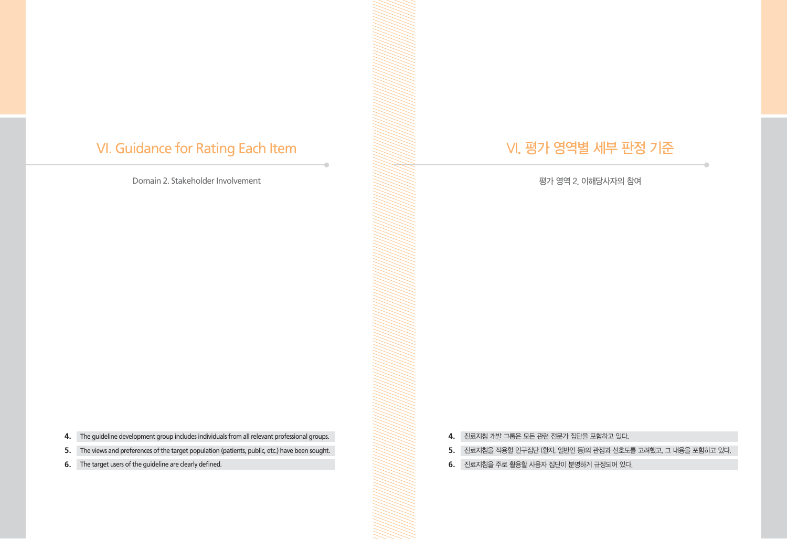# VI. Guidance for Rating Each Item

Domain 2. Stakeholder Involvement

# VI. 평가 영역별 세부 판정 기준

평가 영역 2. 이해당사자의 참여

- **4.** The guideline development group includes individuals from all relevant professional groups.
- **5.** The views and preferences of the target population (patients, public, etc.) have been sought.
- **6.** The target users of the guideline are clearly defined.
- **4.** 진료지침 개발 그룹은 모든 관련 전문가 집단을 포함하고 있다.
- **5.** 진료지침을 적용할 인구집단 (환자, 일반인 등)의 관점과 선호도를 고려했고, 그 내용을 포함하고 있다.
- **6.** 진료지침을 주로 활용할 사용자 집단이 분명하게 규정되어 있다.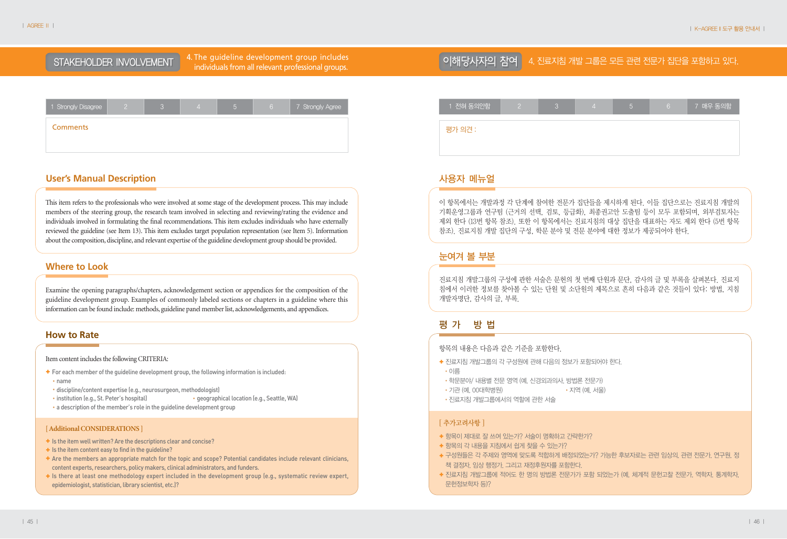4. The guideline development group includes STAKEHOLDER INVOLVEMENT 4. The guideline development group includes<br>individuals from all relevant professional groups.

| 1 Strongly Disagree |  | $\Box$ | 161 | 7 Strongly Agree |
|---------------------|--|--------|-----|------------------|
| <b>Comments</b>     |  |        |     |                  |
|                     |  |        |     |                  |

# **User's Manual Description**

This item refers to the professionals who were involved at some stage of the development process. This may include members of the steering group, the research team involved in selecting and reviewing/rating the evidence and individuals involved in formulating the final recommendations. This item excludes individuals who have externally reviewed the guideline (see Item 13). This item excludes target population representation (see Item 5). Information about the composition, discipline, and relevant expertise of the guideline development group should be provided.

# **Where to Look**

Examine the opening paragraphs/chapters, acknowledgement section or appendices for the composition of the guideline development group. Examples of commonly labeled sections or chapters in a guideline where this information can be found include: methods, guideline panel member list, acknowledgements, and appendices.

# **How to Rate**

# Item content includes the following CRITERIA:

- $+$  For each member of the quideline development group, the following information is included: •name
- •discipline/content expertise (e.g., neurosurgeon, methodologist)
- •institution (e.g., St. Peter's hospital) •geographical location (e.g., Seattle, WA)
- •a description of the member's role in the guideline development group

# **[ Additional CONSIDERATIONS ]**

- $+$  Is the item well written? Are the descriptions clear and concise?
- ✚ Is the item content easy to find in the guideline?
- ✚ Are the members an appropriate match for the topic and scope? Potential candidates include relevant clinicians, content experts, researchers, policy makers, clinical administrators, and funders.
- ✚ Is there at least one methodology expert included in the development group (e.g., systematic review expert, epidemiologist, statistician, library scientist, etc.)?

# $\overline{a}$ 이해당사자의 참여  $\overline{a}$  4. 진료지침 개발 그룹은 모든 관련 전문가 집단을 포함하고 있다.

| 1 전혀 동의안함 |  | $\overline{5}$ | 6 <sup>1</sup> | 7 매우 동의함 |
|-----------|--|----------------|----------------|----------|
| 평가 의견 :   |  |                |                |          |
|           |  |                |                |          |
|           |  |                |                |          |

# 사용자 메뉴얼

이 항목에서는 개발과정 각 단계에 참여한 전문가 집단들을 제시하게 된다. 이들 집단으로는 진료지침 개발의 기획운영그룹과 연구팀 (근거의 선택, 검토, 등급화), 최종권고안 도출팀 등이 모두 포함되며, 외부검토자는 제외 한다 (13번 항목 참조). 또한 이 항목에서는 진료지침의 대상 집단을 대표하는 자도 제외 한다 (5번 항목 참조). 진료지침 개발 집단의 구성, 학문 분야 및 전문 분야에 대한 정보가 제공되어야 한다.

# 눈여겨 볼 부분

진료지침 개발그룹의 구성에 관한 서술은 문헌의 첫 번째 단원과 문단, 감사의 글 및 부록을 살펴본다. 진료지 침에서 이러한 정보를 찾아볼 수 있는 단원 및 소단원의 제목으로 흔히 다음과 같은 것들이 있다: 방법, 지침 개발자명단, 감사의 글, 부록.

# 평가 방법

항목의 내용은 다음과 같은 기준을 포함한다.

- ✚ 진료지침 개발그룹의 각 구성원에 관해 다음의 정보가 포함되어야 한다.
- •이름
- •학문분야/ 내용별 전문 영역 (예, 신경외과의사, 방법론 전문가)
- •기관 (예, 00대학병원) •지역 (예, 서울)
- •진료지침 개발그룹에서의 역할에 관한 서술

- ✚ 항목이 제대로 잘 쓰여 있는가? 서술이 명확하고 간략한가?
- ✚ 항목의 각 내용을 지침에서 쉽게 찾을 수 있는가?
- ✚ 구성원들은 각 주제와 영역에 맞도록 적합하게 배정되었는가? 가능한 후보자로는 관련 임상의, 관련 전문가, 연구원, 정 책 결정자, 임상 행정가, 그리고 재정후원자를 포함한다.
- ✚ 진료지침 개발그룹에 적어도 한 명의 방법론 전문가가 포함 되었는가 (예, 체계적 문헌고찰 전문가, 역학자, 통계학자, 문헌정보학자 등)?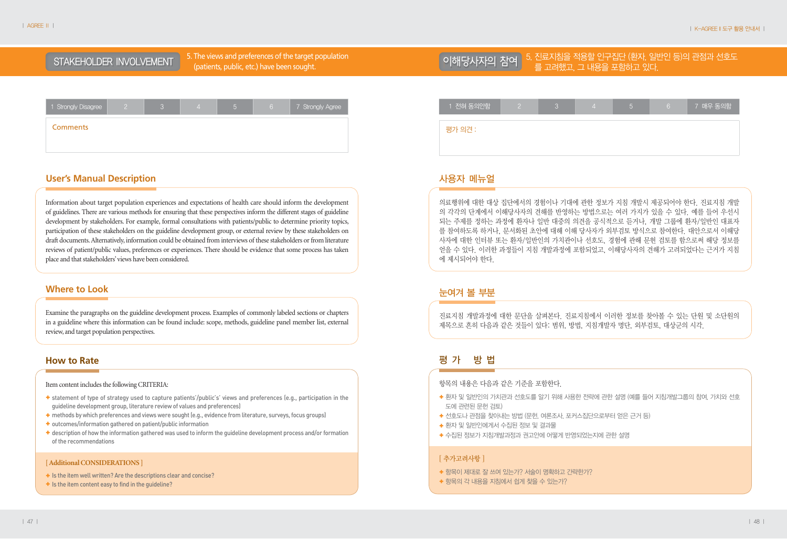5. The views and preferences of the target population

| 1 Strongly Disagree |  | h | 6 | 7 Strongly Agree |
|---------------------|--|---|---|------------------|
| <b>Comments</b>     |  |   |   |                  |
|                     |  |   |   |                  |

# **User's Manual Description**

Information about target population experiences and expectations of health care should inform the development of guidelines. There are various methods for ensuring that these perspectives inform the different stages of guideline development by stakeholders. For example, formal consultations with patients/public to determine priority topics, participation of these stakeholders on the guideline development group, or external review by these stakeholders on draft documents. Alternatively, information could be obtained from interviews of these stakeholders or from literature reviews of patient/public values, preferences or experiences. There should be evidence that some process has taken place and that stakeholders' views have been considered.

# **Where to Look**

Examine the paragraphs on the guideline development process. Examples of commonly labeled sections or chapters in a guideline where this information can be found include: scope, methods, guideline panel member list, external review, and target population perspectives.

# **How to Rate**

# Item content includes the following CRITERIA:

- ✚ statement of type of strategy used to capture patients'/public's' views and preferences (e.g., participation in the guideline development group, literature review of values and preferences)
- ✚ methods by which preferences and views were sought (e.g., evidence from literature, surveys, focus groups)
- ✚ outcomes/information gathered on patient/public information
- ✚ description of how the information gathered was used to inform the guideline development process and/or formation of the recommendations

# **[ Additional CONSIDERATIONS ]**

- ✚ Is the item well written? Are the descriptions clear and concise?
- ✚ Is the item content easy to find in the guideline?

# STAKEHOLDER INVOLVEMENT buitents, public, etc.) have been sought. The staget population and preferences of the target population and the target population and the target population and the target population and the staget

| $\overline{11}$ 전혀 동의안함 $\overline{1}$ | IЗ | 5 | 6 | 7 매우 동의함 |
|----------------------------------------|----|---|---|----------|
| 평가 의견 :                                |    |   |   |          |
|                                        |    |   |   |          |
|                                        |    |   |   |          |

# 사용자 메뉴얼

의료행위에 대한 대상 집단에서의 경험이나 기대에 관한 정보가 지침 개발시 제공되어야 한다. 진료지침 개발 의 각각의 단계에서 이해당사자의 견해를 반영하는 방법으로는 여러 가지가 있을 수 있다. 예를 들어 우선시 되는 주제를 정하는 과정에 환자나 일반 대중의 의견을 공식적으로 듣거나, 개발 그룹에 환자/일반인 대표자 를 참여하도록 하거나, 문서화된 초안에 대해 이해 당사자가 외부검토 방식으로 참여한다. 대안으로서 이해당 사자에 대한 인터뷰 또는 환자/일반인의 가치관이나 선호도, 경험에 관해 문헌 검토를 함으로써 해당 정보를 얻을 수 있다. 이러한 과정들이 지침 개발과정에 포함되었고, 이해당사자의 견해가 고려되었다는 근거가 지침 에 제시되어야 한다.

# 눈여겨 볼 부분

진료지침 개발과정에 대한 문단을 살펴본다. 진료지침에서 이러한 정보를 찾아볼 수 있는 단원 및 소단원의 제목으로 흔히 다음과 같은 것들이 있다: 범위, 방법, 지침개발자 명단, 외부검토, 대상군의 시각.

# 평가 방법

항목의 내용은 다음과 같은 기준을 포함한다.

- 환자 및 일반인의 가치관과 선호도를 알기 위해 사용한 전략에 관한 설명 (예를 들어 지침개발그룹의 참여, 가치와 선호 도에 관련된 문헌 검토)
- ✚ 선호도나 관점을 찾아내는 방법 (문헌, 여론조사, 포커스집단으로부터 얻은 근거 등)
- ✚ 환자 및 일반인에게서 수집된 정보 및 결과물
- ◆ 수집된 정보가 지침개발과정과 권고안에 어떻게 반영되었는지에 관한 설명

- ✚ 항목이 제대로 잘 쓰여 있는가? 서술이 명확하고 간략한가?
- ✚ 항목의 각 내용을 지침에서 쉽게 찾을 수 있는가?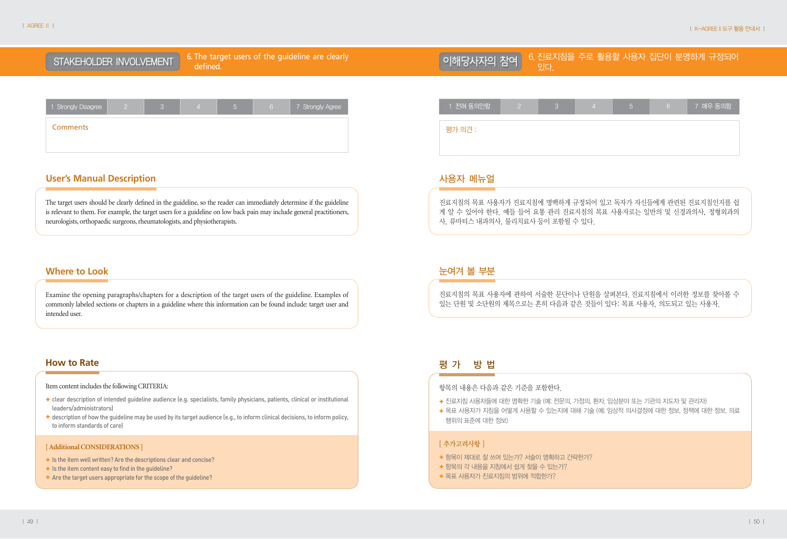6. The target users of the guideline are clearly defined.

| 1 Strongly Disagree |  |  | 6 | 7 Strongly Agree |
|---------------------|--|--|---|------------------|
| <b>Comments</b>     |  |  |   |                  |
|                     |  |  |   |                  |

# **User's Manual Description**

The target users should be clearly defined in the guideline, so the reader can immediately determine if the guideline is relevant to them. For example, the target users for a guideline on low back pain may include general practitioners, neurologists, orthopaedic surgeons, rheumatologists, and physiotherapists.

# **Where to Look**

Examine the opening paragraphs/chapters for a description of the target users of the guideline. Examples of commonly labeled sections or chapters in a guideline where this information can be found include: target user and intended user.

# **How to Rate**

# Item content includes the following CRITERIA:

- ✚ clear description of intended guideline audience (e.g. specialists, family physicians, patients, clinical or institutional leaders/administrators)
- ✚ description of how the guideline may be used by its target audience (e.g., to inform clinical decisions, to inform policy, to inform standards of care)

# **[ Additional CONSIDERATIONS ]**

- ✚ Is the item well written? Are the descriptions clear and concise?
- ✚ Is the item content easy to find in the guideline?
- ✚ Are the target users appropriate for the scope of the guideline?

# STAKEHOLDER INVOLVEMENT 6. The target users of the guideline are clearly<br>STAKEHOLDER INVOLVEMENT defined. 이해당사자의 참여

| 1 전혀 동의안함 | n | Б | $6^{\circ}$ | 7 매우 동의함 |
|-----------|---|---|-------------|----------|
| 평가 의견 :   |   |   |             |          |
|           |   |   |             |          |
|           |   |   |             |          |

# 사용자 메뉴얼

진료지침의 목표 사용자가 진료지침에 명백하게 규정되어 있고 독자가 자신들에게 관련된 진료지침인지를 쉽 게 알 수 있어야 한다. 예들 들어 요통 관리 진료지침의 목표 사용자로는 일반의 및 신경과의사, 정형외과의 사, 류마티스 내과의사, 물리치료사 등이 포함될 수 있다.

# 눈여겨 볼 부분

진료지침의 목표 사용자에 관하여 서술한 문단이나 단원을 살펴본다. 진료지침에서 이러한 정보를 찾아볼 수 있는 단원 및 소단원의 제목으로는 흔히 다음과 같은 것들이 있다: 목표 사용자, 의도되고 있는 사용자.

# 평가 방법

# 항목의 내용은 다음과 같은 기준을 포함한다.

- ✚ 진료지침 사용자들에 대한 명확한 기술 (예; 전문의, 가정의, 환자, 임상분야 또는 기관의 지도자 및 관리자)
- + 목표 사용자가 지침을 어떻게 사용할 수 있는지에 대해 기술 (예; 임상적 의사결정에 대한 정보, 정책에 대한 정보, 의료 행위의 표준에 대한 정보)

- ✚ 항목이 제대로 잘 쓰여 있는가? 서술이 명확하고 간략한가?
- ✚ 항목의 각 내용을 지침에서 쉽게 찾을 수 있는가?
- ✚ 목표 사용자가 진료지침의 범위에 적합한가?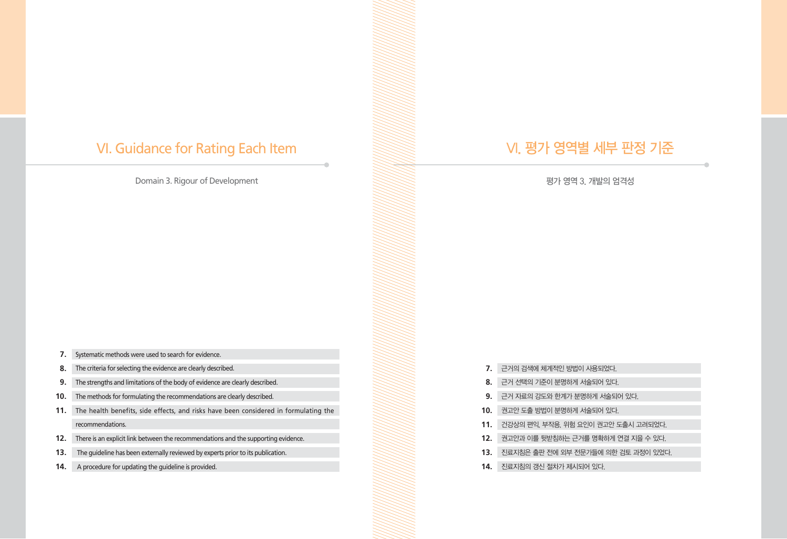# VI. Guidance for Rating Each Item

Domain 3. Rigour of Development

# VI. 평가 영역별 세부 판정 기준

# 평가 영역 3. 개발의 엄격성

- **7.** Systematic methods were used to search for evidence.
- **8.** The criteria for selecting the evidence are clearly described.
- **9.** The strengths and limitations of the body of evidence are clearly described.
- **10.** The methods for formulating the recommendations are clearly described.
- **11.** The health benefits, side effects, and risks have been considered in formulating the recommendations.
- **12.** There is an explicit link between the recommendations and the supporting evidence.
- **13.** The guideline has been externally reviewed by experts prior to its publication.
- **14.** A procedure for updating the guideline is provided.
- **7.** 근거의 검색에 체계적인 방법이 사용되었다.
- **8.** 근거 선택의 기준이 분명하게 서술되어 있다.
- **9.** 근거 자료의 강도와 한계가 분명하게 서술되어 있다.
- **10.** 권고안 도출 방법이 분명하게 서술되어 있다.
- **11.** 건강상의 편익, 부작용, 위험 요인이 권고안 도출시 고려되었다.
- **12.** 권고안과 이를 뒷받침하는 근거를 명확하게 연결 지을 수 있다.
- **13.** 진료지침은 출판 전에 외부 전문가들에 의한 검토 과정이 있었다.
- **14.** 진료지침의 갱신 절차가 제시되어 있다.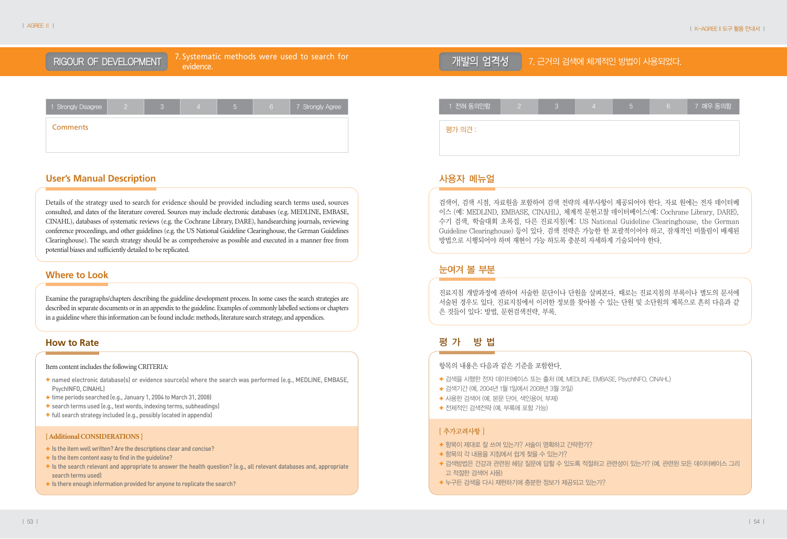7. Systematic methods were used to search for RIGOUR OF DEVELOPMENT Providence. Previdence. Previdence. The used to search for the providence and the official methods were used to search for the providence of the diffusion of the diffusion of the diffusion of the dif



# **User's Manual Description**

Details of the strategy used to search for evidence should be provided including search terms used, sources consulted, and dates of the literature covered. Sources may include electronic databases (e.g. MEDLINE, EMBASE, CINAHL), databases of systematic reviews (e.g. the Cochrane Library, DARE), handsearching journals, reviewing conference proceedings, and other guidelines (e.g. the US National Guideline Clearinghouse, the German Guidelines Clearinghouse). The search strategy should be as comprehensive as possible and executed in a manner free from potential biases and sufficiently detailed to be replicated.

# **Where to Look**

Examine the paragraphs/chapters describing the guideline development process. In some cases the search strategies are described in separate documents or in an appendix to the guideline. Examples of commonly labelled sections or chapters in a guideline where this information can be found include: methods, literature search strategy, and appendices.

# **How to Rate**

# Item content includes the following CRITERIA:

- ✚ named electronic database(s) or evidence source(s) where the search was performed (e.g., MEDLINE, EMBASE, PsychINFO, CINAHL)
- ✚ time periods searched (e.g., January 1, 2004 to March 31, 2008)
- ✚ search terms used (e.g., text words, indexing terms, subheadings)
- ✚ full search strategy included (e.g., possibly located in appendix)

# **[ Additional CONSIDERATIONS ]**

- ✚ Is the item well written? Are the descriptions clear and concise?
- ✚ Is the item content easy to find in the guideline?
- ✚ Is the search relevant and appropriate to answer the health question? (e.g., all relevant databases and, appropriate search terms used)
- ✚ Is there enough information provided for anyone to replicate the search?

# 1 전혀 동의안함 2 3 4 5 6 7 매우 동의함

평가 의견 :

# 사용자 메뉴얼

검색어, 검색 시점, 자료원을 포함하여 검색 전략의 세부사항이 제공되어야 한다. 자료 원에는 전자 데이터베 이스 (예: MEDLIND, EMBASE, CINAHL), 체계적 문헌고찰 데이터베이스(예: Cochrane Library, DARE), 수기 검색, 학술대회 초록집, 다른 진료지침(예: US National Guideline Clearinghouse, the German Guideline Clearinghouse) 등이 있다. 검색 전략은 가능한 한 포괄적이어야 하고, 잠재적인 비뚤림이 배제된 방법으로 시행되어야 하며 재현이 가능 하도록 충분히 자세하게 기술되어야 한다.

# 눈여겨 볼 부분

진료지침 개발과정에 관하여 서술한 문단이나 단원을 살펴본다. 때로는 진료지침의 부록이나 별도의 문서에 서술된 경우도 있다. 진료지침에서 이러한 정보를 찾아볼 수 있는 단원 및 소단원의 제목으로 흔히 다음과 같 은 것들이 있다: 방법, 문헌검색전략, 부록.

# 평가 방법

항목의 내용은 다음과 같은 기준을 포함한다.

- ✚ 검색을 시행한 전자 데이터베이스 또는 출처 (예, MEDLINE, EMBASE, PsychINFO, CINAHL)
- ✚ 검색기간 (예, 2004년 1월 1일에서 2008년 3월 31일)
- ✚ 사용한 검색어 (예, 본문 단어, 색인용어, 부제)
- ✚ 전체적인 검색전략 (예, 부록에 포함 가능)

- ✚ 항목이 제대로 잘 쓰여 있는가? 서술이 명확하고 간략한가?
- ← 항목의 각 내용을 지침에서 쉽게 찾을 수 있는가?
- ✚ 검색방법은 건강과 관련된 헤당 질문에 답할 수 있도록 적절하고 관련성이 있는가? (예, 관련된 모든 데이터베이스 그리 고 적절한 검색어 사용)
- ✚ 누구든 검색을 다시 재현하기에 충분한 정보가 제공되고 있는가?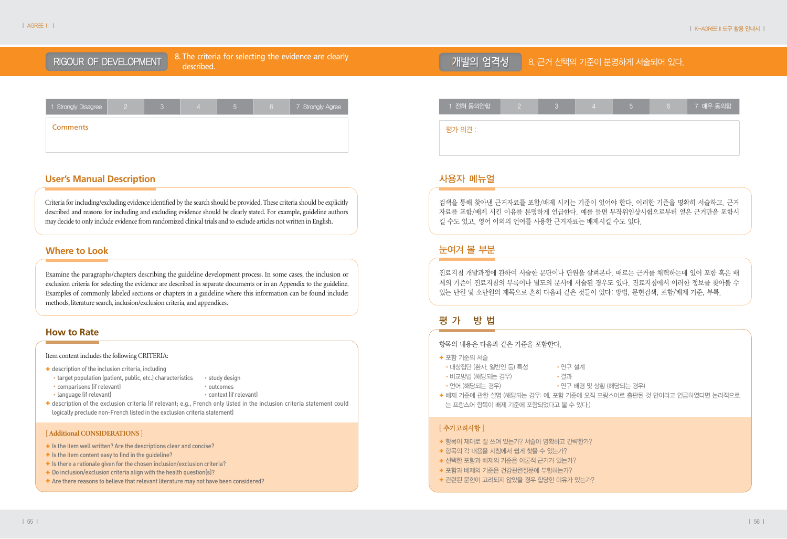8. The criteria for selecting the evidence are clearly described. RIGOUR OF DEVELOPMENT Belocation of selecting the evidence are clearly and the model in the criteria for selecting the evidence are clearly and the computation of the criteria of selecting the evidence are clearly and the



| 1 Strongly Disagree |  |  | 6 | 7 Strongly Agree |
|---------------------|--|--|---|------------------|
| <b>Comments</b>     |  |  |   |                  |
|                     |  |  |   |                  |

# **User's Manual Description**

Criteria for including/excluding evidence identified by the search should be provided. These criteria should be explicitly described and reasons for including and excluding evidence should be clearly stated. For example, guideline authors may decide to only include evidence from randomized clinical trials and to exclude articles not written in English.

# **Where to Look**

Examine the paragraphs/chapters describing the guideline development process. In some cases, the inclusion or exclusion criteria for selecting the evidence are described in separate documents or in an Appendix to the guideline. Examples of commonly labeled sections or chapters in a guideline where this information can be found include: methods, literature search, inclusion/exclusion criteria, and appendices.

# **How to Rate**

# Item content includes the following CRITERIA:

- ✚ description of the inclusion criteria, including
- target population (patient, public, etc.) characteristics study design
- comparisons (if relevant) example the comparisons of the comparisons of the comparisons of the comparisons of the comparisons of the comparisons of the comparisons of the comparisons of the comparisons of the comparisons
- language (if relevant) context (if relevant)
- ✚ description of the exclusion criteria (if relevant; e.g., French only listed in the inclusion criteria statement could logically preclude non-French listed in the exclusion criteria statement)

# **[ Additional CONSIDERATIONS ]**

- ✚ Is the item well written? Are the descriptions clear and concise?
- ✚ Is the item content easy to find in the guideline?
- ✚ Is there a rationale given for the chosen inclusion/exclusion criteria?
- ✚ Do inclusion/exclusion criteria align with the health question(s)?
- ✚ Are there reasons to believe that relevant literature may not have been considered?

| $\vert$ 1 전혀 동의안함 | 3 |  | 6 | 7 매우 동의함 |
|-------------------|---|--|---|----------|
| 평가 의견 :           |   |  |   |          |
|                   |   |  |   |          |
|                   |   |  |   |          |

# 사용자 메뉴얼

검색을 통해 찾아낸 근거자료를 포함/배제 시키는 기준이 있어야 한다. 이러한 기준을 명확히 서술하고, 근거 자료를 포함/배제 시킨 이유를 분명하게 언급한다. 예를 들면 무작위임상시험으로부터 얻은 근거만을 포함시 킬 수도 있고, 영어 이외의 언어를 사용한 근거자료는 배제시킬 수도 있다.

# 눈여겨 볼 부분

진료지침 개발과정에 관하여 서술한 문단이나 단원을 살펴본다. 때로는 근거를 채택하는데 있어 포함 혹은 배 제의 기준이 진료지침의 부록이나 별도의 문서에 서술된 경우도 있다. 진료지침에서 이러한 정보를 찾아볼 수 있는 단원 및 소단원의 제목으로 흔히 다음과 같은 것들이 있다: 방법, 문헌검색, 포함/배제 기준, 부록.

# 평가 방법

항목의 내용은 다음과 같은 기준을 포함한다.

- ✚ 포함 기준의 서술
- 대상집단 (환자, 일반인 등) 특성 연구 설계
- •비교방법 (해당되는 경우) • 결과
- •언어 (해당되는 경우) 여구 배경 및 상황 (해당되는 경우)
- ✚ 배제 기준에 관한 설명 (해당되는 경우: 예, 포함 기준에 오직 프랑스어로 출판된 것 만이라고 언급하였다면 논리적으로 는 프랑스어 항목이 배제 기준에 포함되었다고 볼 수 있다.)

- ✚ 항목이 제대로 잘 쓰여 있는가? 서술이 명확하고 간략한가?
- ✚ 항목의 각 내용을 지침에서 쉽게 찾을 수 있는가?
- ✚ 선택한 포함과 배제의 기준은 이론적 근거가 있는가?
- ✚ 포함과 배제의 기준은 건강관련질문에 부합하는가?
- ✚ 관련된 문헌이 고려되지 않았을 경우 합당한 이유가 있는가?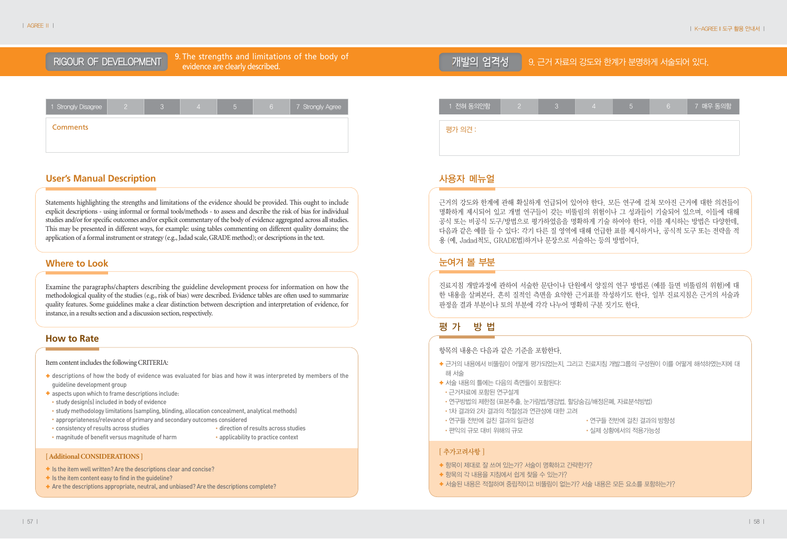9. The strengths and limitations of the body of RIGOUR OF DEVELOPMENT Particle are clearly described. The body of the body of the body of the strengths and imitations of the body of the body of the strengths and imitations of the body of the body of the street of 개발의 엄

| 1 Strongly Disagree |  |  | 6 | 7 Strongly Agree |
|---------------------|--|--|---|------------------|
| <b>Comments</b>     |  |  |   |                  |
|                     |  |  |   |                  |

# **User's Manual Description**

Statements highlighting the strengths and limitations of the evidence should be provided. This ought to include explicit descriptions - using informal or formal tools/methods - to assess and describe the risk of bias for individual studies and/or for specific outcomes and/or explicit commentary of the body of evidence aggregated across all studies. This may be presented in different ways, for example: using tables commenting on different quality domains; the application of a formal instrument or strategy (e.g., Jadad scale, GRADE method); or descriptions in the text.

# **Where to Look**

Examine the paragraphs/chapters describing the guideline development process for information on how the methodological quality of the studies (e.g., risk of bias) were described. Evidence tables are often used to summarize quality features. Some guidelines make a clear distinction between description and interpretation of evidence, for instance, in a results section and a discussion section, respectively.

# **How to Rate**

# Item content includes the following CRITERIA:

- **+** descriptions of how the body of evidence was evaluated for bias and how it was interpreted by members of the guideline development group
- ✚ aspects upon which to frame descriptions include:
- •study design(s) included in body of evidence
- •study methodology limitations (sampling, blinding, allocation concealment, analytical methods)
- •appropriateness/relevance of primary and secondary outcomes considered
- •consistency of results across studies •direction of results across studies
	-
- magnitude of benefit versus magnitude of harm applicability to practice context
- 

- **[ Additional CONSIDERATIONS ]**
- ✚ Is the item well written? Are the descriptions clear and concise?
- ✚ Is the item content easy to find in the guideline?
- ✚ Are the descriptions appropriate, neutral, and unbiased? Are the descriptions complete?

# 1 전혀 동의안함 2 3 4 5 6 7 매우 동의함 평가 의견 :

# 사용자 메뉴얼

근거의 강도와 한계에 관해 확실하게 언급되어 있어야 한다. 모든 연구에 걸쳐 모아진 근거에 대한 의견들이 명확하게 제시되어 있고 개별 연구들이 갖는 비뚤림의 위험이나 그 성과들이 기술되어 있으며, 이들에 대해 공식 또는 비공식 도구/방법으로 평가하였음을 명확하게 기술 하여야 한다. 이를 제시하는 방법은 다양한데, 다음과 같은 예를 들 수 있다: 각기 다른 질 영역에 대해 언급한 표를 제시하거나, 공식적 도구 또는 전략을 적 용 (예, Jadad척도, GRADE법)하거나 문장으로 서술하는 등의 방법이다.

# 눈여겨 볼 부분

진료지침 개발과정에 관하여 서술한 문단이나 단원에서 양질의 연구 방법론 (예를 들면 비뚤림의 위험)에 대 한 내용을 살펴본다. 흔히 질적인 측면을 요약한 근거표를 작성하기도 한다. 일부 진료지침은 근거의 서술과 판정을 결과 부분이나 토의 부분에 각각 나누어 명확히 구분 짓기도 한다.

# 평가 방법

# 항목의 내용은 다음과 같은 기준을 포함한다.

- ✚ 근거의 내용에서 비뚤림이 어떻게 평가되었는지, 그리고 진료지침 개발그룹의 구성원이 이를 어떻게 해석하였는지에 대 해 서술
- ✚ 서술 내용의 틀에는 다음의 측면들이 포함된다:
- •근거자료에 포함된 연구설계
- •연구방법의 제한점 (표본추출, 눈가림법/맹검법, 할당숨김/배정은폐, 자료분석방법)
- •1차 결과와 2차 결과의 적절성과 연관성에 대한 고려
- •연구들 전반에 걸친 결과의 일관성 • • 여구들 전반에 걸친 결과의 방향성
- •편익의 규모 대비 위해의 규모 • • • 실제 상황에서의 적용가능성
- -

- ✚ 항목이 제대로 잘 쓰여 있는가? 서술이 명확하고 간략한가?
- ✚ 항목의 각 내용을 지침에서 쉽게 찾을 수 있는가?
- ✚ 서술된 내용은 적절하며 중립적이고 비뚤림이 없는가? 서술 내용은 모든 요소를 포함하는가?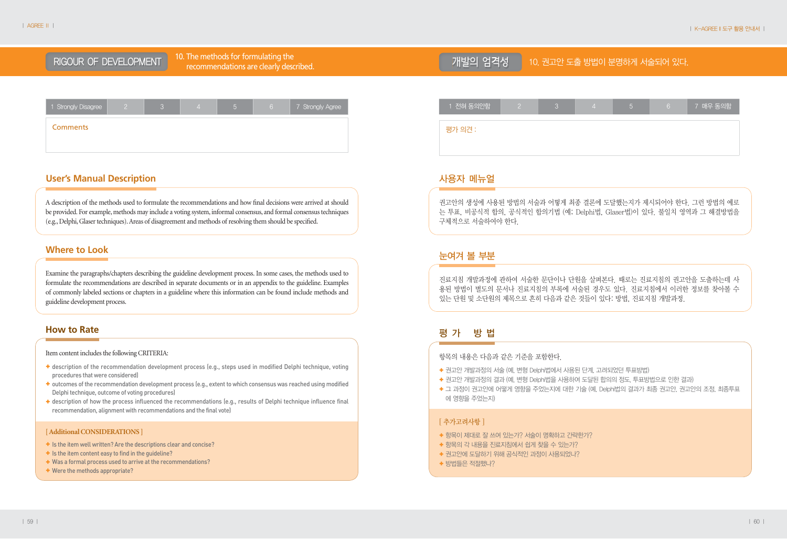# 10. The methods for formulating the RIGOUR OF DEVELOPMENT Published the methods for formulating the the commendations are clearly described. Published and the commendations are clearly described. Published and the methods of the commendations are clearly de

| 1 Strongly Disagree |  | 5 <sup>1</sup> | $\sqrt{2}$ | 7 Strongly Agree |
|---------------------|--|----------------|------------|------------------|
| <b>Comments</b>     |  |                |            |                  |
|                     |  |                |            |                  |

# **User's Manual Description**

A description of the methods used to formulate the recommendations and how final decisions were arrived at should be provided. For example, methods may include a voting system, informal consensus, and formal consensus techniques (e.g., Delphi, Glaser techniques). Areas of disagreement and methods of resolving them should be specified.

# **Where to Look**

Examine the paragraphs/chapters describing the guideline development process. In some cases, the methods used to formulate the recommendations are described in separate documents or in an appendix to the guideline. Examples of commonly labeled sections or chapters in a guideline where this information can be found include methods and guideline development process.

# **How to Rate**

# Item content includes the following CRITERIA:

- ✚ description of the recommendation development process (e.g., steps used in modified Delphi technique, voting procedures that were considered)
- ✚ outcomes of the recommendation development process (e.g., extent to which consensus was reached using modified Delphi technique, outcome of voting procedures)
- **+** description of how the process influenced the recommendations (e.g., results of Delphi technique influence final recommendation, alignment with recommendations and the final vote)

## **[ Additional CONSIDERATIONS ]**

- ✚ Is the item well written? Are the descriptions clear and concise?
- ✚ Is the item content easy to find in the guideline?
- ✚ Was a formal process used to arrive at the recommendations?
- ✚ Were the methods appropriate?

# 1 전혀 동의안함 2 3 4 5 6 7 매우 동의함 평가 의견 :

# 사용자 메뉴얼

권고안의 생성에 사용된 방법의 서술과 어떻게 최종 결론에 도달했는지가 제시되어야 한다. 그런 방법의 예로 는 투표, 비공식적 합의, 공식적인 합의기법 (예; Delphi법, Glaser법)이 있다. 불일치 영역과 그 해결방법을 구체적으로 서술하여야 한다.

# 눈여겨 볼 부분

진료지침 개발과정에 관하여 서술한 문단이나 단원을 살펴본다. 때로는 진료지침의 권고안을 도출하는데 사 용된 방법이 별도의 문서나 진료지침의 부록에 서술된 경우도 있다. 진료지침에서 이러한 정보를 찾아볼 수 있는 단원 및 소단원의 제목으로 흔히 다음과 같은 것들이 있다: 방법, 진료지침 개발과정.

# 평가 방법

# 항목의 내용은 다음과 같은 기준을 포함한다.

- ✚ 권고안 개발과정의 서술 (예, 변형 Delphi법에서 사용된 단계, 고려되었던 투표방법)
- ✚ 권고안 개발과정의 결과 (예, 변형 Delphi법을 사용하여 도달된 합의의 정도, 투표방법으로 인한 결과)
- ✚ 그 과정이 권고안에 어떻게 영향을 주었는지에 대한 기술 (예, Delphi법의 결과가 최종 권고안, 권고안의 조정, 최종투표 에 영향을 주었는지)

- ✚ 항목이 제대로 잘 쓰여 있는가? 서술이 명확하고 간략한가?
- ✚ 항목의 각 내용을 진료지침에서 쉽게 찾을 수 있는가?
- ✚ 권고안에 도달하기 위해 공식적인 과정이 사용되었나?
- ✚ 방법들은 적절했나?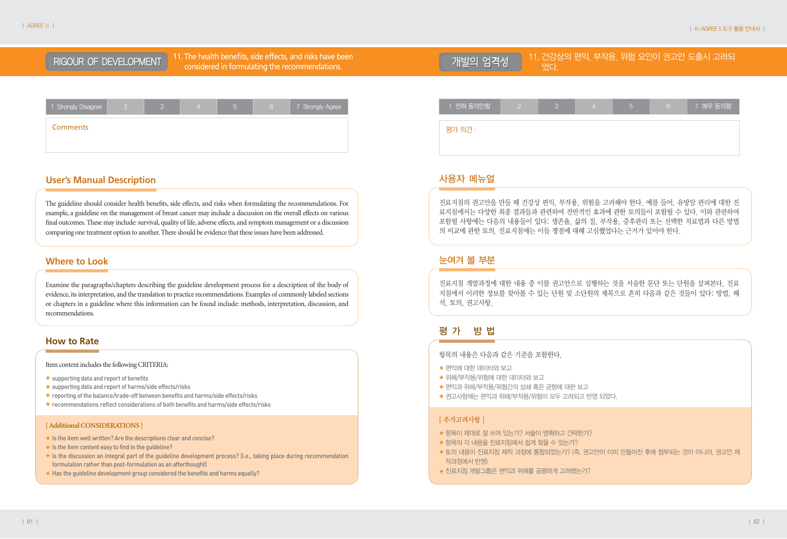11. The health benefits, side effects, and risks have been RIGOUR OF DEVELOPMENT 11. The health benefits, side effects, and risks have been<br>RIGOUR OF DEVELOPMENT considered in formulating the recommendations.

| 1 Strongly Disagree |  |  | 6 | 7 Strongly Agree |
|---------------------|--|--|---|------------------|
| <b>Comments</b>     |  |  |   |                  |
|                     |  |  |   |                  |

# **User's Manual Description**

The guideline should consider health benefits, side effects, and risks when formulating the recommendations. For example, a guideline on the management of breast cancer may include a discussion on the overall effects on various final outcomes. These may include: survival, quality of life, adverse effects, and symptom management or a discussion comparing one treatment option to another. There should be evidence that these issues have been addressed.

# **Where to Look**

Examine the paragraphs/chapters describing the guideline development process for a description of the body of evidence, its interpretation, and the translation to practice recommendations. Examples of commonly labeled sections or chapters in a guideline where this information can be found include: methods, interpretation, discussion, and recommendations.

# **How to Rate**

Item content includes the following CRITERIA:

- ✚ supporting data and report of benefits
- ✚ supporting data and report of harms/side effects/risks
- ✚ reporting of the balance/trade-off between benefits and harms/side effects/risks
- ✚ recommendations reflect considerations of both benefits and harms/side effects/risks

# **[ Additional CONSIDERATIONS ]**

- ✚ Is the item well written? Are the descriptions clear and concise?
- ✚ Is the item content easy to find in the guideline?
- ✚ Is the discussion an integral part of the guideline development process? (i.e., taking place during recommendation formulation rather than post-formulation as an afterthought)
- ✚ Has the guideline development group considered the benefits and harms equally?

| 1 전혀 동의안함 |  |  | $-6$ | 7 매우 동의함 |
|-----------|--|--|------|----------|
| 평가 의견 :   |  |  |      |          |
|           |  |  |      |          |

# 사용자 메뉴얼

진료지침의 권고안을 만들 때 건강상 편익, 부작용, 위험을 고려해야 한다. 예를 들어, 유방암 관리에 대한 진 료지침에서는 다양한 최종 결과들과 관련하여 전반적인 효과에 관한 토의들이 포함될 수 있다. 이와 관련하여 포함될 사항에는 다음의 내용들이 있다: 생존율, 삶의 질, 부작용, 증후관리 또는 선택한 치료법과 다른 방법 의 비교에 관한 토의. 진료지침에는 이들 쟁점에 대해 고심했었다는 근거가 있어야 한다.

# 눈여겨 볼 부분

진료지침 개발과정에 대한 내용 중 이를 권고안으로 실행하는 것을 서술한 문단 또는 단원을 살펴본다. 진료 지침에서 이러한 정보를 찾아볼 수 있는 단원 및 소단원의 제목으로 흔히 다음과 같은 것들이 있다: 방법, 해 석, 토의, 권고사항.

# 평가 방법

항목의 내용은 다음과 같은 기준을 포함한다.

- ✚ 편익에 대한 데이터와 보고
- ✚ 위해/부작용/위험에 대한 데이터와 보고
- ✚ 편익과 위해/부작용/위험간의 상쇄 혹은 균형에 대한 보고
- ✚ 권고사항에는 편익과 위해/부작용/위험이 모두 고려되고 반영 되었다.

- ✚ 항목이 제대로 잘 쓰여 있는가? 서술이 명확하고 간략한가?
- ✚ 항목의 각 내용을 진료지침에서 쉽게 찾을 수 있는가?
- ✚ 토의 내용이 진료지침 제작 과정에 통합되었는가? (즉, 권고안이 이미 만들어진 후에 첨부되는 것이 아니라, 권고안 제 작과정에서 반영)
- ✚ 진료지침 개발그룹은 편익과 위해를 공평하게 고려했는가?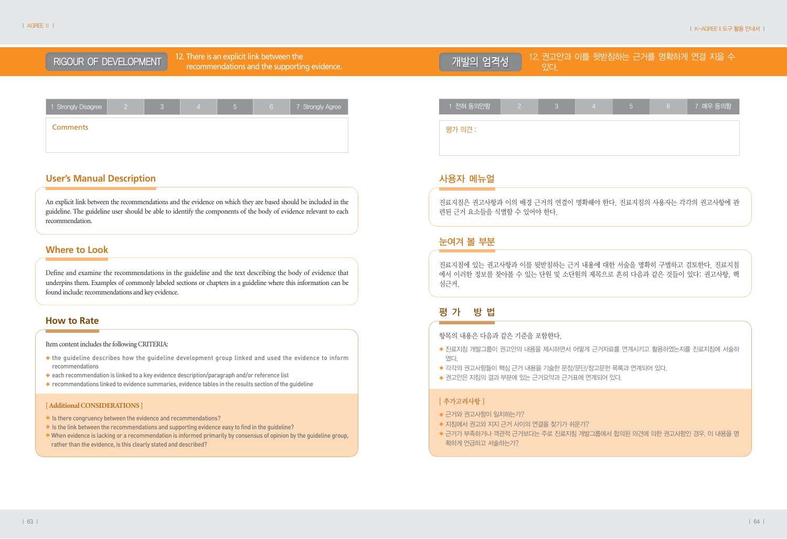12. There is an explicit link between the RIGOUR OF DEVELOPMENT 12. There is an explicit link between the expression of the supporting evidence. The supporting evidence.

| 1 Strongly Disagree |  |  | 6 | 7 Strongly Agree |
|---------------------|--|--|---|------------------|
| <b>Comments</b>     |  |  |   |                  |
|                     |  |  |   |                  |

# **User's Manual Description**

An explicit link between the recommendations and the evidence on which they are based should be included in the guideline. The guideline user should be able to identify the components of the body of evidence relevant to each recommendation.

# **Where to Look**

Define and examine the recommendations in the guideline and the text describing the body of evidence that underpins them. Examples of commonly labeled sections or chapters in a guideline where this information can be found include: recommendations and key evidence.

# **How to Rate**

## Item content includes the following CRITERIA:

- ✚ the guideline describes how the guideline development group linked and used the evidence to inform recommendations
- ✚ each recommendation is linked to a key evidence description/paragraph and/or reference list
- ✚ recommendations linked to evidence summaries, evidence tables in the results section of the guideline

### **[ Additional CONSIDERATIONS ]**

- ✚ Is there congruency between the evidence and recommendations?
- ✚ Is the link between the recommendations and supporting evidence easy to find in the guideline?
- ✚ When evidence is lacking or a recommendation is informed primarily by consensus of opinion by the guideline group, rather than the evidence, is this clearly stated and described?

| 1 전혀 동의안함 |  | $\mathbf{b}$ | $6^{\circ}$ | 7 매우 동의함 |
|-----------|--|--------------|-------------|----------|
| 평가 의견 :   |  |              |             |          |
|           |  |              |             |          |

# 사용자 메뉴얼

진료지침은 권고사항과 이의 배경 근거의 연결이 명확해야 한다. 진료지침의 사용자는 각각의 권고사항에 관 련된 근거 요소들을 식별할 수 있어야 한다.

# 눈여겨 볼 부분

진료지침에 있는 권고사항과 이를 뒷받침하는 근거 내용에 대한 서술을 명확히 구별하고 검토한다. 진료지침 에서 이러한 정보를 찾아볼 수 있는 단원 및 소단원의 제목으로 흔히 다음과 같은 것들이 있다: 권고사항, 핵 심근거.

# 평가 방법

항목의 내용은 다음과 같은 기준을 포함한다.

- ✚ 진료지침 개발그룹이 권고안의 내용을 제시하면서 어떻게 근거자료를 연계시키고 활용하였는지를 진료지침에 서술하 였다.
- ✚ 각각의 권고사항들이 핵심 근거 내용을 기술한 문장/문단/참고문헌 목록과 연계되어 있다.
- ◆ 권고안은 지침의 결과 부분에 있는 근거요약과 근거표에 연계되어 있다.

- ✚ 근거와 권고사항이 일치하는가?
- ✚ 지침에서 권고와 지지 근거 사이의 연결을 찾기가 쉬운가?
- ✚ 근거가 부족하거나 객관적 근거보다는 주로 진료지침 개발그룹에서 합의된 의견에 의한 권고사항인 경우, 이 내용을 명 확하게 언급하고 서술하는가?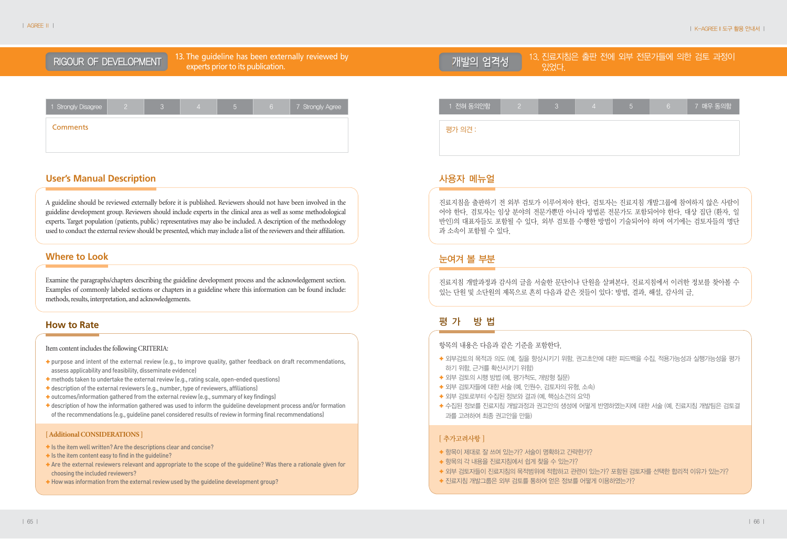13. The guideline has been externally reviewed by RIGOUR OF DEVELOPMENT 13. The guideline has been externally reviewed by<br>RIGOUR OF DEVELOPMENT experts prior to its publication.



# **User's Manual Description**

A guideline should be reviewed externally before it is published. Reviewers should not have been involved in the guideline development group. Reviewers should include experts in the clinical area as well as some methodological experts. Target population (patients, public) representatives may also be included. A description of the methodology used to conduct the external review should be presented, which may include a list of the reviewers and their affiliation.

# **Where to Look**

Examine the paragraphs/chapters describing the guideline development process and the acknowledgement section. Examples of commonly labeled sections or chapters in a guideline where this information can be found include: methods, results, interpretation, and acknowledgements.

# **How to Rate**

## Item content includes the following CRITERIA:

- ✚ purpose and intent of the external review (e.g., to improve quality, gather feedback on draft recommendations, assess applicability and feasibility, disseminate evidence)
- ✚ methods taken to undertake the external review (e.g., rating scale, open-ended questions)
- ✚ description of the external reviewers (e.g., number, type of reviewers, affiliations)
- ✚ outcomes/information gathered from the external review (e.g., summary of key findings)
- ✚ description of how the information gathered was used to inform the guideline development process and/or formation of the recommendations (e.g., guideline panel considered results of review in forming final recommendations)

### **[ Additional CONSIDERATIONS ]**

- ✚ Is the item well written? Are the descriptions clear and concise?
- $\div$  **Is the item content easy to find in the quideline?**
- ✚ Are the external reviewers relevant and appropriate to the scope of the guideline? Was there a rationale given for choosing the included reviewers?
- ✚ How was information from the external review used by the guideline development group?



# 사용자 메뉴얼

진료지침을 출판하기 전 외부 검토가 이루어져야 한다. 검토자는 진료지침 개발그룹에 참여하지 않은 사람이 어야 한다. 검토자는 임상 분야의 전문가뿐만 아니라 방법론 전문가도 포함되어야 한다. 대상 집단 (환자, 일 반인)의 대표자들도 포함될 수 있다. 외부 검토를 수행한 방법이 기술되어야 하며 여기에는 검토자들의 명단 과 소속이 포함될 수 있다.

# 눈여겨 볼 부분

진료지침 개발과정과 감사의 글을 서술한 문단이나 단원을 살펴본다. 진료지침에서 이러한 정보를 찾아볼 수 있는 단원 및 소단원의 제목으로 흔히 다음과 같은 것들이 있다: 방법, 결과, 해설, 감사의 글.

# 평가 방법

# 항목의 내용은 다음과 같은 기준을 포함한다.

- ✚ 외부검토의 목적과 의도 (예, 질을 향상시키기 위함, 권고초안에 대한 피드백을 수집, 적용가능성과 실행가능성을 평가 하기 위함, 근거를 확산시키기 위함)
- ✚ 외부 검토의 시행 방법 (예, 평가척도, 개방형 질문)
- ✚ 외부 검토자들에 대한 서술 (예, 인원수, 검토자의 유형, 소속)
- ✚ 외부 검토로부터 수집된 정보와 결과 (예, 핵심소견의 요약)
- ✚ 수집된 정보를 진료지침 개발과정과 권고안의 생성에 어떻게 반영하였는지에 대한 서술 (예, 진료지침 개발팀은 검토결 과를 고려하여 최종 권고안을 만듦)

- ✚ 항목이 제대로 잘 쓰여 있는가? 서술이 명확하고 간략한가?
- ✚ 항목의 각 내용을 진료지침에서 쉽게 찾을 수 있는가?
- + 외부 검토자들이 진료지침의 목적범위에 적합하고 관련이 있는가? 포함된 검토자를 선택한 합리적 이유가 있는가?
- ✚ 진료지침 개발그룹은 외부 검토를 통하여 얻은 정보를 어떻게 이용하였는가?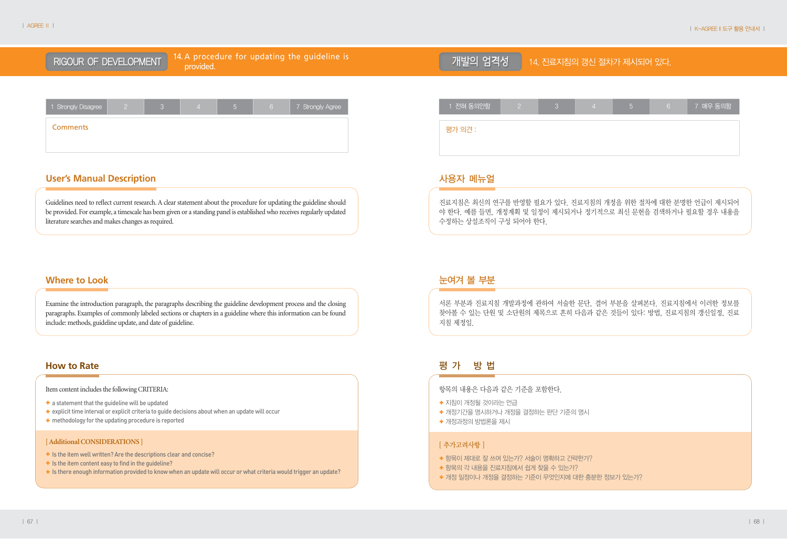14. A procedure for updating the guideline is RIGOUR OF DEVELOPMENT 기업 Procedure for updating the guideline is the controlled 기업의 엄격성 기계 14. 진료지침의 갱신 절차가 제시되어 있다.

| 1 Strongly Disagree |  |  | 6 | 7 Strongly Agree |
|---------------------|--|--|---|------------------|
| <b>Comments</b>     |  |  |   |                  |
|                     |  |  |   |                  |

# **User's Manual Description**

Guidelines need to reflect current research. A clear statement about the procedure for updating the guideline should be provided. For example, a timescale has been given or a standing panel is established who receives regularly updated literature searches and makes changes as required.

# **Where to Look**

Examine the introduction paragraph, the paragraphs describing the guideline development process and the closing paragraphs. Examples of commonly labeled sections or chapters in a guideline where this information can be found include: methods, guideline update, and date of guideline.

# **How to Rate**

# Item content includes the following CRITERIA:

- ✚ a statement that the guideline will be updated
- ✚ explicit time interval or explicit criteria to guide decisions about when an update will occur
- ✚ methodology for the updating procedure is reported

# **[ Additional CONSIDERATIONS ]**

- ✚ Is the item well written? Are the descriptions clear and concise?
- ✚ Is the item content easy to find in the guideline?
- ✚ Is there enough information provided to know when an update will occur or what criteria would trigger an update?

| $\overline{\phantom{a}}$ 1 전혀 동의안함 $\overline{\phantom{a}}$ | O. | っ<br>TO) | 5 | $6 -$ | 7 매우 동의함 |
|-------------------------------------------------------------|----|----------|---|-------|----------|
| 평가 의견 :                                                     |    |          |   |       |          |
|                                                             |    |          |   |       |          |
|                                                             |    |          |   |       |          |

# 사용자 메뉴얼

진료지침은 최신의 연구를 반영할 필요가 있다. 진료지침의 개정을 위한 절차에 대한 분명한 언급이 제시되어 야 한다. 예를 들면, 개정계획 및 일정이 제시되거나 정기적으로 최신 문헌을 검색하거나 필요할 경우 내용을 수정하는 상설조직이 구성 되어야 한다.

# 눈여겨 볼 부분

서론 부분과 진료지침 개발과정에 관하여 서술한 문단, 결어 부분을 살펴본다. 진료지침에서 이러한 정보를 찾아볼 수 있는 단원 및 소단원의 제목으로 흔히 다음과 같은 것들이 있다: 방법, 진료지침의 갱신일정, 진료 지침 제정일.

# 평가 방법

항목의 내용은 다음과 같은 기준을 포함한다.

- ✚ 지침이 개정될 것이라는 언급
- ✚ 개정기간을 명시하거나 개정을 결정하는 판단 기준의 명시
- ✚ 개정과정의 방법론을 제시

- ✚ 항목이 제대로 잘 쓰여 있는가? 서술이 명확하고 간략한가?
- ✚ 항목의 각 내용을 진료지침에서 쉽게 찾을 수 있는가?
- ✚ 개정 일정이나 개정을 결정하는 기준이 무엇인지에 대한 충분한 정보가 있는가?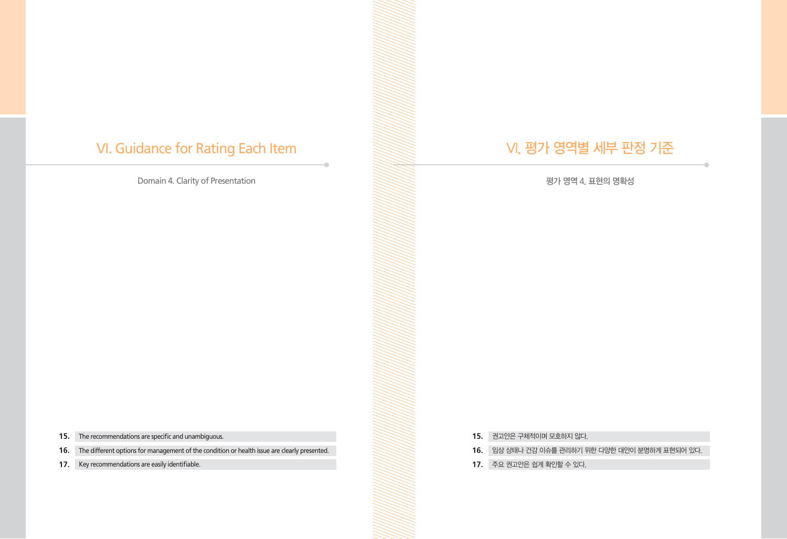# VI. Guidance for Rating Each Item

Domain 4. Clarity of Presentation

# VI. 평가 영역별 세부 판정 기준

평가 영역 4. 표현의 명확성

**15.** The recommendations are specific and unambiguous.

**16.** The different options for management of the condition or health issue are clearly presented.

**17.** Key recommendations are easily identifiable.

- **15.** 권고안은 구체적이며 모호하지 않다.
- **16.** 임상 상태나 건강 이슈를 관리하기 위한 다양한 대안이 분명하게 표현되어 있다.
- **17.** 주요 권고안은 쉽게 확인할 수 있다.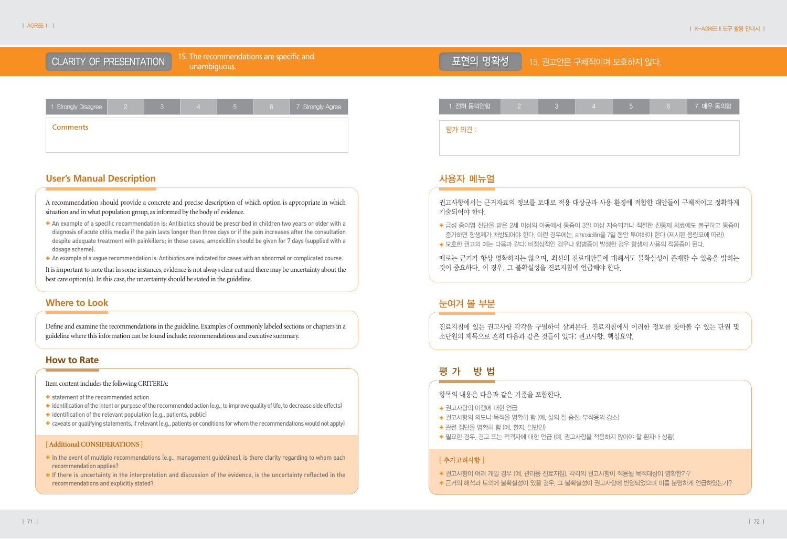# CLARITY OF PRESENTATION TO The recommendations are spectric and<br>The second term of the second term of the second term of the second term of the second term of the second term

15. The recommendations are specific and

| 1 Strongly Disagree |  |  | 6 | 7 Strongly Agree |
|---------------------|--|--|---|------------------|
| <b>Comments</b>     |  |  |   |                  |
|                     |  |  |   |                  |

# **User's Manual Description**

A recommendation should provide a concrete and precise description of which option is appropriate in which situation and in what population group, as informed by the body of evidence.

- **+** An example of a specific recommendation is: Antibiotics should be prescribed in children two years or older with a diagnosis of acute otitis media if the pain lasts longer than three days or if the pain increases after the consultation despite adequate treatment with painkillers; in these cases, amoxicillin should be given for 7 days (supplied with a dosage scheme).
- ✚ An example of a vague recommendation is: Antibiotics are indicated for cases with an abnormal or complicated course.

It is important to note that in some instances, evidence is not always clear cut and there may be uncertainty about the best care option(s). In this case, the uncertainty should be stated in the guideline.

# **Where to Look**

Define and examine the recommendations in the guideline. Examples of commonly labeled sections or chapters in a guideline where this information can be found include: recommendations and executive summary.

# **How to Rate**

# Item content includes the following CRITERIA:

- ✚ statement of the recommended action
- ✚ identification of the intent or purpose of the recommended action (e.g., to improve quality of life, to decrease side effects)
- ✚ identification of the relevant population (e.g., patients, public)
- ✚ caveats or qualifying statements, if relevant (e.g., patients or conditions for whom the recommendations would not apply)

### **[ Additional CONSIDERATIONS ]**

- **+** In the event of multiple recommendations (e.g., management quidelines), is there clarity regarding to whom each recommendation applies?
- ✚ If there is uncertainty in the interpretation and discussion of the evidence, is the uncertainty reflected in the recommendations and explicitly stated?

# 1 전혀 동의안함 2 3 4 5 6 7 매우 동의함 평가 의견 :

# 사용자 메뉴얼

권고사항에서는 근거자료의 정보를 토대로 적용 대상군과 사용 환경에 적합한 대안들이 구체적이고 정확하게 기술되어야 한다.

- ✚ 급성 중이염 진단을 받은 2세 이상의 아동에서 통증이 3일 이상 지속되거나 적절한 진통제 치료에도 불구하고 통증이 증가하면 항생제가 처방되어야 한다. 이런 경우에는, amoxicillin을 7일 동안 투여해야 한다 (제시된 용량표에 따라).
- ✚ 모호한 권고의 예는 다음과 같다: 비정상적인 경우나 합병증이 발생한 경우 항생제 사용의 적응증이 된다.

때로는 근거가 항상 명확하지는 않으며, 최선의 진료대안들에 대해서도 불확실성이 존재할 수 있음을 밝히는 것이 중요하다. 이 경우, 그 불확실성을 진료지침에 언급해야 한다.

# 눈여겨 볼 부분

진료지침에 있는 권고사항 각각을 구별하여 살펴본다. 진료지침에서 이러한 정보를 찾아볼 수 있는 단원 및 소단원의 제목으로 흔히 다음과 같은 것들이 있다: 권고사항, 핵심요약.

# 평가 방법

항목의 내용은 다음과 같은 기준을 포함한다.

- ✚ 권고사항의 이행에 대한 언급
- ✚ 권고사항의 의도나 목적을 명확히 함 (예, 삶의 질 증진, 부작용의 감소)
- ✚ 관련 집단을 명확히 함 (예, 환자, 일반인)
- + 필요한 경우, 경고 또는 적격자에 대한 언급 (예, 권고사항을 적용하지 않아야 할 환자나 상황)

- ✚ 권고사항이 여러 개일 경우 (예, 관리용 진료지침), 각각의 권고사항이 적용될 목적대상이 명확한가?
- 근거의 해석과 토의에 불확실성이 있을 경우, 그 불확실성이 권고사항에 반영되었으며 이를 분명하게 언급하였는가?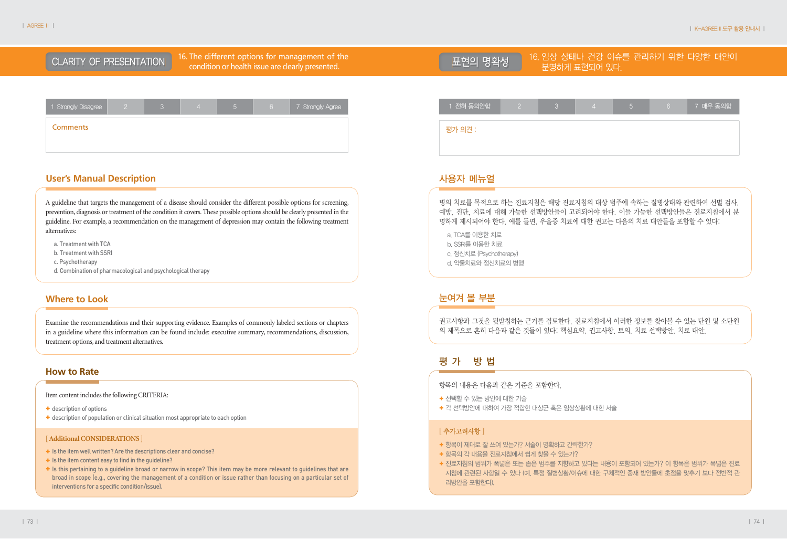# 16. The different options for management of the condition or health issue are clearly presented.



CLARITY OF PRESENTATION 16. The different options for management of the CLARITY OF PRESENTATION 16. The different options for management of the The Text Text Text Of The CLARITY OF PRESENTATION 16. The different options

| 1 Strongly Disagree |  |  | 6 | 7 Strongly Agree |
|---------------------|--|--|---|------------------|
| <b>Comments</b>     |  |  |   |                  |
|                     |  |  |   |                  |

# **User's Manual Description**

A guideline that targets the management of a disease should consider the different possible options for screening, prevention, diagnosis or treatment of the condition it covers. These possible options should be clearly presented in the guideline. For example, a recommendation on the management of depression may contain the following treatment alternatives:

a. Treatment with TCA

- b. Treatment with SSRI
- c. Psychotherapy
- d. Combination of pharmacological and psychological therapy

# **Where to Look**

Examine the recommendations and their supporting evidence. Examples of commonly labeled sections or chapters in a guideline where this information can be found include: executive summary, recommendations, discussion, treatment options, and treatment alternatives.

# **How to Rate**

Item content includes the following CRITERIA:

- ✚ description of options
- **+** description of population or clinical situation most appropriate to each option

# **[ Additional CONSIDERATIONS ]**

- ✚ Is the item well written? Are the descriptions clear and concise?
- **+** Is the item content easy to find in the quideline?
- ✚ Is this pertaining to a guideline broad or narrow in scope? This item may be more relevant to guidelines that are broad in scope (e.g., covering the management of a condition or issue rather than focusing on a particular set of interventions for a specific condition/issue).

| 1 전혀 동의안함 | LON | ZL. | $\overline{\phantom{a}}$ | $\sqrt{6}$ | <mark>. 7 매우 동의함</mark> |
|-----------|-----|-----|--------------------------|------------|-------------------------|
| 평가 의견 :   |     |     |                          |            |                         |
|           |     |     |                          |            |                         |

# 사용자 메뉴얼

병의 치료를 목적으로 하는 진료지침은 해당 진료지침의 대상 범주에 속하는 질병상태와 관련하여 선별 검사, 예방, 진단, 치료에 대해 가능한 선택방안들이 고려되어야 한다. 이들 가능한 선택방안들은 진료지침에서 분 명하게 제시되어야 한다. 예를 들면, 우울증 치료에 대한 권고는 다음의 치료 대안들을 포함할 수 있다:

- a. TCA를 이용한 치료
- b. SSRI를 이용한 치료
- c. 정신치료 (Psychotherapy)
- d. 약물치료와 정신치료의 병행

# 눈여겨 볼 부분

권고사항과 그것을 뒷받침하는 근거를 검토한다. 진료지침에서 이러한 정보를 찾아볼 수 있는 단원 및 소단원 의 제목으로 흔히 다음과 같은 것들이 있다: 핵심요약, 권고사항. 토의, 치료 선택방안, 치료 대안.

# 평가 방법

항목의 내용은 다음과 같은 기준을 포함한다.

- ✚ 선택할 수 있는 방안에 대한 기술
- ✚ 각 선택방안에 대하여 가장 적합한 대상군 혹은 임상상황에 대한 서술

- ✚ 항목이 제대로 잘 쓰여 있는가? 서술이 명확하고 간략한가?
- ✚ 항목의 각 내용을 진료지침에서 쉽게 찾을 수 있는가?
- ✚ 진료지침의 범위가 폭넓은 또는 좁은 범주를 지향하고 있다는 내용이 포함되어 있는가? 이 항목은 범위가 폭넓은 진료 지침에 관련된 사항일 수 있다 (예, 특정 질병상황/이슈에 대한 구체적인 중재 방안들에 초점을 맞추기 보다 전반적 관 리방안을 포함한다).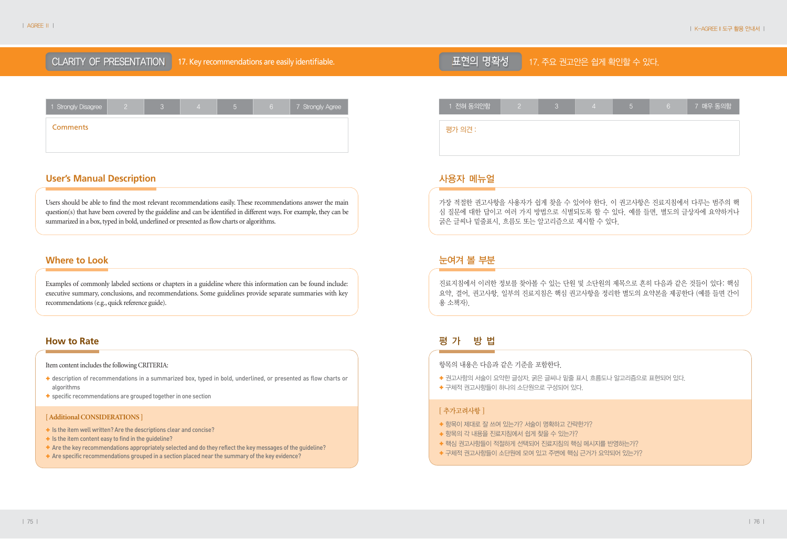# **│ AGREE II │**

# CLARITY OF PRESENTATION 17. Key recommendations are easily identifiable. The Textor Text 도현의 명확성 17. 주요 권고안은 쉽게 확인할 수 있다.

1 Strongly Disagree 2 3 4 5 6 7 Strongly Agree **Comments** 

# **User's Manual Description**

Users should be able to find the most relevant recommendations easily. These recommendations answer the main question(s) that have been covered by the guideline and can be identified in different ways. For example, they can be summarized in a box, typed in bold, underlined or presented as flow charts or algorithms.

# **Where to Look**

Examples of commonly labeled sections or chapters in a guideline where this information can be found include: executive summary, conclusions, and recommendations. Some guidelines provide separate summaries with key recommendations (e.g., quick reference guide).

# **How to Rate**

### Item content includes the following CRITERIA:

- ✚ description of recommendations in a summarized box, typed in bold, underlined, or presented as flow charts or algorithms
- ✚ specific recommendations are grouped together in one section

# **[ Additional CONSIDERATIONS ]**

- ✚ Is the item well written? Are the descriptions clear and concise?
- ✚ Is the item content easy to find in the guideline?
- ✚ Are the key recommendations appropriately selected and do they reflect the key messages of the guideline?
- ✚ Are specific recommendations grouped in a section placed near the summary of the key evidence?

# 1 전혀 동의안함 2 3 4 5 6 7 매우 동의함 평가 의견 :

# 사용자 메뉴얼

가장 적절한 권고사항을 사용자가 쉽게 찾을 수 있어야 한다. 이 권고사항은 진료지침에서 다루는 범주의 핵 심 질문에 대한 답이고 여러 가지 방법으로 식별되도록 할 수 있다. 예를 들면, 별도의 글상자에 요약하거나 굵은 글씨나 밑줄표시, 흐름도 또는 알고리즘으로 제시할 수 있다.

# 눈여겨 볼 부분

진료지침에서 이러한 정보를 찾아볼 수 있는 단원 및 소단원의 제목으로 흔히 다음과 같은 것들이 있다: 핵심 요약, 결어, 권고사항. 일부의 진료지침은 핵심 권고사항을 정리한 별도의 요약본을 제공한다 (예를 들면 간이 용 소책자).

# 평가 방법

항목의 내용은 다음과 같은 기준을 포함한다.

- ✚ 권고사항의 서술이 요약한 글상자, 굵은 글씨나 밑줄 표시, 흐름도나 알고리즘으로 표현되어 있다.
- ✚ 구체적 권고사항들이 하나의 소단원으로 구성되어 있다.

- ✚ 항목이 제대로 잘 쓰여 있는가? 서술이 명확하고 간략한가?
- ✚ 항목의 각 내용을 진료지침에서 쉽게 찾을 수 있는가?
- ← 핵심 권고사항들이 적절하게 선택되어 진료지침의 핵심 메시지를 반영하는가?
- ✚ 구체적 권고사항들이 소단원에 모여 있고 주변에 핵심 근거가 요약되어 있는가?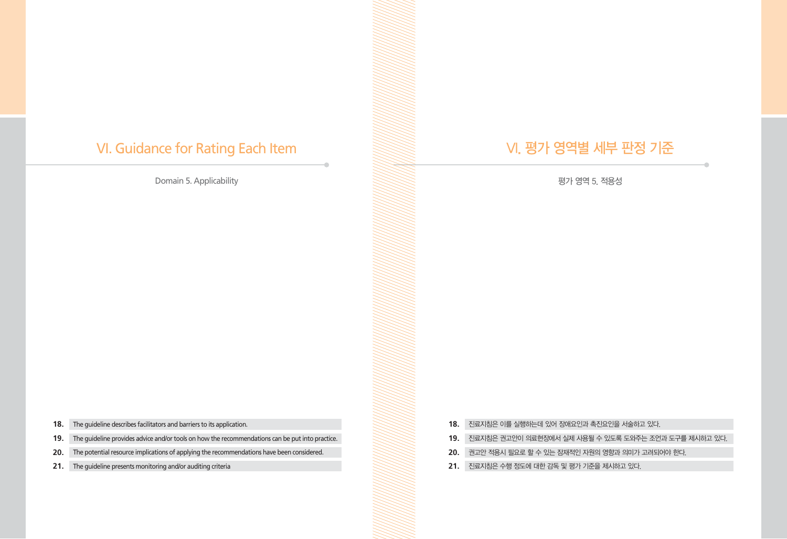# VI. Guidance for Rating Each Item

Domain 5. Applicability

# VI. 평가 영역별 세부 판정 기준

평가 영역 5. 적용성

- **18.** The guideline describes facilitators and barriers to its application.
- **19.** The guideline provides advice and/or tools on how the recommendations can be put into practice.
- **20.** The potential resource implications of applying the recommendations have been considered.
- **21.** The guideline presents monitoring and/or auditing criteria
- **18.** 진료지침은 이를 실행하는데 있어 장애요인과 촉진요인을 서술하고 있다.
- **19.** 진료지침은 권고안이 의료현장에서 실제 사용될 수 있도록 도와주는 조언과 도구를 제시하고 있다.
- **20.** 권고안 적용시 필요로 할 수 있는 잠재적인 자원의 영향과 의미가 고려되어야 한다.
- **21.** 진료지침은 수행 정도에 대한 감독 및 평가 기준을 제시하고 있다.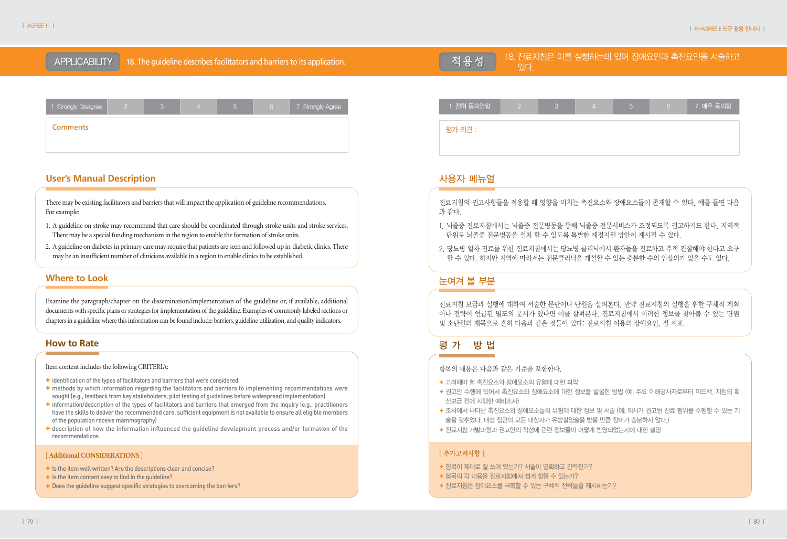|  | APPLICABILITY 18. The guideline describes facilitators and barriers to its application. |  |  |
|--|-----------------------------------------------------------------------------------------|--|--|
|--|-----------------------------------------------------------------------------------------|--|--|



# **User's Manual Description**

There may be existing facilitators and barriers that will impact the application of guideline recommendations. For example:

- 1. A guideline on stroke may recommend that care should be coordinated through stroke units and stroke services. There may be a special funding mechanism in the region to enable the formation of stroke units.
- 2. A guideline on diabetes in primary care may require that patients are seen and followed up in diabetic clinics. There may be an insufficient number of clinicians available in a region to enable clinics to be established.

# **Where to Look**

Examine the paragraph/chapter on the dissemination/implementation of the guideline or, if available, additional documents with specific plans or strategies for implementation of the guideline. Examples of commonly labeled sections or chapters in a guideline where this information can be found include: barriers, guideline utilization, and quality indicators.

# **How to Rate**

# Item content includes the following CRITERIA:

- ✚ identification of the types of facilitators and barriers that were considered
- **+** methods by which information regarding the facilitators and barriers to implementing recommendations were sought (e.g., feedback from key stakeholders, pilot testing of guidelines before widespread implementation)
- ✚ information/description of the types of facilitators and barriers that emerged from the inquiry (e.g., practitioners have the skills to deliver the recommended care, sufficient equipment is not available to ensure all eligible members of the population receive mammography)
- ✚ description of how the information influenced the guideline development process and/or formation of the recommendations

### **[ Additional CONSIDERATIONS ]**

- $+$  Is the item well written? Are the descriptions clear and concise?
- ✚ Is the item content easy to find in the guideline?
- ✚ Does the guideline suggest specific strategies to overcoming the barriers?

# 1 전혀 동의안함 2 3 4 5 6 7 매우 동의함 평가 의견 :

# 사용자 메뉴얼

- 진료지침의 권고사항들을 적용할 때 영향을 미치는 촉진요소와 장애요소들이 존재할 수 있다. 예를 들면 다음 과 같다.
- 1. 뇌졸중 진료지침에서는 뇌졸중 전문병동을 통해 뇌졸중 전문서비스가 조정되도록 권고하기도 한다. 지역적 단위로 뇌졸중 전문병동을 설치 할 수 있도록 특별한 재정지원 방안이 제시될 수 있다.
- 2. 당뇨병 일차 진료를 위한 진료지침에서는 당뇨병 클리닉에서 환자들을 진료하고 추적 관찰해야 한다고 요구 할 수 있다. 하지만 지역에 따라서는 전문클리닉을 개설할 수 있는 충분한 수의 임상의가 없을 수도 있다.

# 눈여겨 볼 부분

진료지침 보급과 실행에 대하여 서술한 문단이나 단원을 살펴본다. 만약 진료지침의 실행을 위한 구체적 계획 이나 전략이 언급된 별도의 문서가 있다면 이를 살펴본다. 진료지침에서 이러한 정보를 찾아볼 수 있는 단원 및 소단원의 제목으로 흔히 다음과 같은 것들이 있다: 진료지침 이용의 장애요인, 질 지표.

# 평가 방법

항목의 내용은 다음과 같은 기준을 포함한다.

- ✚ 고려해야 할 촉진요소와 장애요소의 유형에 대한 파악
- ✚ 권고안 수행에 있어서 촉진요소와 장애요소에 대한 정보를 발굴한 방법 (예; 주요 이해당사자로부터 피드백, 지침의 확 산보급 전에 시행한 예비조사)
- ✚ 조사에서 나타난 촉진요소와 장애요소들의 유형에 대한 정보 및 서술 (예; 의사가 권고된 진료 행위를 수행할 수 있는 기 술을 갖추었다. 대상 집단의 모든 대상자가 유방촬영술을 받을 만큼 장비가 충분하지 않다.)
- ✚ 진료지침 개발과정과 권고안의 작성에 관련 정보들이 어떻게 반영되었는지에 대한 설명

- ✚ 항목이 제대로 잘 쓰여 있는가? 서술이 명확하고 간략한가?
- ✚ 항목의 각 내용을 진료지침에서 쉽게 찾을 수 있는가?
- ✚ 진료지침은 장애요소를 극복할 수 있는 구체적 전략들을 제시하는가?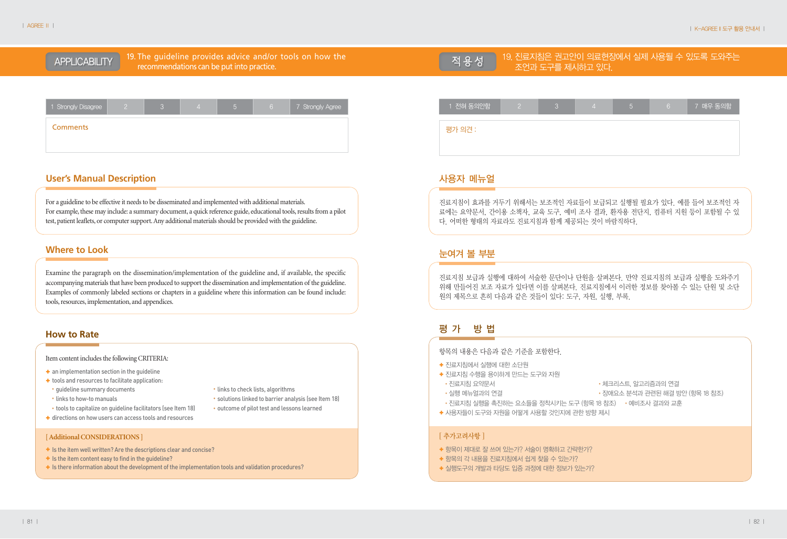19. The guideline provides advice and/or tools on how the APPLICABILITY **PERIODE IS A THE SUBSET OF A PRICABILITY recommendations can be put into practice.** 

| 1 Strongly Disagree |  |  | 7 Strongly Agree |
|---------------------|--|--|------------------|
| <b>Comments</b>     |  |  |                  |
|                     |  |  |                  |

# **User's Manual Description**

For a guideline to be effective it needs to be disseminated and implemented with additional materials. For example, these may include: a summary document, a quick reference guide, educational tools, results from a pilot test, patient leaflets, or computer support. Any additional materials should be provided with the guideline.

# **Where to Look**

Examine the paragraph on the dissemination/implementation of the guideline and, if available, the specific accompanying materials that have been produced to support the dissemination and implementation of the guideline. Examples of commonly labeled sections or chapters in a guideline where this information can be found include: tools, resources, implementation, and appendices.

# **How to Rate**

# Item content includes the following CRITERIA:

- ✚ an implementation section in the guideline
- ✚ tools and resources to facilitate application:
- 
- 
- 
- ✚ directions on how users can access tools and resources

# **[ Additional CONSIDERATIONS ]**

- ✚ Is the item well written? Are the descriptions clear and concise?
- $+$  Is the item content easy to find in the quideline?
- ✚ Is there information about the development of the implementation tools and validation procedures?
- •guideline summary documents •links to check lists, algorithms
- links to how-to manuals **••** solutions linked to barrier analysis (see Item 18)
- tools to capitalize on guideline facilitators (see Item 18) outcome of pilot test and lessons learned

1 전혀 동의안함 2 3 4 5 6 7 매우 동의함 평가 의견 :

조언과 도구를 제시하고 있다. 적용성

19. 진료지침은 권고안이 의료현장에서 실제 사용될 수 있도록 도와주는

# 사용자 메뉴얼

진료지침이 효과를 거두기 위해서는 보조적인 자료들이 보급되고 실행될 필요가 있다. 예를 들어 보조적인 자 료에는 요약문서, 간이용 소책자, 교육 도구, 예비 조사 결과, 환자용 전단지, 컴퓨터 지원 등이 포함될 수 있 다. 어떠한 형태의 자료라도 진료지침과 함께 제공되는 것이 바람직하다.

# 눈여겨 볼 부분

진료지침 보급과 실행에 대하여 서술한 문단이나 단원을 살펴본다. 만약 진료지침의 보급과 실행을 도와주기 위해 만들어진 보조 자료가 있다면 이를 살펴본다. 진료지침에서 이러한 정보를 찾아볼 수 있는 단원 및 소단 원의 제목으로 흔히 다음과 같은 것들이 있다: 도구, 자원, 실행, 부록.

# 평가 방법

항목의 내용은 다음과 같은 기준을 포함한다.

- ✚ 진료지침에서 실행에 대한 소단원
- ✚ 진료지침 수행을 용이하게 만드는 도구와 자원
- 
- •진료지침 요약문서 • • • • • • • 혜크리스트, 알고리즘과의 연결
- 
- •실행 메뉴얼과의 연결 • • 장애요소 분석과 관련된 해결 방안 (항목 18 참조)
- 진료지침 실행을 촉진하는 요소들을 정착시키는 도구 (항목 18 참조) 예비조사 결과와 교훈
- ✚ 사용자들이 도구와 자원을 어떻게 사용할 것인지에 관한 방향 제시

- ✚ 항목이 제대로 잘 쓰여 있는가? 서술이 명확하고 간략한가?
- ✚ 항목의 각 내용을 진료지침에서 쉽게 찾을 수 있는가?
- ✚ 실행도구의 개발과 타당도 입증 과정에 대한 정보가 있는가?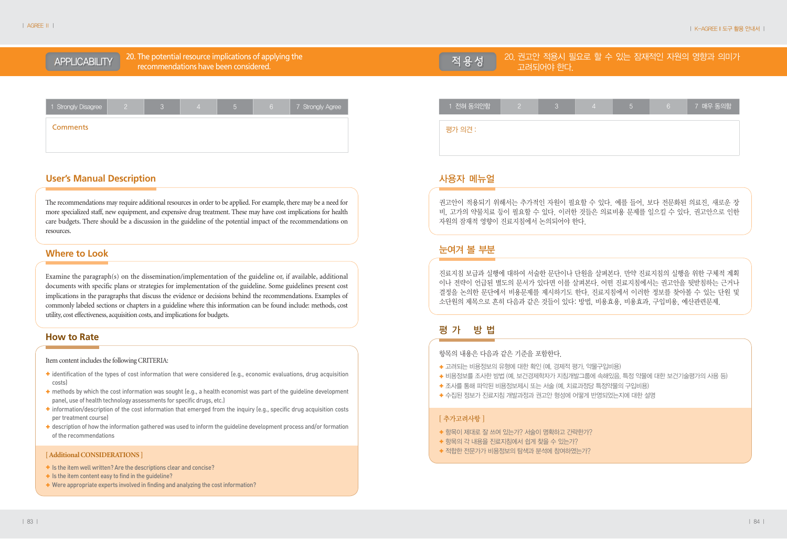# 20. The potential resource implications of applying the recommendations have been considered. APPLICABILITY

| 1 Strongly Disagree |  | $\perp$ | 6 | 7 Strongly Agree |
|---------------------|--|---------|---|------------------|
| <b>Comments</b>     |  |         |   |                  |
|                     |  |         |   |                  |

# **User's Manual Description**

The recommendations may require additional resources in order to be applied. For example, there may be a need for more specialized staff, new equipment, and expensive drug treatment. These may have cost implications for health care budgets. There should be a discussion in the guideline of the potential impact of the recommendations on resources.

# **Where to Look**

Examine the paragraph(s) on the dissemination/implementation of the guideline or, if available, additional documents with specific plans or strategies for implementation of the guideline. Some guidelines present cost implications in the paragraphs that discuss the evidence or decisions behind the recommendations. Examples of commonly labeled sections or chapters in a guideline where this information can be found include: methods, cost utility, cost effectiveness, acquisition costs, and implications for budgets.

# **How to Rate**

## Item content includes the following CRITERIA:

- ✚ identification of the types of cost information that were considered (e.g., economic evaluations, drug acquisition costs)
- **+** methods by which the cost information was sought (e.g., a health economist was part of the quideline development panel, use of health technology assessments for specific drugs, etc.)
- ✚ information/description of the cost information that emerged from the inquiry (e.g., specific drug acquisition costs per treatment course)
- ✚ description of how the information gathered was used to inform the guideline development process and/or formation of the recommendations

#### **[ Additional CONSIDERATIONS ]**

- ✚ Is the item well written? Are the descriptions clear and concise?
- ✚ Is the item content easy to find in the guideline?
- ✚ Were appropriate experts involved in finding and analyzing the cost information?

# 1 전혀 동의안함 2 3 4 5 6 7 매우 동의함

20. 권고안 적용시 필요로 할 수 있는 잠재적인 자원의 영향과 의미가

평가 의견 :

# 사용자 메뉴얼

적 용 성 Device <sup>건 전고인 식풍시 별<br>고려되어야 한다.</sup>

권고안이 적용되기 위해서는 추가적인 자원이 필요할 수 있다. 예를 들어, 보다 전문화된 의료진, 새로운 장 비, 고가의 약물치료 등이 필요할 수 있다. 이러한 것들은 의료비용 문제를 일으킬 수 있다. 권고안으로 인한 자원의 잠재적 영향이 진료지침에서 논의되어야 한다.

# 눈여겨 볼 부분

진료지침 보급과 실행에 대하여 서술한 문단이나 단원을 살펴본다. 만약 진료지침의 실행을 위한 구체적 계획 이나 전략이 언급된 별도의 문서가 있다면 이를 살펴본다. 어떤 진료지침에서는 권고안을 뒷받침하는 근거나 결정을 논의한 문단에서 비용문제를 제시하기도 한다. 진료지침에서 이러한 정보를 찾아볼 수 있는 단원 및 소단원의 제목으로 흔히 다음과 같은 것들이 있다: 방법, 비용효용, 비용효과, 구입비용, 예산관련문제.

# 평가 방법

항목의 내용은 다음과 같은 기준을 포함한다.

- ✚ 고려되는 비용정보의 유형에 대한 확인 (예, 경제적 평가, 약물구입비용)
- + 비용정보를 조사한 방법 (예, 보건경제학자가 지침개발그룹에 속해있음, 특정 약물에 대한 보건기술평가의 사용 등)
- ✚ 조사를 통해 파악된 비용정보제시 또는 서술 (예, 치료과정당 특정약물의 구입비용)
- ◆ 수집된 정보가 진료지침 개발과정과 권고안 형성에 어떻게 반영되었는지에 대한 설명

- ✚ 항목이 제대로 잘 쓰여 있는가? 서술이 명확하고 간략한가?
- ✚ 항목의 각 내용을 진료지침에서 쉽게 찾을 수 있는가?
- ✚ 적합한 전문가가 비용정보의 탐색과 분석에 참여하였는가?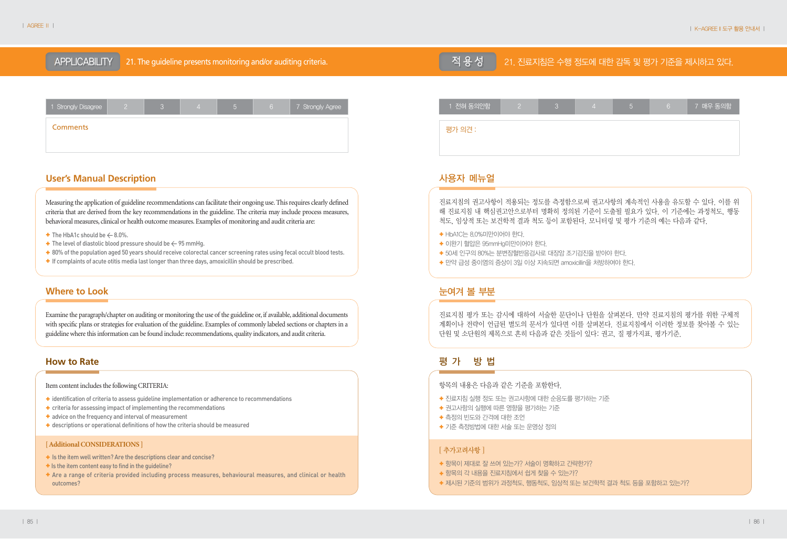# APPLICABILITY 21. The guideline presents monitoring and/or auditing criteria. The This term of This May 21. 진료지침은 수행 정도에 대한 감독 및 평가 기준을 제시하고 있다.

| 1 Strongly Disagree |  |  | 6 | 7 Strongly Agree |
|---------------------|--|--|---|------------------|
| <b>Comments</b>     |  |  |   |                  |
|                     |  |  |   |                  |

# **User's Manual Description**

Measuring the application of guideline recommendations can facilitate their ongoing use. This requires clearly defined criteria that are derived from the key recommendations in the guideline. The criteria may include process measures, behavioral measures, clinical or health outcome measures. Examples of monitoring and audit criteria are:

- $\div$  The HbA1c should be  $\leftarrow$  8.0%.
- $\div$  The level of diastolic blood pressure should be  $\leftarrow$  95 mmHq.
- ✚ 80% of the population aged 50 years should receive colorectal cancer screening rates using fecal occult blood tests.
- ✚ If complaints of acute otitis media last longer than three days, amoxicillin should be prescribed.

# **Where to Look**

Examine the paragraph/chapter on auditing or monitoring the use of the guideline or, if available, additional documents with specific plans or strategies for evaluation of the guideline. Examples of commonly labeled sections or chapters in a guideline where this information can be found include: recommendations, quality indicators, and audit criteria.

# **How to Rate**

# Item content includes the following CRITERIA:

- **+** identification of criteria to assess guideline implementation or adherence to recommendations
- ✚ criteria for assessing impact of implementing the recommendations
- ✚ advice on the frequency and interval of measurement
- ✚ descriptions or operational definitions of how the criteria should be measured

# **[ Additional CONSIDERATIONS ]**

- ✚ Is the item well written? Are the descriptions clear and concise?
- ✚ Is the item content easy to find in the guideline?
- ✚ Are a range of criteria provided including process measures, behavioural measures, and clinical or health outcomes?

# 1 전혀 동의안함 2 3 4 5 6 7 매우 동의함 평가 의견 :

# 사용자 메뉴얼

진료지침의 권고사항이 적용되는 정도를 측정함으로써 권고사항의 계속적인 사용을 유도할 수 있다. 이를 위 해 진료지침 내 핵심권고안으로부터 명확히 정의된 기준이 도출될 필요가 있다. 이 기준에는 과정척도, 행동 척도, 임상적 또는 보건학적 결과 척도 등이 포함된다. 모니터링 및 평가 기준의 예는 다음과 같다.

- ✚ HbA1C는 8.0%미만이어야 한다.
- ✚ 이완기 혈압은 95mmHg미만이어야 한다.
- ✚ 50세 인구의 80%는 분변잠혈반응검사로 대장암 조기검진을 받아야 한다.
- ✚ 만약 급성 중이염의 증상이 3일 이상 지속되면 amoxicillin을 처방하여야 한다.

# 눈여겨 볼 부분

진료지침 평가 또는 감시에 대하여 서술한 문단이나 단원을 살펴본다. 만약 진료지침의 평가를 위한 구체적 계획이나 전략이 언급된 별도의 문서가 있다면 이를 살펴본다. 진료지침에서 이러한 정보를 찾아볼 수 있는 단원 및 소단원의 제목으로 흔히 다음과 같은 것들이 있다: 권고, 질 평가지표, 평가기준.

# 평가 방법

# 항목의 내용은 다음과 같은 기준을 포함한다.

- ✚ 진료지침 실행 정도 또는 권고사항에 대한 순응도를 평가하는 기준
- ✚ 권고사항의 실행에 따른 영향을 평가하는 기준
- ✚ 측정의 빈도와 간격에 대한 조언
- ✚ 기준 측정방법에 대한 서술 또는 운영상 정의

- ✚ 항목이 제대로 잘 쓰여 있는가? 서술이 명확하고 간략한가?
- ✚ 항목의 각 내용을 진료지침에서 쉽게 찾을 수 있는가?
- ✚ 제시된 기준의 범위가 과정척도, 행동척도, 임상적 또는 보건학적 결과 척도 등을 포함하고 있는가?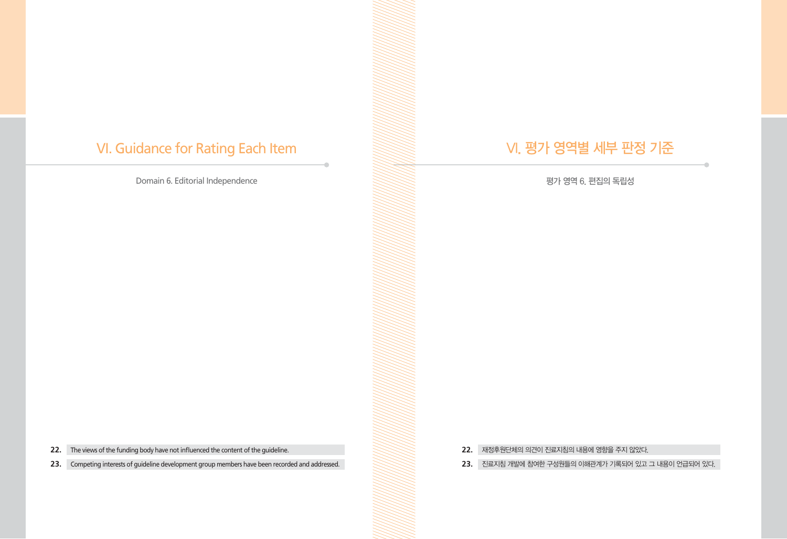# VI. Guidance for Rating Each Item

Domain 6. Editorial Independence

# VI. 평가 영역별 세부 판정 기준

평가 영역 6. 편집의 독립성

**22.** The views of the funding body have not influenced the content of the guideline.

**23.** Competing interests of guideline development group members have been recorded and addressed.

- **22.** 재정후원단체의 의견이 진료지침의 내용에 영향을 주지 않았다.
- **23.** 진료지침 개발에 참여한 구성원들의 이해관계가 기록되어 있고 그 내용이 언급되어 있다.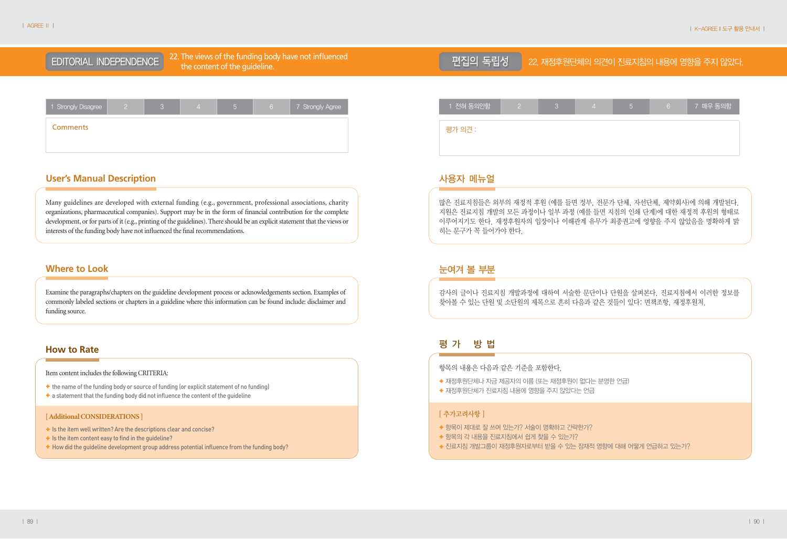# EDITORIAL INDEPENDENCE **the content of the quideline.**

22. The views of the funding body have not influenced



# **User's Manual Description**

Many guidelines are developed with external funding (e.g., government, professional associations, charity organizations, pharmaceutical companies). Support may be in the form of financial contribution for the complete development, or for parts of it (e.g., printing of the guidelines). There should be an explicit statement that the views or interests of the funding body have not influenced the final recommendations.

# **Where to Look**

Examine the paragraphs/chapters on the guideline development process or acknowledgements section. Examples of commonly labeled sections or chapters in a guideline where this information can be found include: disclaimer and funding source.

# **How to Rate**

# Item content includes the following CRITERIA:

- ✚ the name of the funding body or source of funding (or explicit statement of no funding)
- ✚ a statement that the funding body did not influence the content of the guideline

### **[ Additional CONSIDERATIONS ]**

- ✚ Is the item well written? Are the descriptions clear and concise?
- ✚ Is the item content easy to find in the guideline?
- ✚ How did the guideline development group address potential influence from the funding body?

| $\overline{11}$ 전혀 동의안함 |  | h | 6 | 7 매우 동의함 |
|-------------------------|--|---|---|----------|
| 평가 의견 :                 |  |   |   |          |
|                         |  |   |   |          |

편집의 독립성 22. 재정후원단체의 의견이 진료지침의 내용에 영향을 주지 않았다.

# 사용자 메뉴얼

많은 진료지침들은 외부의 재정적 후원 (예를 들면 정부, 전문가 단체, 자선단체, 제약회사)에 의해 개발된다. 지원은 진료지침 개발의 모든 과정이나 일부 과정 (예를 들면 지침의 인쇄 단계)에 대한 재정적 후원의 형태로 이루어지기도 한다. 재정후원자의 입장이나 이해관계 유무가 최종권고에 영향을 주지 않았음을 명확하게 밝 히는 문구가 꼭 들어가야 한다.

# 눈여겨 볼 부분

감사의 글이나 진료지침 개발과정에 대하여 서술한 문단이나 단원을 살펴본다. 진료지침에서 이러한 정보를 찾아볼 수 있는 단원 및 소단원의 제목으로 흔히 다음과 같은 것들이 있다: 면책조항, 재정후원처.

# 평가 방법

항목의 내용은 다음과 같은 기준을 포함한다.

- ✚ 재정후원단체나 자금 제공자의 이름 (또는 재정후원이 없다는 분명한 언급)
- ✚ 재정후원단체가 진료지침 내용에 영향을 주지 않았다는 언급

- ✚ 항목이 제대로 잘 쓰여 있는가? 서술이 명확하고 간략한가?
- ✚ 항목의 각 내용을 진료지침에서 쉽게 찾을 수 있는가?
- ✚ 진료지침 개발그룹이 재정후원자로부터 받을 수 있는 잠재적 영향에 대해 어떻게 언급하고 있는가?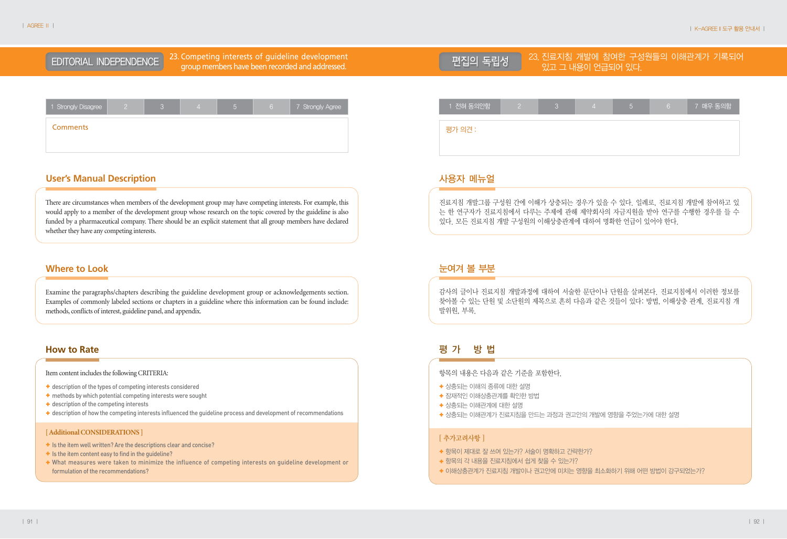23. Competing interests of guideline development EDITORIAL INDEPENDENCE competing interests of guideline development



# **User's Manual Description**

There are circumstances when members of the development group may have competing interests. For example, this would apply to a member of the development group whose research on the topic covered by the guideline is also funded by a pharmaceutical company. There should be an explicit statement that all group members have declared whether they have any competing interests.

# **Where to Look**

Examine the paragraphs/chapters describing the guideline development group or acknowledgements section. Examples of commonly labeled sections or chapters in a guideline where this information can be found include: methods, conflicts of interest, guideline panel, and appendix.

# **How to Rate**

# Item content includes the following CRITERIA:

- ✚ description of the types of competing interests considered
- ✚ methods by which potential competing interests were sought
- ✚ description of the competing interests
- **+** description of how the competing interests influenced the quideline process and development of recommendations

# **[ Additional CONSIDERATIONS ]**

- ✚ Is the item well written? Are the descriptions clear and concise?
- ✚ Is the item content easy to find in the guideline?
- ✚ What measures were taken to minimize the influence of competing interests on guideline development or formulation of the recommendations?

# 1 전혀 동의안함 2 3 4 5 6 7 매우 동의함 평가 의견 :

있고 그 내용이 언급되어 있다. 편집의 독립성

23. 진료지침 개발에 참여한 구성원들의 이해관계가 기록되어

# 사용자 메뉴얼

진료지침 개발그룹 구성원 간에 이해가 상충되는 경우가 있을 수 있다. 일례로, 진료지침 개발에 참여하고 있 는 한 연구자가 진료지침에서 다루는 주제에 관해 제약회사의 자금지원을 받아 연구를 수행한 경우를 들 수 있다. 모든 진료지침 개발 구성원의 이해상충관계에 대하여 명확한 언급이 있어야 한다.

# 눈여겨 볼 부분

감사의 글이나 진료지침 개발과정에 대하여 서술한 문단이나 단원을 살펴본다. 진료지침에서 이러한 정보를 찾아볼 수 있는 단원 및 소단원의 제목으로 흔히 다음과 같은 것들이 있다: 방법, 이해상충 관계, 진료지침 개 발위원, 부록.

# 평가 방법

# 항목의 내용은 다음과 같은 기준을 포함한다.

- ✚ 상충되는 이해의 종류에 대한 설명
- ✚ 잠재적인 이해상충관계를 확인한 방법
- ✚ 상충되는 이해관계에 대한 설명
- ✚ 상충되는 이해관계가 진료지침을 만드는 과정과 권고안의 개발에 영향을 주었는가에 대한 설명

- ✚ 항목이 제대로 잘 쓰여 있는가? 서술이 명확하고 간략한가?
- ← 항목의 각 내용을 진료지침에서 쉽게 찾을 수 있는가?
- + 이해상충관계가 진료지침 개발이나 권고안에 미치는 영향을 최소화하기 위해 어떤 방법이 강구되었는가?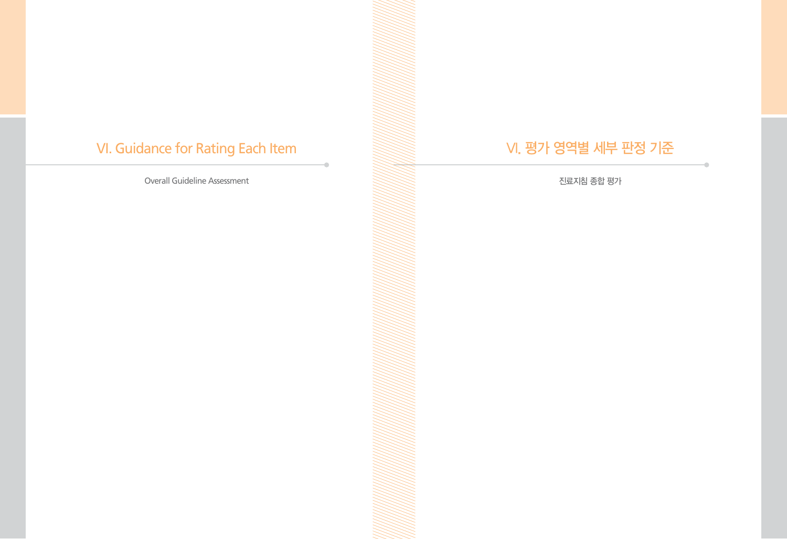# VI. Guidance for Rating Each Item

Overall Guideline Assessment

# VI. 평가 영역별 세부 판정 기준

진료지침 종합 평가

-0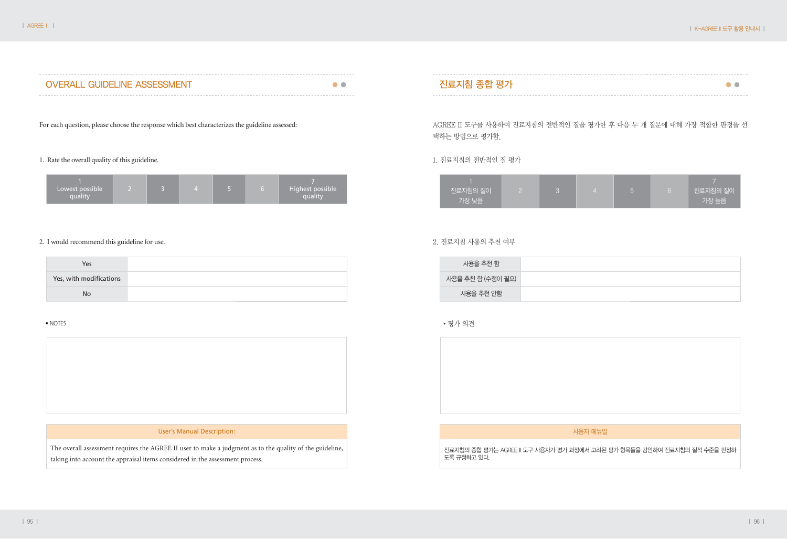| <b>OVERALL GUIDELINE ASSESSMENT</b> |  |
|-------------------------------------|--|

For each question, please choose the response which best characterizes the guideline assessed:

# 1. Rate the overall quality of this guideline.

| Lowest possible<br>quality |  |  |  |  |  | Highest possible<br>quality |
|----------------------------|--|--|--|--|--|-----------------------------|
|----------------------------|--|--|--|--|--|-----------------------------|

# 2. I would recommend this guideline for use.

| Yes                     |  |
|-------------------------|--|
| Yes, with modifications |  |
| No                      |  |

### • NOTES



### User's Manual Description:

The overall assessment requires the AGREE II user to make a judgment as to the quality of the guideline, taking into account the appraisal items considered in the assessment process.

# 진료지침 종합 평가 수학 회의 대표 이 대표 이 사이트 지역 수학

AGREE II 도구를 사용하여 진료지침의 전반적인 질을 평가한 후 다음 두 개 질문에 대해 가장 적합한 판정을 선 택하는 방법으로 평가함.

# 1. 진료지침의 전반적인 질 평가

| 진료지침의 질이 |  |  | <b>진료지침의 질이</b> |
|----------|--|--|-----------------|
| 기장 낮음 \  |  |  | 가장 높음           |

# 2. 진료지침 사용의 추천 여부

| 사용을 추천 함          |  |
|-------------------|--|
| 사용을 추천 함 (수정이 필요) |  |
| 사용을 추천 안함         |  |

# •평가 의견



# 사용자 메뉴얼

진료지침의 종합 평가는 AGREE ll 도구 사용자가 평가 과정에서 고려된 평가 항목들을 감안하여 진료지침의 질적 수준을 판정하 도록 규정하고 있다.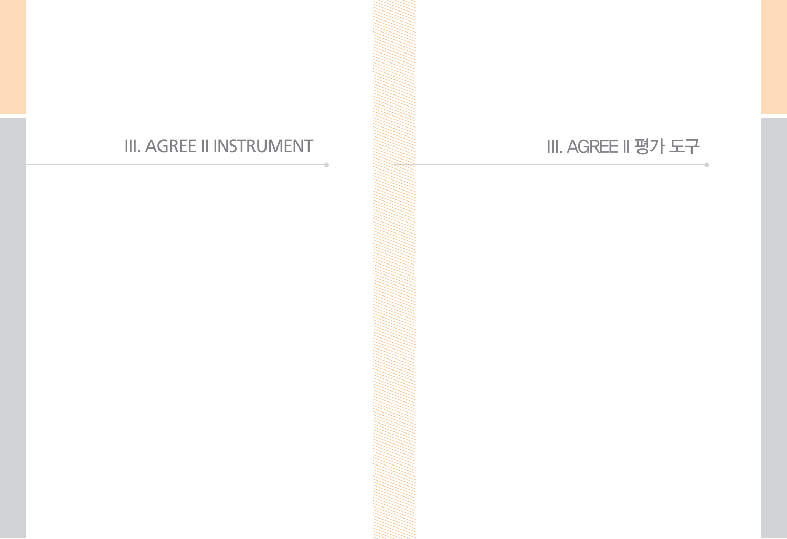# III. AGREE II INSTRUMENT NEER SERVICE AT A THE AGREE II 평가 도구

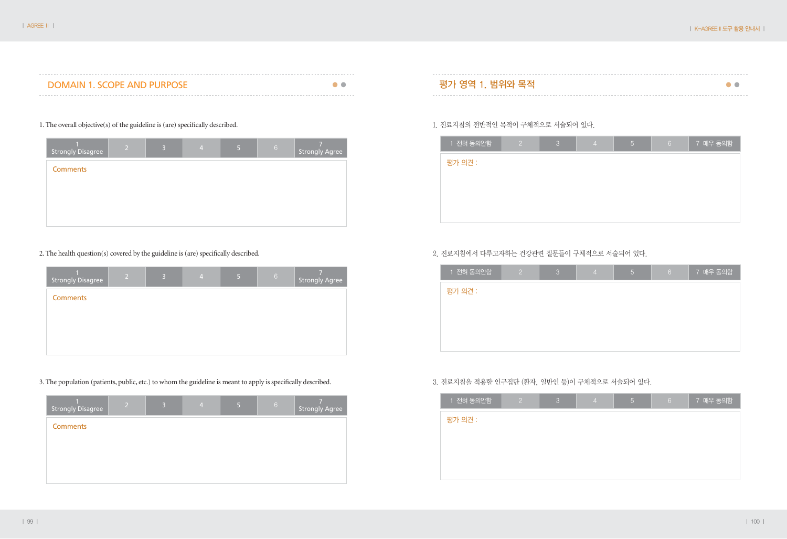| <b>DOMAIN 1. SCOPE AND PURPOSE</b> |  |
|------------------------------------|--|
|                                    |  |

# 1. The overall objective(s) of the guideline is (are) specifically described.

| <b>Strongly Disagree</b> | $\overline{2}$ | 3 | $\overline{4}$ | 5 | $\,6\,$ | Strongly Agree |
|--------------------------|----------------|---|----------------|---|---------|----------------|
| <b>Comments</b>          |                |   |                |   |         |                |
|                          |                |   |                |   |         |                |
|                          |                |   |                |   |         |                |
|                          |                |   |                |   |         |                |

# 2. The health question(s) covered by the guideline is (are) specifically described.

| <b>Strongly Disagree</b> | 2 <sup>1</sup> | $\vert$ 3 | $\overline{4}$ | 5 | $6\phantom{.}6$ | <b>Strongly Agree</b> |
|--------------------------|----------------|-----------|----------------|---|-----------------|-----------------------|
| <b>Comments</b>          |                |           |                |   |                 |                       |
|                          |                |           |                |   |                 |                       |
|                          |                |           |                |   |                 |                       |
|                          |                |           |                |   |                 |                       |

3. The population (patients, public, etc.) to whom the guideline is meant to apply is specifically described.



| 평가 영역 1. 범위와 목적 |  |
|-----------------|--|
|                 |  |

1 전혀 동의안함 | 2 | 3 | 4 | 5 | 6 | 7 매우 동의함

1. 진료지침의 전반적인 목적이 구체적으로 서술되어 있다.

평가 의견 :

| 1 전혀 동의안함 | $\overline{2}$ | 3 | $\overline{4}$ | 5 | $6 \overline{6}$ | 7 매우 동의함 |
|-----------|----------------|---|----------------|---|------------------|----------|
| 평가 의견 :   |                |   |                |   |                  |          |
|           |                |   |                |   |                  |          |
|           |                |   |                |   |                  |          |
|           |                |   |                |   |                  |          |
|           |                |   |                |   |                  |          |

# 3. 진료지침을 적용할 인구집단 (환자, 일반인 등)이 구체적으로 서술되어 있다.

2. 진료지침에서 다루고자하는 건강관련 질문들이 구체적으로 서술되어 있다.

| 1 전혀 동의안함 | $\overline{2}$ | 3 | 74, | $\overline{5}$ | 6 <sup>1</sup> | 7 매우 동의함 |
|-----------|----------------|---|-----|----------------|----------------|----------|
| 평가 의견 :   |                |   |     |                |                |          |
|           |                |   |     |                |                |          |
|           |                |   |     |                |                |          |
|           |                |   |     |                |                |          |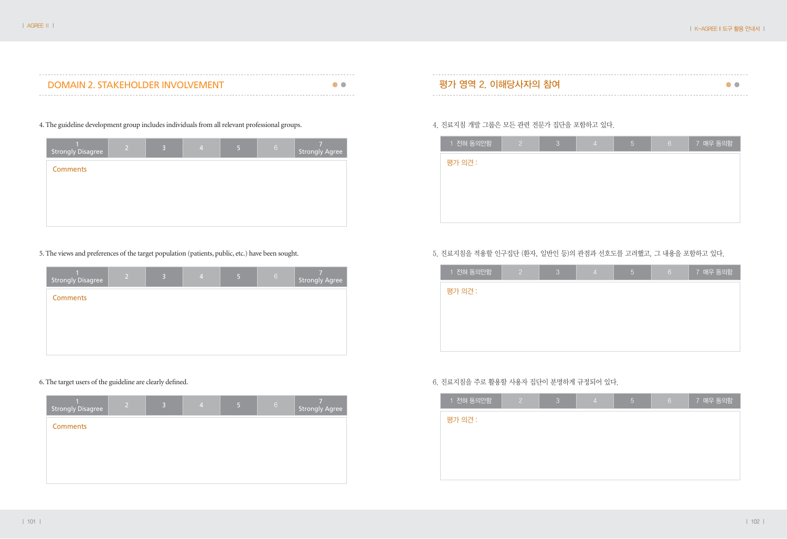| <b>DOMAIN 2. STAKEHOLDER INVOLVEMENT</b> |
|------------------------------------------|
|------------------------------------------|

# 4. The guideline development group includes individuals from all relevant professional groups.

| <b>Strongly Disagree</b> | 2 | 13 | $\overline{4}$ | 5 | $6 \overline{6}$ | Strongly Agree |
|--------------------------|---|----|----------------|---|------------------|----------------|
| <b>Comments</b>          |   |    |                |   |                  |                |
|                          |   |    |                |   |                  |                |
|                          |   |    |                |   |                  |                |
|                          |   |    |                |   |                  |                |

5. The views and preferences of the target population (patients, public, etc.) have been sought.

| <b>Strongly Disagree</b> | $\overline{2}$ | 13 | $\overline{4}$ | 5 | $6\phantom{1}6$ | <b>Strongly Agree</b> |
|--------------------------|----------------|----|----------------|---|-----------------|-----------------------|
| <b>Comments</b>          |                |    |                |   |                 |                       |
|                          |                |    |                |   |                 |                       |
|                          |                |    |                |   |                 |                       |
|                          |                |    |                |   |                 |                       |

# 6. The target users of the guideline are clearly defined.

| <b>Strongly Disagree</b> | $\mathcal{P}$ | 3 | $\overline{4}$ | 5 | $\,6\,$ | <b>Strongly Agree</b> |
|--------------------------|---------------|---|----------------|---|---------|-----------------------|
| <b>Comments</b>          |               |   |                |   |         |                       |
|                          |               |   |                |   |         |                       |
|                          |               |   |                |   |         |                       |
|                          |               |   |                |   |         |                       |

# 4. 진료지침 개발 그룹은 모든 관련 전문가 집단을 포함하고 있다.

| 1 전혀 동의안함 | (2) | 3 | $\overline{4}$ | $\overline{5}$ | 6 <sup>1</sup> | 7 매우 동의함 |
|-----------|-----|---|----------------|----------------|----------------|----------|
| 평가 의견 :   |     |   |                |                |                |          |
|           |     |   |                |                |                |          |
|           |     |   |                |                |                |          |
|           |     |   |                |                |                |          |

# 5. 진료지침을 적용할 인구집단 (환자, 일반인 등)의 관점과 선호도를 고려했고, 그 내용을 포함하고 있다.

| 1 전혀 동의안함 | (2) | 3 | $\overline{4}$ | $\overline{5}$ | 6 | 7 매우 동의함 |
|-----------|-----|---|----------------|----------------|---|----------|
| 평가 의견 :   |     |   |                |                |   |          |
|           |     |   |                |                |   |          |
|           |     |   |                |                |   |          |
|           |     |   |                |                |   |          |
|           |     |   |                |                |   |          |

# 6. 진료지침을 주로 활용할 사용자 집단이 분명하게 규정되어 있다.

| 1 전혀 동의안함 | $\overline{2}$ | 3 | $\overline{4}$ | $\overline{5}$ | 6 | 7 매우 동의함 |
|-----------|----------------|---|----------------|----------------|---|----------|
| 평가 의견 :   |                |   |                |                |   |          |
|           |                |   |                |                |   |          |
|           |                |   |                |                |   |          |
|           |                |   |                |                |   |          |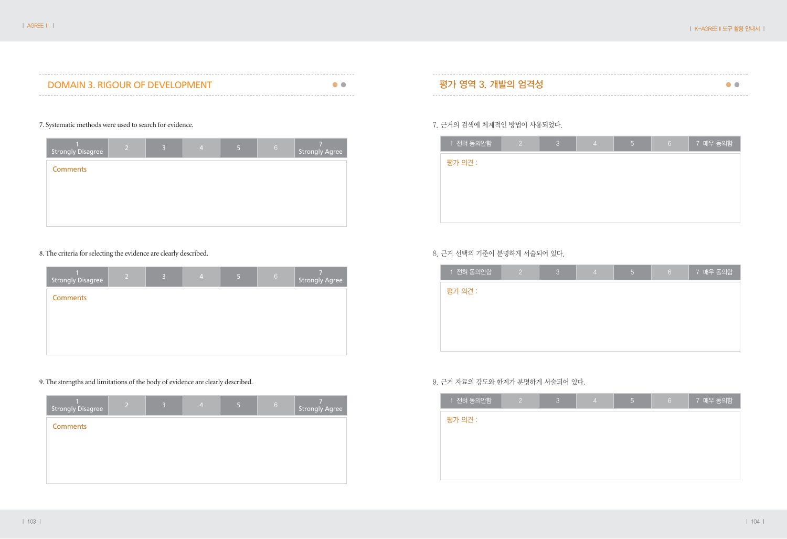| <b>DOMAIN 3. RIGOUR OF DEVELOPMENT</b> |  |
|----------------------------------------|--|
|                                        |  |

# 7. Systematic methods were used to search for evidence.

| <b>Strongly Disagree</b> | $\mathsf{L}^{\mathsf{L}}$ | $\overline{3}$ | 4 | 5 | $6\,$ | <b>Strongly Agree</b> |
|--------------------------|---------------------------|----------------|---|---|-------|-----------------------|
| <b>Comments</b>          |                           |                |   |   |       |                       |
|                          |                           |                |   |   |       |                       |
|                          |                           |                |   |   |       |                       |
|                          |                           |                |   |   |       |                       |

# 8. The criteria for selecting the evidence are clearly described.

| <b>Strongly Disagree</b> | $\overline{2}$ | 3 | $\overline{4}$ | 5 | $6\,$ | <b>Strongly Agree</b> |
|--------------------------|----------------|---|----------------|---|-------|-----------------------|
| <b>Comments</b>          |                |   |                |   |       |                       |
|                          |                |   |                |   |       |                       |
|                          |                |   |                |   |       |                       |
|                          |                |   |                |   |       |                       |

# 9. The strengths and limitations of the body of evidence are clearly described.



| DOMAIN 3 RIGU<br>EJI JR | 774 – L<br><b><sup>그때마이 어겨서</sup></b> |  |
|-------------------------|---------------------------------------|--|
|                         |                                       |  |

1 전혀 동의안함 | 2 | 3 | 4 | 5 | 6 | 7 매우 동의함

1 전혀 동의안함 2 3 4 5 6 7 매우 동의함

# 9. 근거 자료의 강도와 한계가 분명하게 서술되어 있다.

7. 근거의 검색에 체계적인 방법이 사용되었다.

8. 근거 선택의 기준이 분명하게 서술되어 있다.

평가 의견 :

평가 의견 :

| 1 전혀 동의안함 | $\overline{2}$ | $\mathcal{S}$ | $\overline{4}$ | 5 | 6 <sup>°</sup> | 7 매우 동의함 |
|-----------|----------------|---------------|----------------|---|----------------|----------|
| 평가 의견 :   |                |               |                |   |                |          |
|           |                |               |                |   |                |          |
|           |                |               |                |   |                |          |
|           |                |               |                |   |                |          |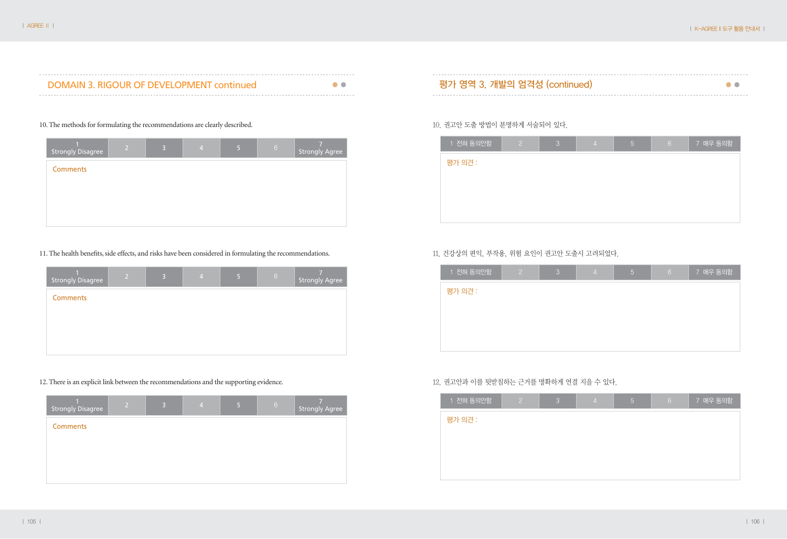| DOMAIN 3. RIGOUR OF DEVELOPMENT continued | 개발의 엄격성 (continued) |  |
|-------------------------------------------|---------------------|--|
|                                           |                     |  |

# 10. The methods for formulating the recommendations are clearly described.

| <b>Strongly Disagree</b> | $\overline{2}$ | 3 | $\overline{4}$ | 5 | $6 \overline{6}$ | Strongly Agree |
|--------------------------|----------------|---|----------------|---|------------------|----------------|
| <b>Comments</b>          |                |   |                |   |                  |                |
|                          |                |   |                |   |                  |                |
|                          |                |   |                |   |                  |                |
|                          |                |   |                |   |                  |                |

11. The health benefits, side effects, and risks have been considered in formulating the recommendations.

| <b>Strongly Disagree</b> | $\overline{2}$ | 3 | 4 | 5 | $6\phantom{.}6$ | Strongly Agree |
|--------------------------|----------------|---|---|---|-----------------|----------------|
| <b>Comments</b>          |                |   |   |   |                 |                |
|                          |                |   |   |   |                 |                |
|                          |                |   |   |   |                 |                |
|                          |                |   |   |   |                 |                |

# 12. There is an explicit link between the recommendations and the supporting evidence.



# 10. 권고안 도출 방법이 분명하게 서술되어 있다.

| 1 전혀 동의안함 | $\sqrt{2}$ | 3 | $\overline{4}$ | 15, | $6^{\circ}$ | 7 매우 동의함 |
|-----------|------------|---|----------------|-----|-------------|----------|
| 평가 의견 :   |            |   |                |     |             |          |
|           |            |   |                |     |             |          |
|           |            |   |                |     |             |          |
|           |            |   |                |     |             |          |

# 11. 건강상의 편익, 부작용, 위험 요인이 권고안 도출시 고려되었다.

| $\overline{1}$ 전혀 동의안함 | $\overline{2}$ | <sup>3</sup> | $\overline{4}$ | $\overline{5}$ | $6 -$ | 7 매우 동의함 |
|------------------------|----------------|--------------|----------------|----------------|-------|----------|
| 평가 의견 :                |                |              |                |                |       |          |
|                        |                |              |                |                |       |          |
|                        |                |              |                |                |       |          |
|                        |                |              |                |                |       |          |
|                        |                |              |                |                |       |          |

# 12. 권고안과 이를 뒷받침하는 근거를 명확하게 연결 지을 수 있다.

| 1 전혀 동의안함 | $\overline{2}$ | $\mathcal{S}$ | $\overline{4}$ | $\overline{5}$ | $6 -$ | 7 매우 동의함 |
|-----------|----------------|---------------|----------------|----------------|-------|----------|
| 평가 의견 :   |                |               |                |                |       |          |
|           |                |               |                |                |       |          |
|           |                |               |                |                |       |          |
|           |                |               |                |                |       |          |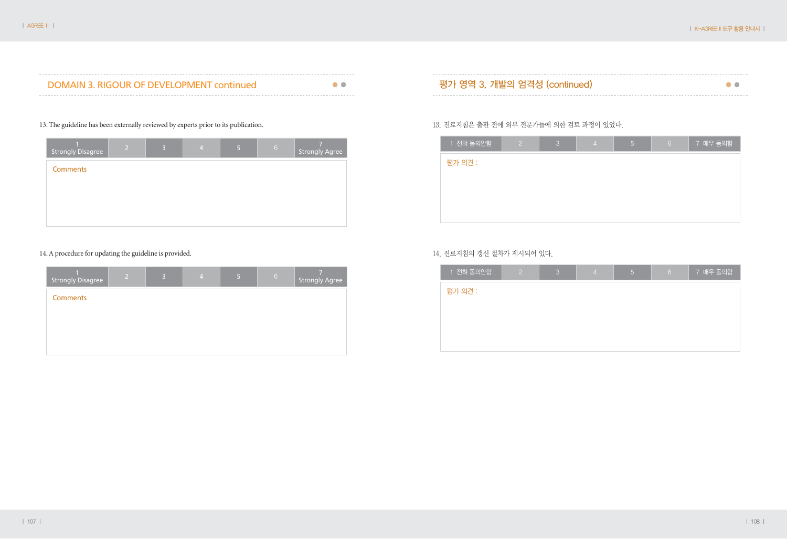

# 13. The guideline has been externally reviewed by experts prior to its publication.

| <b>Strongly Disagree</b> | $\overline{2}$ | 3 | $\overline{4}$ | 5 | 6 <sub>1</sub> | Strongly Agree |
|--------------------------|----------------|---|----------------|---|----------------|----------------|
| <b>Comments</b>          |                |   |                |   |                |                |
|                          |                |   |                |   |                |                |
|                          |                |   |                |   |                |                |
|                          |                |   |                |   |                |                |

# 14. A procedure for updating the guideline is provided.



# 13. 진료지침은 출판 전에 외부 전문가들에 의한 검토 과정이 있었다.

| 1 전혀 동의안함 | 2 | 3 | $\overline{4}$ | 15. | $6 \overline{6}$ | 7 매우 동의함 |
|-----------|---|---|----------------|-----|------------------|----------|
| 평가 의견 :   |   |   |                |     |                  |          |
|           |   |   |                |     |                  |          |
|           |   |   |                |     |                  |          |
|           |   |   |                |     |                  |          |

# 14. 진료지침의 갱신 절차가 제시되어 있다.

| 1 전혀 동의안함 | $\overline{2}$ | 3 | $\overline{4}$ | $\overline{5}$ | 6 <sup>1</sup> | 7 매우 동의함 |
|-----------|----------------|---|----------------|----------------|----------------|----------|
| 평가 의견 :   |                |   |                |                |                |          |
|           |                |   |                |                |                |          |
|           |                |   |                |                |                |          |
|           |                |   |                |                |                |          |
|           |                |   |                |                |                |          |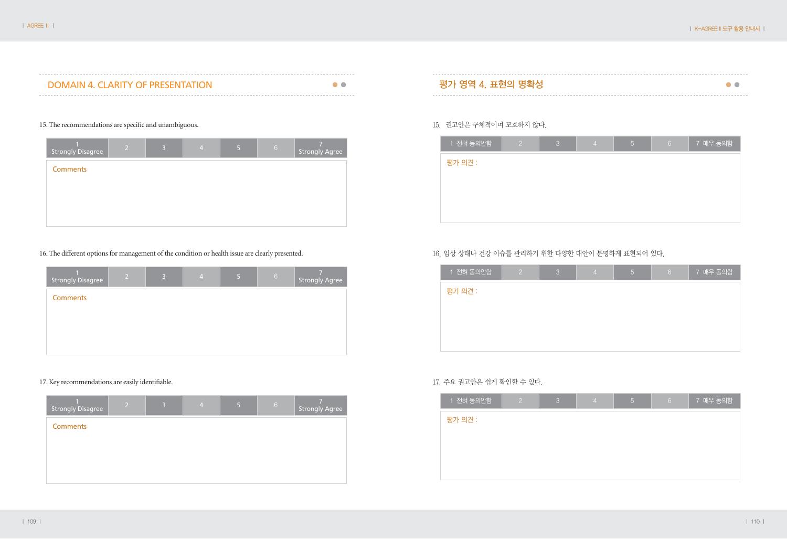# 15. The recommendations are specific and unambiguous.

| <b>Strongly Disagree</b> | $\overline{2}$ | $\overline{3}$ | $\overline{4}$ | 5 | 6 <sub>1</sub> | <b>Strongly Agree</b> |
|--------------------------|----------------|----------------|----------------|---|----------------|-----------------------|
| <b>Comments</b>          |                |                |                |   |                |                       |
|                          |                |                |                |   |                |                       |
|                          |                |                |                |   |                |                       |
|                          |                |                |                |   |                |                       |

16. The different options for management of the condition or health issue are clearly presented.

| <b>Strongly Disagree</b> | $\overline{2}$ | 3 | $\overline{4}$ | 5 | $6\,$ | Strongly Agree |
|--------------------------|----------------|---|----------------|---|-------|----------------|
| <b>Comments</b>          |                |   |                |   |       |                |
|                          |                |   |                |   |       |                |
|                          |                |   |                |   |       |                |
|                          |                |   |                |   |       |                |

# 17. Key recommendations are easily identifiable.

| <b>Strongly Disagree</b> | $\sqrt{2}$ | $\overline{3}$ | $\overline{4}$ | 5 | $\sqrt{6}$ | <b>Strongly Agree</b> |
|--------------------------|------------|----------------|----------------|---|------------|-----------------------|
| <b>Comments</b>          |            |                |                |   |            |                       |
|                          |            |                |                |   |            |                       |
|                          |            |                |                |   |            |                       |
|                          |            |                |                |   |            |                       |

| <b>DOMAIN 4. CLARITY OF PRESENTATION</b> |  | 평가 영역 4. 표현의 명확성 |  |
|------------------------------------------|--|------------------|--|
|------------------------------------------|--|------------------|--|

# 15. 권고안은 구체적이며 모호하지 않다.

| 1 전혀 동의안함 | 127 | <sup>3</sup> | $\overline{4}$ | $\overline{5}$ | 6 <sup>1</sup> | 7 매우 동의함 |
|-----------|-----|--------------|----------------|----------------|----------------|----------|
| 평가 의견 :   |     |              |                |                |                |          |
|           |     |              |                |                |                |          |
|           |     |              |                |                |                |          |
|           |     |              |                |                |                |          |

# 16. 임상 상태나 건강 이슈를 관리하기 위한 다양한 대안이 분명하게 표현되어 있다.

| 1 전혀 동의안함 | $\left 2\right $ | 131 | $\overline{4}$ | $\overline{5}$ | $6 -$ | 7 매우 동의함 |
|-----------|------------------|-----|----------------|----------------|-------|----------|
| 평가 의견 :   |                  |     |                |                |       |          |
|           |                  |     |                |                |       |          |
|           |                  |     |                |                |       |          |
|           |                  |     |                |                |       |          |
|           |                  |     |                |                |       |          |

# 17. 주요 권고안은 쉽게 확인할 수 있다.

| 1 전혀 동의안함 | -2 | -3 | $\overline{4}$ | $\overline{5}$ | 6 <sup>°</sup> | 7 매우 동의함 |
|-----------|----|----|----------------|----------------|----------------|----------|
| 평가 의견 :   |    |    |                |                |                |          |
|           |    |    |                |                |                |          |
|           |    |    |                |                |                |          |
|           |    |    |                |                |                |          |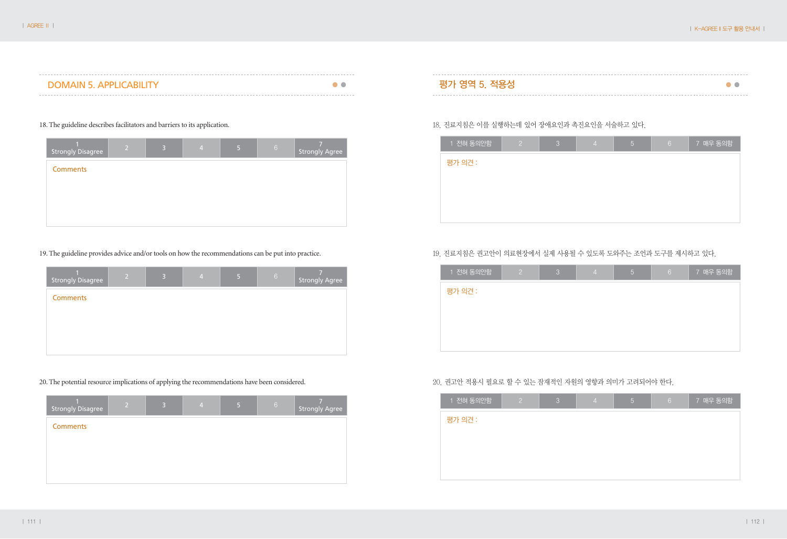| DOMAIN 5. APPLICABILITY |  |  |
|-------------------------|--|--|
|                         |  |  |

# 18. The guideline describes facilitators and barriers to its application.

| <b>Strongly Disagree</b> | $\overline{2}$ | $\overline{3}$ | $\overline{4}$ | 5 | $6\phantom{.}6$ | Strongly Agree |
|--------------------------|----------------|----------------|----------------|---|-----------------|----------------|
| <b>Comments</b>          |                |                |                |   |                 |                |
|                          |                |                |                |   |                 |                |
|                          |                |                |                |   |                 |                |
|                          |                |                |                |   |                 |                |

19. The guideline provides advice and/or tools on how the recommendations can be put into practice.

| <b>Strongly Disagree</b> | $\overline{2}$ | 3 | $\overline{4}$ | 5 | $6\,$ | <b>Strongly Agree</b> |
|--------------------------|----------------|---|----------------|---|-------|-----------------------|
| <b>Comments</b>          |                |   |                |   |       |                       |
|                          |                |   |                |   |       |                       |
|                          |                |   |                |   |       |                       |
|                          |                |   |                |   |       |                       |

# 20. The potential resource implications of applying the recommendations have been considered.



# 18. 진료지침은 이를 실행하는데 있어 장애요인과 촉진요인을 서술하고 있다.

| 1 전혀 동의안함 | 2 | 13. | $\overline{4}$ | $\overline{5}$ | 6 <sup>1</sup> | 7 매우 동의함 |
|-----------|---|-----|----------------|----------------|----------------|----------|
| 평가 의견 :   |   |     |                |                |                |          |
|           |   |     |                |                |                |          |
|           |   |     |                |                |                |          |
|           |   |     |                |                |                |          |
|           |   |     |                |                |                |          |

# 19. 진료지침은 권고안이 의료현장에서 실제 사용될 수 있도록 도와주는 조언과 도구를 제시하고 있다.

| $\overline{1}$ 전혀 동의안함 | 2 | 3 | $\overline{4}$ | $\overline{5}$ | $6 -$ | 7 매우 동의함 |
|------------------------|---|---|----------------|----------------|-------|----------|
| 평가 의견 :                |   |   |                |                |       |          |
|                        |   |   |                |                |       |          |
|                        |   |   |                |                |       |          |
|                        |   |   |                |                |       |          |
|                        |   |   |                |                |       |          |

# 20. 권고안 적용시 필요로 할 수 있는 잠재적인 자원의 영향과 의미가 고려되어야 한다.

| 1 전혀 동의안함 | $\overline{2}$ | 3 | $\overline{4}$ | 5 | $6 -$ | 7 매우 동의함 |
|-----------|----------------|---|----------------|---|-------|----------|
| 평가 의견 :   |                |   |                |   |       |          |
|           |                |   |                |   |       |          |
|           |                |   |                |   |       |          |
|           |                |   |                |   |       |          |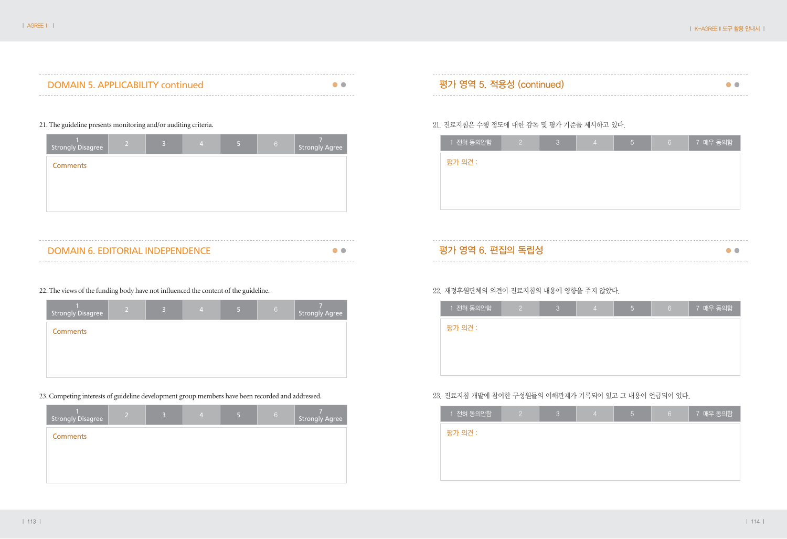| <b>DOMAIN 5. APPLICABILITY continued</b> |  |
|------------------------------------------|--|
|                                          |  |

# 21. The guideline presents monitoring and/or auditing criteria.

| Strongly Disagree | $\overline{2}$ | B | Z. | 6 | Strongly Agree |
|-------------------|----------------|---|----|---|----------------|
| <b>Comments</b>   |                |   |    |   |                |
|                   |                |   |    |   |                |
|                   |                |   |    |   |                |

| <b>DOMAIN 6. EDITORIAL INDEPENDENCE</b> |  |
|-----------------------------------------|--|

# 22. The views of the funding body have not influenced the content of the guideline.

| <b>Strongly Disagree</b> | 2 | 3 | 4 | -6 | <b>Strongly Agree</b> |
|--------------------------|---|---|---|----|-----------------------|
| <b>Comments</b>          |   |   |   |    |                       |
|                          |   |   |   |    |                       |
|                          |   |   |   |    |                       |

23. Competing interests of guideline development group members have been recorded and addressed.

| <b>Strongly Disagree</b> | /27 | 3 | 4 | 5 | $6\,$ | Strongly Agree |
|--------------------------|-----|---|---|---|-------|----------------|
| <b>Comments</b>          |     |   |   |   |       |                |
|                          |     |   |   |   |       |                |
|                          |     |   |   |   |       |                |

# 평가 영역 5. 적용성 (continued) ●●

# 21. 진료지침은 수행 정도에 대한 감독 및 평가 기준을 제시하고 있다.

| 1 전혀 동의안함 | 121 | 3 | 4 | 15 | 6 <sup>1</sup> | 7 매우 동의함 |
|-----------|-----|---|---|----|----------------|----------|
| 평가 의견 :   |     |   |   |    |                |          |
|           |     |   |   |    |                |          |
|           |     |   |   |    |                |          |
|           |     |   |   |    |                |          |

# 평가 영역 6. 편집의 독립성 ●●

# 22. 재정후원단체의 의견이 진료지침의 내용에 영향을 주지 않았다.

| $\overline{11}$ 전혀 동의안함 | $\overline{2}$ | 3 | $\frac{1}{2}$ | 5 | $6 \overline{6}$ | 7 매우 동의함 |
|-------------------------|----------------|---|---------------|---|------------------|----------|
| 평가 의견 :                 |                |   |               |   |                  |          |
|                         |                |   |               |   |                  |          |
|                         |                |   |               |   |                  |          |
|                         |                |   |               |   |                  |          |

# 23. 진료지침 개발에 참여한 구성원들의 이해관계가 기록되어 있고 그 내용이 언급되어 있다.

| 1 전혀 동의안함 | 2 | $\overline{3}$ | $\overline{4}$ | $\overline{5}$ | 6 <sup>°</sup> | 7 매우 동의함 |
|-----------|---|----------------|----------------|----------------|----------------|----------|
| 평가 의견 :   |   |                |                |                |                |          |
|           |   |                |                |                |                |          |
|           |   |                |                |                |                |          |
|           |   |                |                |                |                |          |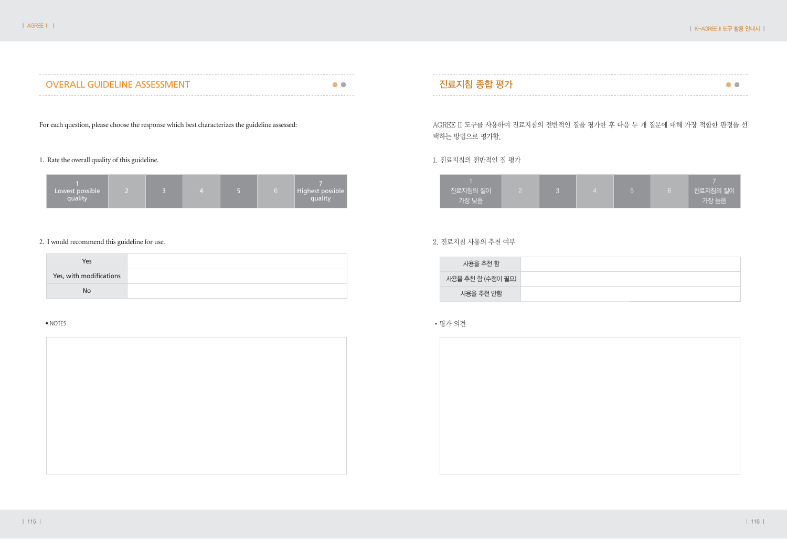$\sim$ 

| <b>OVERALL GUIDELINE ASSESSMENT</b> |  |
|-------------------------------------|--|
|                                     |  |

For each question, please choose the response which best characterizes the guideline assessed:

# 1. Rate the overall quality of this guideline.

| Lowest possible<br>quality |  |  |  |  |  | Highest possible<br>quality |
|----------------------------|--|--|--|--|--|-----------------------------|
|----------------------------|--|--|--|--|--|-----------------------------|

# 2. I would recommend this guideline for use.

| Yes                     |  |
|-------------------------|--|
| Yes, with modifications |  |
| No                      |  |

### • NOTES

# 진료지침 종합 평가 ●●

AGREE II 도구를 사용하여 진료지침의 전반적인 질을 평가한 후 다음 두 개 질문에 대해 가장 적합한 판정을 선 택하는 방법으로 평가함.

# 1. 진료지침의 전반적인 질 평가

| 진료지침의 질이 |  |  | ┃ 진료지침의 질이 |
|----------|--|--|------------|
| 가장 낮음 !  |  |  | 기장 높음 \    |

# 2. 진료지침 사용의 추천 여부

| 사용을 추천 함          |  |
|-------------------|--|
| 사용을 추천 함 (수정이 필요) |  |
| 사용을 추천 안함         |  |

# •평가 의견